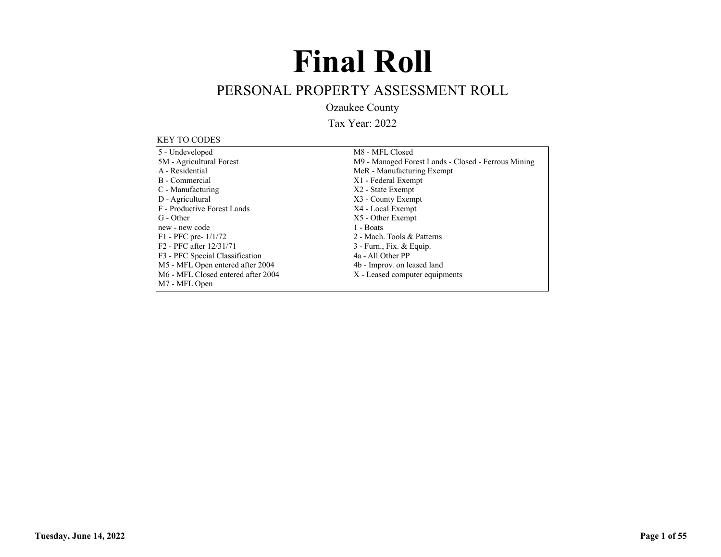# **Final Roll**

## PERSONAL PROPERTY ASSESSMENT ROLL

Ozaukee County

Tax Year: 2022

#### KEY TO CODES

| 5 - Undeveloped                     | M8 - MFL Closed                                     |
|-------------------------------------|-----------------------------------------------------|
| 5M - Agricultural Forest            | M9 - Managed Forest Lands - Closed - Ferrous Mining |
| A - Residential                     | MeR - Manufacturing Exempt                          |
| B - Commercial                      | X1 - Federal Exempt                                 |
| C - Manufacturing                   | X2 - State Exempt                                   |
| D - Agricultural                    | X3 - County Exempt                                  |
| F - Productive Forest Lands         | X4 - Local Exempt                                   |
| G - Other                           | X5 - Other Exempt                                   |
| new - new code                      | 1 - Boats                                           |
| $F1 - PFC$ pre- $1/1/72$            | 2 - Mach. Tools & Patterns                          |
| F <sub>2</sub> - PFC after 12/31/71 | $3$ - Furn., Fix. & Equip.                          |
| F3 - PFC Special Classification     | 4a - All Other PP                                   |
| M5 - MFL Open entered after 2004    | 4b - Improv. on leased land                         |
| M6 - MFL Closed entered after 2004  | X - Leased computer equipments                      |
| M7 - MFL Open                       |                                                     |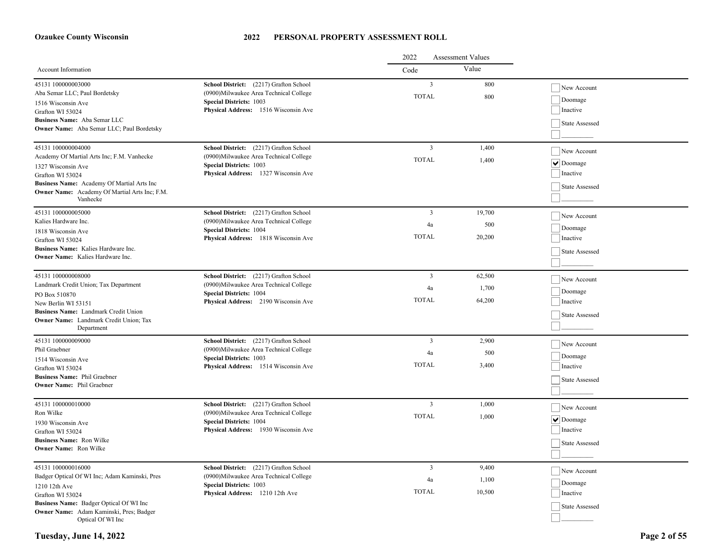|                                                                                                            |                                                                                                                                                             | 2022<br><b>Assessment Values</b> |                |                                               |
|------------------------------------------------------------------------------------------------------------|-------------------------------------------------------------------------------------------------------------------------------------------------------------|----------------------------------|----------------|-----------------------------------------------|
| Account Information                                                                                        |                                                                                                                                                             | Code                             | Value          |                                               |
| 45131 100000003000<br>Aba Semar LLC; Paul Bordetsky<br>1516 Wisconsin Ave                                  | School District: (2217) Grafton School<br>(0900) Milwaukee Area Technical College<br><b>Special Districts: 1003</b><br>Physical Address: 1516 Wisconsin Ave | $\overline{3}$<br><b>TOTAL</b>   | 800<br>800     | New Account<br>Doomage<br>Inactive            |
| Grafton WI 53024<br>Business Name: Aba Semar LLC<br>Owner Name: Aba Semar LLC; Paul Bordetsky              |                                                                                                                                                             |                                  |                | State Assessed                                |
| 45131 100000004000<br>Academy Of Martial Arts Inc; F.M. Vanhecke<br>1327 Wisconsin Ave<br>Grafton WI 53024 | School District: (2217) Grafton School<br>(0900)Milwaukee Area Technical College<br><b>Special Districts: 1003</b><br>Physical Address: 1327 Wisconsin Ave  | $\overline{3}$<br><b>TOTAL</b>   | 1,400<br>1.400 | New Account<br>$  \vee  $ Doomage<br>Inactive |
| Business Name: Academy Of Martial Arts Inc<br>Owner Name: Academy Of Martial Arts Inc; F.M.<br>Vanhecke    |                                                                                                                                                             |                                  |                | State Assessed                                |
| 45131 100000005000<br>Kalies Hardware Inc.                                                                 | School District: (2217) Grafton School<br>(0900)Milwaukee Area Technical College                                                                            | $\overline{3}$                   | 19,700         | New Account                                   |
| 1818 Wisconsin Ave                                                                                         | <b>Special Districts: 1004</b>                                                                                                                              | 4a                               | 500            | Doomage                                       |
| Grafton WI 53024                                                                                           | Physical Address: 1818 Wisconsin Ave                                                                                                                        | <b>TOTAL</b>                     | 20,200         | Inactive                                      |
| Business Name: Kalies Hardware Inc.<br>Owner Name: Kalies Hardware Inc.                                    |                                                                                                                                                             |                                  |                | State Assessed                                |
| 45131 100000008000                                                                                         | School District: (2217) Grafton School                                                                                                                      | $\overline{3}$                   | 62,500         | New Account                                   |
| Landmark Credit Union; Tax Department<br>PO Box 510870                                                     | (0900) Milwaukee Area Technical College<br><b>Special Districts: 1004</b>                                                                                   | 4a                               | 1,700          | Doomage                                       |
| New Berlin WI 53151                                                                                        | Physical Address: 2190 Wisconsin Ave                                                                                                                        | <b>TOTAL</b>                     | 64,200         | Inactive                                      |
| Business Name: Landmark Credit Union<br>Owner Name: Landmark Credit Union; Tax<br>Department               |                                                                                                                                                             |                                  |                | State Assessed                                |
| 45131 100000009000                                                                                         | School District: (2217) Grafton School                                                                                                                      | $\overline{\mathbf{3}}$          | 2,900          | New Account                                   |
| Phil Graebner<br>1514 Wisconsin Ave                                                                        | (0900)Milwaukee Area Technical College<br><b>Special Districts: 1003</b>                                                                                    | 4a                               | 500            | Doomage                                       |
| Grafton WI 53024                                                                                           | Physical Address: 1514 Wisconsin Ave                                                                                                                        | <b>TOTAL</b>                     | 3,400          | Inactive                                      |
| <b>Business Name: Phil Graebner</b><br><b>Owner Name:</b> Phil Graebner                                    |                                                                                                                                                             |                                  |                | State Assessed                                |
| 45131 100000010000                                                                                         | School District: (2217) Grafton School                                                                                                                      | $\overline{3}$                   | 1,000          | New Account                                   |
| Ron Wilke<br>1930 Wisconsin Ave                                                                            | (0900)Milwaukee Area Technical College<br><b>Special Districts: 1004</b>                                                                                    | <b>TOTAL</b>                     | 1,000          | $  \vee  $ Doomage                            |
| Grafton WI 53024                                                                                           | Physical Address: 1930 Wisconsin Ave                                                                                                                        |                                  |                | Inactive                                      |
| <b>Business Name: Ron Wilke</b><br><b>Owner Name:</b> Ron Wilke                                            |                                                                                                                                                             |                                  |                | State Assessed                                |
| 45131 100000016000                                                                                         | School District: (2217) Grafton School                                                                                                                      | $\overline{3}$                   | 9,400          | New Account                                   |
| Badger Optical Of WI Inc; Adam Kaminski, Pres                                                              | (0900) Milwaukee Area Technical College                                                                                                                     | 4a                               | 1,100          | Doomage                                       |
| 1210 12th Ave<br>Grafton WI 53024                                                                          | <b>Special Districts: 1003</b><br>Physical Address: 1210 12th Ave                                                                                           | <b>TOTAL</b>                     | 10,500         | Inactive                                      |
| Business Name: Badger Optical Of WI Inc                                                                    |                                                                                                                                                             |                                  |                | State Assessed                                |
| Owner Name: Adam Kaminski, Pres; Badger<br>Optical Of WI Inc                                               |                                                                                                                                                             |                                  |                |                                               |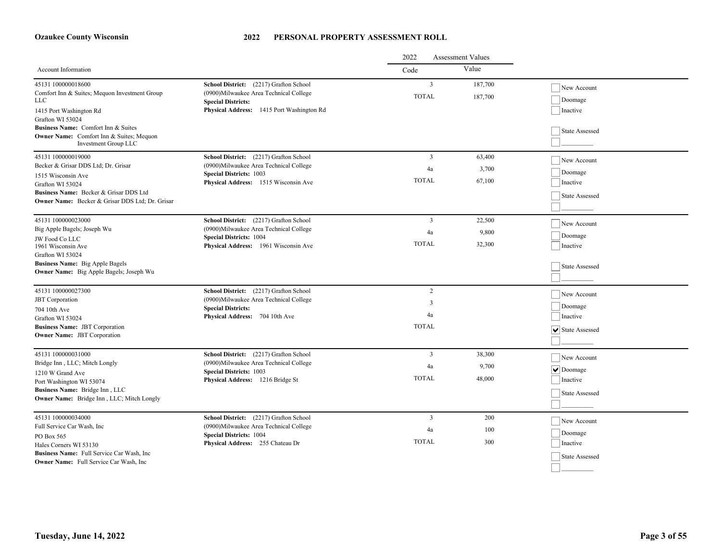|                                                                                                                                  |                                                                                                                                                            | 2022<br><b>Assessment Values</b> |                    |                                    |
|----------------------------------------------------------------------------------------------------------------------------------|------------------------------------------------------------------------------------------------------------------------------------------------------------|----------------------------------|--------------------|------------------------------------|
| Account Information                                                                                                              |                                                                                                                                                            | Code                             | Value              |                                    |
| 45131 100000018600<br>Comfort Inn & Suites; Mequon Investment Group<br><b>LLC</b><br>1415 Port Washington Rd<br>Grafton WI 53024 | School District: (2217) Grafton School<br>(0900)Milwaukee Area Technical College<br><b>Special Districts:</b><br>Physical Address: 1415 Port Washington Rd | $\overline{3}$<br><b>TOTAL</b>   | 187,700<br>187,700 | New Account<br>Doomage<br>Inactive |
| <b>Business Name:</b> Comfort Inn & Suites<br>Owner Name: Comfort Inn & Suites; Mequon<br>Investment Group LLC                   |                                                                                                                                                            |                                  |                    | State Assessed                     |
| 45131 100000019000<br>Becker & Grisar DDS Ltd; Dr. Grisar                                                                        | School District: (2217) Grafton School                                                                                                                     | $\overline{\mathbf{3}}$          | 63,400             | New Account                        |
| 1515 Wisconsin Ave                                                                                                               | (0900) Milwaukee Area Technical College<br><b>Special Districts: 1003</b>                                                                                  | 4a                               | 3,700              | $\vert$ Doomage                    |
| Grafton WI 53024                                                                                                                 | Physical Address: 1515 Wisconsin Ave                                                                                                                       | <b>TOTAL</b>                     | 67,100             | Inactive                           |
| Business Name: Becker & Grisar DDS Ltd<br><b>Owner Name:</b> Becker & Grisar DDS Ltd; Dr. Grisar                                 |                                                                                                                                                            |                                  |                    | State Assessed                     |
| 45131 100000023000                                                                                                               | School District: (2217) Grafton School                                                                                                                     | $\overline{\mathbf{3}}$          | 22,500             | New Account                        |
| Big Apple Bagels; Joseph Wu                                                                                                      | (0900)Milwaukee Area Technical College                                                                                                                     | 4a                               | 9,800              | Doomage                            |
| <b>Special Districts: 1004</b><br>JW Food Co LLC<br>1961 Wisconsin Ave<br>Grafton WI 53024                                       | Physical Address: 1961 Wisconsin Ave                                                                                                                       | <b>TOTAL</b>                     | 32,300             | Inactive                           |
| <b>Business Name:</b> Big Apple Bagels<br>Owner Name: Big Apple Bagels; Joseph Wu                                                |                                                                                                                                                            |                                  |                    | State Assessed                     |
| 45131 100000027300                                                                                                               | School District: (2217) Grafton School                                                                                                                     | 2                                |                    | New Account                        |
| <b>JBT</b> Corporation<br>704 10th Ave                                                                                           | (0900) Milwaukee Area Technical College<br><b>Special Districts:</b>                                                                                       | 3                                |                    | Doomage                            |
| Grafton WI 53024                                                                                                                 | Physical Address: 704 10th Ave                                                                                                                             | 4a                               |                    | Inactive                           |
| <b>Business Name: JBT Corporation</b><br><b>Owner Name: JBT Corporation</b>                                                      |                                                                                                                                                            | <b>TOTAL</b>                     |                    | V State Assessed                   |
| 45131 100000031000                                                                                                               | School District: (2217) Grafton School                                                                                                                     | 3                                | 38,300             | New Account                        |
| Bridge Inn, LLC; Mitch Longly                                                                                                    | (0900) Milwaukee Area Technical College                                                                                                                    | 4a                               | 9,700              | $  \vee  $ Doomage                 |
| 1210 W Grand Ave<br>Port Washington WI 53074                                                                                     | <b>Special Districts: 1003</b><br>Physical Address: 1216 Bridge St                                                                                         | <b>TOTAL</b>                     | 48,000             | Inactive                           |
| Business Name: Bridge Inn, LLC<br>Owner Name: Bridge Inn, LLC; Mitch Longly                                                      |                                                                                                                                                            |                                  |                    | State Assessed                     |
|                                                                                                                                  |                                                                                                                                                            |                                  |                    |                                    |
| 45131 100000034000<br>Full Service Car Wash, Inc.                                                                                | School District: (2217) Grafton School<br>(0900) Milwaukee Area Technical College                                                                          | $\overline{3}$                   | 200                | New Account                        |
| PO Box 565                                                                                                                       | <b>Special Districts: 1004</b>                                                                                                                             | 4a                               | 100                | Doomage                            |
| Hales Corners WI 53130                                                                                                           | Physical Address: 255 Chateau Dr                                                                                                                           | <b>TOTAL</b>                     | 300                | Inactive                           |
| Business Name: Full Service Car Wash, Inc.<br><b>Owner Name:</b> Full Service Car Wash, Inc.                                     |                                                                                                                                                            |                                  |                    | State Assessed                     |
|                                                                                                                                  |                                                                                                                                                            |                                  |                    |                                    |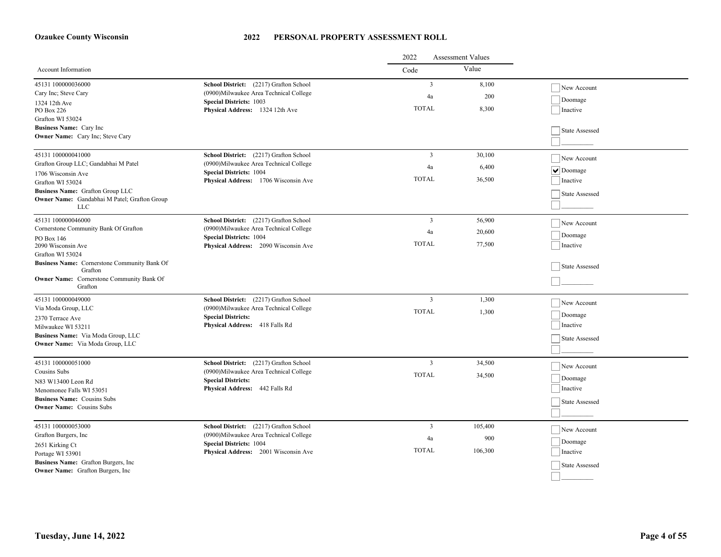|                                                                                  |                                                                        | 2022<br><b>Assessment Values</b> |         |                               |
|----------------------------------------------------------------------------------|------------------------------------------------------------------------|----------------------------------|---------|-------------------------------|
| Account Information                                                              |                                                                        | Code                             | Value   |                               |
| 45131 100000036000                                                               | School District: (2217) Grafton School                                 | $\overline{3}$                   | 8,100   | New Account                   |
| Cary Inc; Steve Cary                                                             | (0900) Milwaukee Area Technical College                                | 4a                               | 200     | Doomage                       |
| 1324 12th Ave<br>PO Box 226                                                      | <b>Special Districts: 1003</b><br>Physical Address: 1324 12th Ave      | <b>TOTAL</b>                     | 8,300   | Inactive                      |
| Grafton WI 53024                                                                 |                                                                        |                                  |         |                               |
| Business Name: Cary Inc                                                          |                                                                        |                                  |         | State Assessed                |
| Owner Name: Cary Inc; Steve Cary                                                 |                                                                        |                                  |         |                               |
|                                                                                  |                                                                        |                                  |         |                               |
| 45131 100000041000                                                               | School District: (2217) Grafton School                                 | $\overline{3}$                   | 30,100  | New Account                   |
| Grafton Group LLC; Gandabhai M Patel                                             | (0900)Milwaukee Area Technical College                                 | 4a                               | 6,400   | $\blacktriangleright$ Doomage |
| 1706 Wisconsin Ave                                                               | <b>Special Districts: 1004</b><br>Physical Address: 1706 Wisconsin Ave | <b>TOTAL</b>                     | 36,500  | Inactive                      |
| Grafton WI 53024                                                                 |                                                                        |                                  |         |                               |
| Business Name: Grafton Group LLC<br>Owner Name: Gandabhai M Patel; Grafton Group |                                                                        |                                  |         | State Assessed                |
| <b>LLC</b>                                                                       |                                                                        |                                  |         |                               |
| 45131 100000046000                                                               | School District: (2217) Grafton School                                 | $\overline{\mathbf{3}}$          | 56,900  | New Account                   |
| Cornerstone Community Bank Of Grafton                                            | (0900) Milwaukee Area Technical College                                | 4a                               | 20,600  |                               |
| PO Box 146                                                                       | <b>Special Districts: 1004</b>                                         |                                  |         | Doomage                       |
| 2090 Wisconsin Ave                                                               | Physical Address: 2090 Wisconsin Ave                                   | <b>TOTAL</b>                     | 77,500  | Inactive                      |
| Grafton WI 53024                                                                 |                                                                        |                                  |         |                               |
| Business Name: Cornerstone Community Bank Of<br>Grafton                          |                                                                        |                                  |         | State Assessed                |
| <b>Owner Name:</b> Cornerstone Community Bank Of                                 |                                                                        |                                  |         |                               |
| Grafton                                                                          |                                                                        |                                  |         |                               |
| 45131 100000049000                                                               | School District: (2217) Grafton School                                 | $\overline{\mathbf{3}}$          | 1,300   | New Account                   |
| Via Moda Group, LLC                                                              | (0900)Milwaukee Area Technical College                                 | <b>TOTAL</b>                     | 1,300   |                               |
| 2370 Terrace Ave                                                                 | <b>Special Districts:</b>                                              |                                  |         | Doomage                       |
| Milwaukee WI 53211                                                               | Physical Address: 418 Falls Rd                                         |                                  |         | Inactive                      |
| Business Name: Via Moda Group, LLC<br>Owner Name: Via Moda Group, LLC            |                                                                        |                                  |         | State Assessed                |
|                                                                                  |                                                                        |                                  |         |                               |
| 45131 100000051000                                                               | School District: (2217) Grafton School                                 | $\overline{\mathbf{3}}$          | 34,500  |                               |
| Cousins Subs                                                                     | (0900) Milwaukee Area Technical College                                | <b>TOTAL</b>                     |         | New Account                   |
| N83 W13400 Leon Rd                                                               | <b>Special Districts:</b>                                              |                                  | 34,500  | Doomage                       |
| Menomonee Falls WI 53051                                                         | Physical Address: 442 Falls Rd                                         |                                  |         | Inactive                      |
| <b>Business Name: Cousins Subs</b>                                               |                                                                        |                                  |         | State Assessed                |
| <b>Owner Name:</b> Cousins Subs                                                  |                                                                        |                                  |         |                               |
| 45131 100000053000                                                               | School District: (2217) Grafton School                                 | $\overline{3}$                   | 105,400 |                               |
| Grafton Burgers, Inc                                                             | (0900) Milwaukee Area Technical College                                |                                  |         | New Account                   |
| 2651 Kirking Ct                                                                  | <b>Special Districts: 1004</b>                                         | 4a                               | 900     | Doomage                       |
| Portage WI 53901                                                                 | Physical Address: 2001 Wisconsin Ave                                   | <b>TOTAL</b>                     | 106,300 | Inactive                      |
| Business Name: Grafton Burgers, Inc.                                             |                                                                        |                                  |         | State Assessed                |
| Owner Name: Grafton Burgers, Inc                                                 |                                                                        |                                  |         |                               |
|                                                                                  |                                                                        |                                  |         |                               |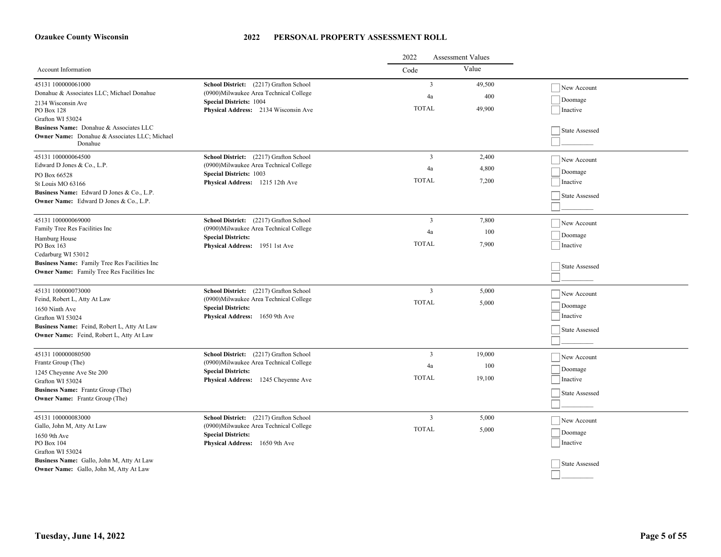|                                                                            |                                                                        | 2022<br><b>Assessment Values</b> |        |                |
|----------------------------------------------------------------------------|------------------------------------------------------------------------|----------------------------------|--------|----------------|
| Account Information                                                        |                                                                        | Code                             | Value  |                |
| 45131 100000061000                                                         | School District: (2217) Grafton School                                 | $\overline{3}$                   | 49,500 | New Account    |
| Donahue & Associates LLC; Michael Donahue                                  | (0900)Milwaukee Area Technical College                                 | 4a                               | 400    | Doomage        |
| 2134 Wisconsin Ave<br>PO Box 128                                           | <b>Special Districts: 1004</b><br>Physical Address: 2134 Wisconsin Ave | <b>TOTAL</b>                     | 49,900 | Inactive       |
| Grafton WI 53024                                                           |                                                                        |                                  |        |                |
| Business Name: Donahue & Associates LLC                                    |                                                                        |                                  |        | State Assessed |
| Owner Name: Donahue & Associates LLC; Michael                              |                                                                        |                                  |        |                |
| Donahue                                                                    |                                                                        |                                  |        |                |
| 45131 100000064500                                                         | School District: (2217) Grafton School                                 | $\overline{3}$                   | 2,400  | New Account    |
| Edward D Jones & Co., L.P.                                                 | (0900) Milwaukee Area Technical College                                | 4a                               | 4,800  | Doomage        |
| PO Box 66528                                                               | <b>Special Districts: 1003</b><br>Physical Address: 1215 12th Ave      | <b>TOTAL</b>                     | 7,200  | Inactive       |
| St Louis MO 63166<br>Business Name: Edward D Jones & Co., L.P.             |                                                                        |                                  |        |                |
| <b>Owner Name:</b> Edward D Jones & Co., L.P.                              |                                                                        |                                  |        | State Assessed |
|                                                                            |                                                                        |                                  |        |                |
| 45131 100000069000                                                         | School District: (2217) Grafton School                                 | 3                                | 7,800  | New Account    |
| Family Tree Res Facilities Inc                                             | (0900) Milwaukee Area Technical College                                | 4a                               | 100    |                |
| Hamburg House                                                              | <b>Special Districts:</b>                                              | <b>TOTAL</b>                     | 7,900  | Doomage        |
| PO Box 163<br>Cedarburg WI 53012                                           | Physical Address: 1951 1st Ave                                         |                                  |        | Inactive       |
| Business Name: Family Tree Res Facilities Inc                              |                                                                        |                                  |        |                |
| <b>Owner Name:</b> Family Tree Res Facilities Inc                          |                                                                        |                                  |        | State Assessed |
|                                                                            |                                                                        |                                  |        |                |
| 45131 100000073000                                                         | School District: (2217) Grafton School                                 | $\overline{3}$                   | 5,000  | New Account    |
| Feind, Robert L, Atty At Law                                               | (0900) Milwaukee Area Technical College                                | <b>TOTAL</b>                     | 5,000  | Doomage        |
| 1650 Ninth Ave                                                             | <b>Special Districts:</b><br>Physical Address: 1650 9th Ave            |                                  |        | Inactive       |
| Grafton WI 53024<br>Business Name: Feind, Robert L, Atty At Law            |                                                                        |                                  |        |                |
| Owner Name: Feind, Robert L, Atty At Law                                   |                                                                        |                                  |        | State Assessed |
|                                                                            |                                                                        |                                  |        |                |
| 45131 100000080500                                                         | School District: (2217) Grafton School                                 | 3                                | 19,000 | New Account    |
| Frantz Group (The)                                                         | (0900)Milwaukee Area Technical College                                 | 4a                               | 100    |                |
| 1245 Cheyenne Ave Ste 200                                                  | <b>Special Districts:</b>                                              | <b>TOTAL</b>                     | 19,100 | Doomage        |
| Grafton WI 53024                                                           | Physical Address: 1245 Cheyenne Ave                                    |                                  |        | Inactive       |
| Business Name: Frantz Group (The)<br><b>Owner Name:</b> Frantz Group (The) |                                                                        |                                  |        | State Assessed |
|                                                                            |                                                                        |                                  |        |                |
| 45131 100000083000                                                         | School District: (2217) Grafton School                                 | $\overline{3}$                   | 5,000  | New Account    |
| Gallo, John M, Atty At Law                                                 | (0900)Milwaukee Area Technical College                                 | <b>TOTAL</b>                     | 5,000  |                |
| 1650 9th Ave                                                               | <b>Special Districts:</b>                                              |                                  |        | Doomage        |
| PO Box 104                                                                 | Physical Address: 1650 9th Ave                                         |                                  |        | Inactive       |
| Grafton WI 53024<br>Business Name: Gallo, John M, Atty At Law              |                                                                        |                                  |        |                |
| Owner Name: Gallo, John M, Atty At Law                                     |                                                                        |                                  |        | State Assessed |
|                                                                            |                                                                        |                                  |        |                |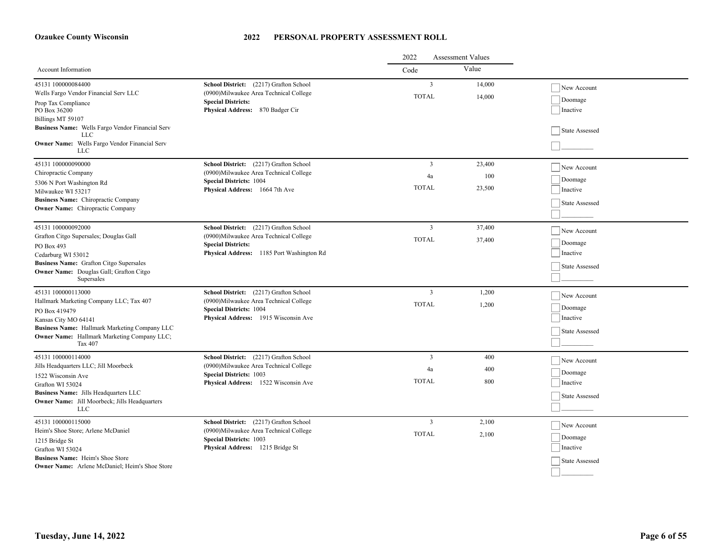|                                                                                                                                                                                                                                 |                                                                                                                                                              | 2022<br><b>Assessment Values</b>     |                         |                                                      |
|---------------------------------------------------------------------------------------------------------------------------------------------------------------------------------------------------------------------------------|--------------------------------------------------------------------------------------------------------------------------------------------------------------|--------------------------------------|-------------------------|------------------------------------------------------|
| <b>Account Information</b>                                                                                                                                                                                                      |                                                                                                                                                              | Code                                 | Value                   |                                                      |
| 45131 100000084400<br>Wells Fargo Vendor Financial Serv LLC<br>Prop Tax Compliance<br>PO Box 36200                                                                                                                              | School District: (2217) Grafton School<br>(0900) Milwaukee Area Technical College<br><b>Special Districts:</b><br>Physical Address: 870 Badger Cir           | $\overline{3}$<br><b>TOTAL</b>       | 14,000<br>14,000        | New Account<br>Doomage<br>Inactive                   |
| Billings MT 59107<br>Business Name: Wells Fargo Vendor Financial Serv<br>LLC<br><b>Owner Name:</b> Wells Fargo Vendor Financial Serv<br><b>LLC</b>                                                                              |                                                                                                                                                              |                                      |                         | State Assessed                                       |
| 45131 100000090000<br>Chiropractic Company<br>5306 N Port Washington Rd<br>Milwaukee WI 53217<br>Business Name: Chiropractic Company<br><b>Owner Name:</b> Chiropractic Company                                                 | School District: (2217) Grafton School<br>(0900) Milwaukee Area Technical College<br><b>Special Districts: 1004</b><br><b>Physical Address:</b> 1664 7th Ave | $\overline{3}$<br>4a<br><b>TOTAL</b> | 23,400<br>100<br>23,500 | New Account<br>Doomage<br>Inactive<br>State Assessed |
| 45131 100000092000<br>Grafton Citgo Supersales; Douglas Gall<br>PO Box 493<br>Cedarburg WI 53012<br>Business Name: Grafton Citgo Supersales<br>Owner Name: Douglas Gall; Grafton Citgo<br>Supersales                            | School District: (2217) Grafton School<br>(0900) Milwaukee Area Technical College<br><b>Special Districts:</b><br>Physical Address: 1185 Port Washington Rd  | $\overline{3}$<br><b>TOTAL</b>       | 37,400<br>37,400        | New Account<br>Doomage<br>Inactive<br>State Assessed |
| 45131 100000113000<br>Hallmark Marketing Company LLC; Tax 407<br>PO Box 419479<br>Kansas City MO 64141<br>Business Name: Hallmark Marketing Company LLC<br><b>Owner Name:</b> Hallmark Marketing Company LLC;<br><b>Tax 407</b> | School District: (2217) Grafton School<br>(0900) Milwaukee Area Technical College<br><b>Special Districts: 1004</b><br>Physical Address: 1915 Wisconsin Ave  | 3<br><b>TOTAL</b>                    | 1,200<br>1,200          | New Account<br>Doomage<br>Inactive<br>State Assessed |
| 45131 100000114000<br>Jills Headquarters LLC; Jill Moorbeck<br>1522 Wisconsin Ave<br>Grafton WI 53024<br>Business Name: Jills Headquarters LLC<br><b>Owner Name:</b> Jill Moorbeck; Jills Headquarters<br><b>LLC</b>            | School District: (2217) Grafton School<br>(0900)Milwaukee Area Technical College<br><b>Special Districts: 1003</b><br>Physical Address: 1522 Wisconsin Ave   | 3<br>4a<br><b>TOTAL</b>              | 400<br>400<br>800       | New Account<br>Doomage<br>Inactive<br>State Assessed |
| 45131 100000115000<br>Heim's Shoe Store; Arlene McDaniel<br>1215 Bridge St<br>Grafton WI 53024<br><b>Business Name:</b> Heim's Shoe Store<br><b>Owner Name:</b> Arlene McDaniel: Heim's Shoe Store                              | School District: (2217) Grafton School<br>(0900) Milwaukee Area Technical College<br><b>Special Districts: 1003</b><br>Physical Address: 1215 Bridge St      | $\overline{3}$<br><b>TOTAL</b>       | 2,100<br>2,100          | New Account<br>Doomage<br>Inactive<br>State Assessed |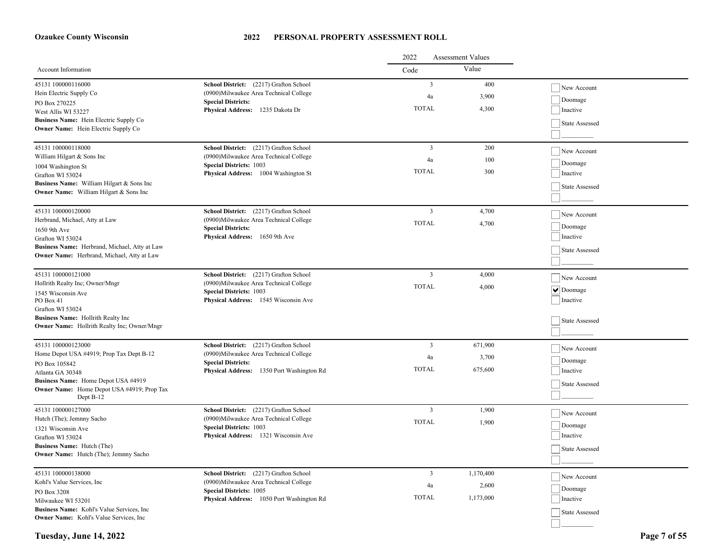|                                                                            |                                                                                   | 2022<br><b>Assessment Values</b> |           |                    |  |
|----------------------------------------------------------------------------|-----------------------------------------------------------------------------------|----------------------------------|-----------|--------------------|--|
| Account Information                                                        |                                                                                   | Code                             | Value     |                    |  |
| 45131 100000116000<br>Hein Electric Supply Co                              | School District: (2217) Grafton School<br>(0900) Milwaukee Area Technical College | $\overline{3}$                   | 400       | New Account        |  |
| PO Box 270225                                                              | <b>Special Districts:</b>                                                         | 4a                               | 3,900     | Doomage            |  |
| West Allis WI 53227                                                        | Physical Address: 1235 Dakota Dr                                                  | <b>TOTAL</b>                     | 4,300     | Inactive           |  |
| Business Name: Hein Electric Supply Co                                     |                                                                                   |                                  |           | State Assessed     |  |
| <b>Owner Name:</b> Hein Electric Supply Co                                 |                                                                                   |                                  |           |                    |  |
| 45131 100000118000                                                         | School District: (2217) Grafton School                                            | $\overline{3}$                   | 200       | New Account        |  |
| William Hilgart & Sons Inc                                                 | (0900) Milwaukee Area Technical College<br><b>Special Districts: 1003</b>         | 4a                               | 100       | Doomage            |  |
| 1004 Washington St<br>Grafton WI 53024                                     | Physical Address: 1004 Washington St                                              | <b>TOTAL</b>                     | 300       | Inactive           |  |
| Business Name: William Hilgart & Sons Inc                                  |                                                                                   |                                  |           |                    |  |
| <b>Owner Name:</b> William Hilgart & Sons Inc                              |                                                                                   |                                  |           | State Assessed     |  |
|                                                                            |                                                                                   |                                  |           |                    |  |
| 45131 100000120000<br>Herbrand, Michael, Atty at Law                       | School District: (2217) Grafton School<br>(0900)Milwaukee Area Technical College  | $\overline{\mathbf{3}}$          | 4,700     | New Account        |  |
| 1650 9th Ave                                                               | <b>Special Districts:</b><br>Physical Address: 1650 9th Ave                       | <b>TOTAL</b>                     | 4,700     | Doomage            |  |
| Grafton WI 53024                                                           |                                                                                   |                                  |           | Inactive           |  |
| Business Name: Herbrand, Michael, Atty at Law                              |                                                                                   |                                  |           | State Assessed     |  |
| Owner Name: Herbrand, Michael, Atty at Law                                 |                                                                                   |                                  |           |                    |  |
| 45131 100000121000                                                         | School District: (2217) Grafton School                                            | $\overline{\mathbf{3}}$          | 4,000     |                    |  |
| Hollrith Realty Inc; Owner/Mngr                                            | (0900) Milwaukee Area Technical College                                           | <b>TOTAL</b>                     | 4,000     | New Account        |  |
| 1545 Wisconsin Ave                                                         | <b>Special Districts: 1003</b>                                                    |                                  |           | $  \vee  $ Doomage |  |
| PO Box 41<br>Grafton WI 53024                                              | Physical Address: 1545 Wisconsin Ave                                              |                                  |           | Inactive           |  |
| Business Name: Hollrith Realty Inc                                         |                                                                                   |                                  |           |                    |  |
| <b>Owner Name:</b> Hollrith Realty Inc; Owner/Mngr                         |                                                                                   |                                  |           | State Assessed     |  |
|                                                                            |                                                                                   | $\overline{3}$                   |           |                    |  |
| 45131 100000123000<br>Home Depot USA #4919; Prop Tax Dept B-12             | School District: (2217) Grafton School<br>(0900)Milwaukee Area Technical College  |                                  | 671,900   | New Account        |  |
| PO Box 105842                                                              | <b>Special Districts:</b>                                                         | 4a                               | 3,700     | Doomage            |  |
| Atlanta GA 30348                                                           | Physical Address: 1350 Port Washington Rd                                         | <b>TOTAL</b>                     | 675,600   | Inactive           |  |
| Business Name: Home Depot USA #4919                                        |                                                                                   |                                  |           | State Assessed     |  |
| Owner Name: Home Depot USA #4919; Prop Tax<br>Dept B-12                    |                                                                                   |                                  |           |                    |  |
| 45131 100000127000                                                         | School District: (2217) Grafton School                                            | $\overline{3}$                   | 1,900     | New Account        |  |
| Hutch (The); Jemnny Sacho                                                  | (0900) Milwaukee Area Technical College                                           | <b>TOTAL</b>                     | 1,900     |                    |  |
| 1321 Wisconsin Ave                                                         | <b>Special Districts: 1003</b>                                                    |                                  |           | Doomage            |  |
| Grafton WI 53024                                                           | Physical Address: 1321 Wisconsin Ave                                              |                                  |           | Inactive           |  |
| <b>Business Name:</b> Hutch (The)<br>Owner Name: Hutch (The); Jemnny Sacho |                                                                                   |                                  |           | State Assessed     |  |
|                                                                            |                                                                                   |                                  |           |                    |  |
| 45131 100000138000                                                         | School District: (2217) Grafton School                                            | $\overline{3}$                   | 1,170,400 | New Account        |  |
| Kohl's Value Services, Inc.                                                | (0900) Milwaukee Area Technical College<br><b>Special Districts: 1005</b>         | 4a                               | 2,600     | Doomage            |  |
| PO Box 3208<br>Milwaukee WI 53201                                          | Physical Address: 1050 Port Washington Rd                                         | <b>TOTAL</b>                     | 1,173,000 | Inactive           |  |
| Business Name: Kohl's Value Services, Inc.                                 |                                                                                   |                                  |           | State Assessed     |  |
| <b>Owner Name:</b> Kohl's Value Services, Inc.                             |                                                                                   |                                  |           |                    |  |
|                                                                            |                                                                                   |                                  |           |                    |  |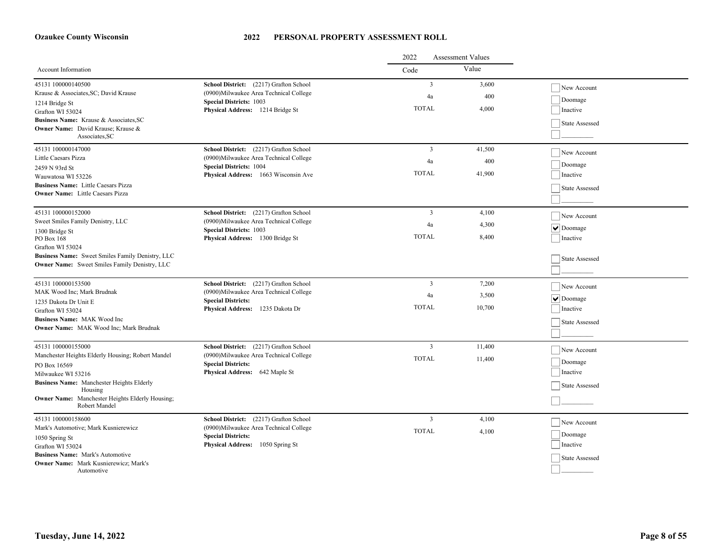|                                                                                                   |                                                                           | 2022<br><b>Assessment Values</b> |         |                |
|---------------------------------------------------------------------------------------------------|---------------------------------------------------------------------------|----------------------------------|---------|----------------|
| Account Information                                                                               |                                                                           | Code                             | Value   |                |
| 45131 100000140500                                                                                | School District: (2217) Grafton School                                    | $\mathbf{3}$                     | 3,600   | New Account    |
| Krause & Associates, SC; David Krause                                                             | (0900)Milwaukee Area Technical College                                    | 4a                               | 400     | Doomage        |
| 1214 Bridge St                                                                                    | <b>Special Districts: 1003</b><br>Physical Address: 1214 Bridge St        | <b>TOTAL</b>                     | 4,000   | Inactive       |
| Grafton WI 53024<br>Business Name: Krause & Associates, SC                                        |                                                                           |                                  |         |                |
| Owner Name: David Krause; Krause &                                                                |                                                                           |                                  |         | State Assessed |
| Associates.SC                                                                                     |                                                                           |                                  |         |                |
| 45131 100000147000                                                                                | School District: (2217) Grafton School                                    | $\overline{3}$                   | 41,500  | New Account    |
| Little Caesars Pizza<br>(0900) Milwaukee Area Technical College<br><b>Special Districts: 1004</b> | 4a                                                                        | 400                              | Doomage |                |
| 2459 N 93rd St<br>Wauwatosa WI 53226                                                              | Physical Address: 1663 Wisconsin Ave                                      | <b>TOTAL</b>                     | 41,900  | Inactive       |
| <b>Business Name:</b> Little Caesars Pizza                                                        |                                                                           |                                  |         |                |
| <b>Owner Name:</b> Little Caesars Pizza                                                           |                                                                           |                                  |         | State Assessed |
|                                                                                                   |                                                                           |                                  |         |                |
| 45131 100000152000                                                                                | School District: (2217) Grafton School                                    | $\overline{3}$                   | 4,100   | New Account    |
| Sweet Smiles Family Denistry, LLC                                                                 | (0900) Milwaukee Area Technical College<br><b>Special Districts: 1003</b> | 4a                               | 4,300   | $\vee$ Doomage |
| 1300 Bridge St<br>PO Box 168                                                                      | Physical Address: 1300 Bridge St                                          | <b>TOTAL</b>                     | 8,400   | Inactive       |
| Grafton WI 53024                                                                                  |                                                                           |                                  |         |                |
| Business Name: Sweet Smiles Family Denistry, LLC                                                  |                                                                           |                                  |         | State Assessed |
| Owner Name: Sweet Smiles Family Denistry, LLC                                                     |                                                                           |                                  |         |                |
| 45131 100000153500                                                                                | School District: (2217) Grafton School                                    | $\overline{3}$                   | 7,200   |                |
| MAK Wood Inc; Mark Brudnak                                                                        | (0900) Milwaukee Area Technical College                                   |                                  |         | New Account    |
| 1235 Dakota Dr Unit E                                                                             | <b>Special Districts:</b>                                                 | 4a                               | 3,500   | $\vee$ Doomage |
| Grafton WI 53024                                                                                  | Physical Address: 1235 Dakota Dr                                          | <b>TOTAL</b>                     | 10,700  | Inactive       |
| <b>Business Name: MAK Wood Inc.</b>                                                               |                                                                           |                                  |         | State Assessed |
| Owner Name: MAK Wood Inc; Mark Brudnak                                                            |                                                                           |                                  |         |                |
| 45131 100000155000                                                                                | School District: (2217) Grafton School                                    | $\overline{\mathbf{3}}$          | 11,400  |                |
| Manchester Heights Elderly Housing; Robert Mandel                                                 | (0900) Milwaukee Area Technical College                                   | <b>TOTAL</b>                     |         | New Account    |
| PO Box 16569                                                                                      | <b>Special Districts:</b>                                                 |                                  | 11,400  | Doomage        |
| Milwaukee WI 53216                                                                                | Physical Address: 642 Maple St                                            |                                  |         | Inactive       |
| Business Name: Manchester Heights Elderly<br>Housing                                              |                                                                           |                                  |         | State Assessed |
| <b>Owner Name:</b> Manchester Heights Elderly Housing;                                            |                                                                           |                                  |         |                |
| Robert Mandel                                                                                     |                                                                           |                                  |         |                |
| 45131 100000158600                                                                                | School District: (2217) Grafton School                                    | $\overline{3}$                   | 4,100   | New Account    |
| Mark's Automotive; Mark Kusnierewicz                                                              | (0900) Milwaukee Area Technical College                                   | <b>TOTAL</b>                     | 4,100   | Doomage        |
| 1050 Spring St<br>Grafton WI 53024                                                                | <b>Special Districts:</b><br>Physical Address: 1050 Spring St             |                                  |         | Inactive       |
| <b>Business Name: Mark's Automotive</b>                                                           |                                                                           |                                  |         |                |
| Owner Name: Mark Kusnierewicz; Mark's                                                             |                                                                           |                                  |         | State Assessed |
| Automotive                                                                                        |                                                                           |                                  |         |                |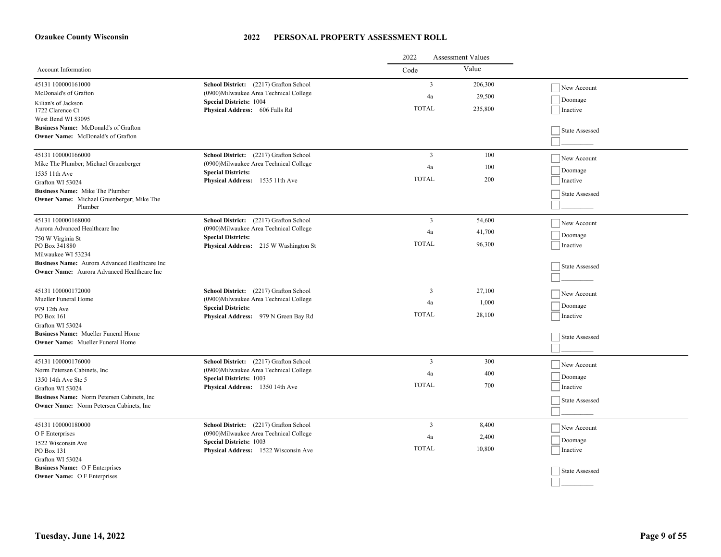|                                                                                                                          |                                                                                   | 2022<br><b>Assessment Values</b> |                   |                        |
|--------------------------------------------------------------------------------------------------------------------------|-----------------------------------------------------------------------------------|----------------------------------|-------------------|------------------------|
| Account Information                                                                                                      |                                                                                   | Code                             | Value             |                        |
| 45131 100000161000<br>McDonald's of Grafton                                                                              | School District: (2217) Grafton School<br>(0900) Milwaukee Area Technical College | $\overline{3}$<br>4a             | 206,300<br>29,500 | New Account<br>Doomage |
| Kilian's of Jackson<br>1722 Clarence Ct<br>West Bend WI 53095<br>Business Name: McDonald's of Grafton                    | <b>Special Districts: 1004</b><br>Physical Address: 606 Falls Rd                  | <b>TOTAL</b>                     | 235,800           | Inactive               |
| <b>Owner Name:</b> McDonald's of Grafton                                                                                 |                                                                                   |                                  |                   | State Assessed         |
| 45131 100000166000<br>Mike The Plumber; Michael Gruenberger                                                              | School District: (2217) Grafton School<br>(0900) Milwaukee Area Technical College | $\overline{3}$                   | 100               | New Account            |
| 1535 11th Ave                                                                                                            | <b>Special Districts:</b><br>Physical Address: 1535 11th Ave                      | 4a<br><b>TOTAL</b>               | 100<br>200        | Doomage<br>Inactive    |
| Grafton WI 53024<br>Business Name: Mike The Plumber<br><b>Owner Name:</b> Michael Gruenberger; Mike The                  |                                                                                   |                                  |                   | State Assessed         |
| Plumber                                                                                                                  |                                                                                   |                                  |                   |                        |
| 45131 100000168000<br>Aurora Advanced Healthcare Inc                                                                     | School District: (2217) Grafton School<br>(0900)Milwaukee Area Technical College  | $\overline{3}$                   | 54,600            | New Account            |
| 750 W Virginia St<br>PO Box 341880                                                                                       | <b>Special Districts:</b><br>Physical Address: 215 W Washington St                | 4a<br><b>TOTAL</b>               | 41,700<br>96,300  | Doomage<br>Inactive    |
| Milwaukee WI 53234<br>Business Name: Aurora Advanced Healthcare Inc<br><b>Owner Name:</b> Aurora Advanced Healthcare Inc |                                                                                   |                                  |                   | State Assessed         |
| 45131 100000172000                                                                                                       | School District: (2217) Grafton School                                            | $\overline{3}$                   | 27,100            | New Account            |
| Mueller Funeral Home<br>979 12th Ave                                                                                     | (0900) Milwaukee Area Technical College<br><b>Special Districts:</b>              | 4a                               | 1,000             | Doomage                |
| PO Box 161<br>Grafton WI 53024                                                                                           | Physical Address: 979 N Green Bay Rd                                              | <b>TOTAL</b>                     | 28,100            | Inactive               |
| <b>Business Name:</b> Mueller Funeral Home<br><b>Owner Name:</b> Mueller Funeral Home                                    |                                                                                   |                                  |                   | State Assessed         |
| 45131 100000176000<br>Norm Petersen Cabinets, Inc.                                                                       | School District: (2217) Grafton School                                            | $\overline{3}$                   | 300               | New Account            |
| 1350 14th Ave Ste 5                                                                                                      | (0900)Milwaukee Area Technical College<br><b>Special Districts: 1003</b>          | 4a<br><b>TOTAL</b>               | 400               | Doomage                |
| Grafton WI 53024<br>Business Name: Norm Petersen Cabinets, Inc.                                                          | Physical Address: 1350 14th Ave                                                   |                                  | 700               | Inactive               |
| <b>Owner Name:</b> Norm Petersen Cabinets, Inc.                                                                          |                                                                                   |                                  |                   | State Assessed         |
| 45131 100000180000<br>O F Enterprises                                                                                    | School District: (2217) Grafton School<br>(0900) Milwaukee Area Technical College | $\overline{3}$                   | 8,400             | New Account            |
| 1522 Wisconsin Ave                                                                                                       | <b>Special Districts: 1003</b>                                                    | 4a                               | 2,400             | Doomage                |
| PO Box 131<br>Grafton WI 53024                                                                                           | Physical Address: 1522 Wisconsin Ave                                              | <b>TOTAL</b>                     | 10,800            | Inactive               |
| <b>Business Name: OF Enterprises</b><br><b>Owner Name:</b> O F Enterprises                                               |                                                                                   |                                  |                   | State Assessed         |
|                                                                                                                          |                                                                                   |                                  |                   |                        |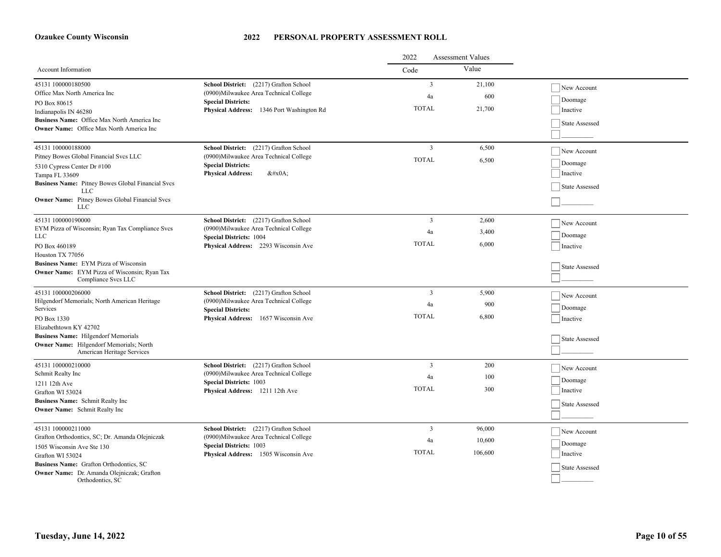| 2022<br><b>Assessment Values</b>                                                      |                                                                                   |                |         |                       |
|---------------------------------------------------------------------------------------|-----------------------------------------------------------------------------------|----------------|---------|-----------------------|
| Account Information                                                                   |                                                                                   | Code           | Value   |                       |
| 45131 100000180500<br>Office Max North America Inc                                    | School District: (2217) Grafton School<br>(0900) Milwaukee Area Technical College | $\mathbf{3}$   | 21,100  | New Account           |
| PO Box 80615                                                                          | <b>Special Districts:</b>                                                         | 4a             | 600     | Doomage               |
| Indianapolis IN 46280                                                                 | Physical Address: 1346 Port Washington Rd                                         | <b>TOTAL</b>   | 21,700  | Inactive              |
| Business Name: Office Max North America Inc                                           |                                                                                   |                |         | State Assessed        |
| <b>Owner Name:</b> Office Max North America Inc                                       |                                                                                   |                |         |                       |
| 45131 100000188000                                                                    | School District: (2217) Grafton School                                            | $\mathbf{3}$   | 6,500   |                       |
| Pitney Bowes Global Financial Svcs LLC                                                | (0900) Milwaukee Area Technical College                                           | <b>TOTAL</b>   | 6,500   | New Account           |
| 5310 Cypress Center Dr #100                                                           | <b>Special Districts:</b>                                                         |                |         | Doomage               |
| Tampa FL 33609                                                                        | <b>Physical Address:</b><br>$&\#x0A$ ;                                            |                |         | Inactive              |
| <b>Business Name:</b> Pitney Bowes Global Financial Svcs<br><b>LLC</b>                |                                                                                   |                |         | State Assessed        |
| <b>Owner Name:</b> Pitney Bowes Global Financial Svcs<br>LLC                          |                                                                                   |                |         |                       |
| 45131 100000190000                                                                    | School District: (2217) Grafton School                                            | $\mathfrak{Z}$ | 2,600   | New Account           |
| EYM Pizza of Wisconsin; Ryan Tax Compliance Svcs                                      | (0900) Milwaukee Area Technical College                                           | 4a             | 3,400   |                       |
| <b>LLC</b>                                                                            | <b>Special Districts: 1004</b>                                                    | <b>TOTAL</b>   | 6.000   | Doomage               |
| PO Box 460189                                                                         | Physical Address: 2293 Wisconsin Ave                                              |                |         | Inactive              |
| Houston TX 77056<br>Business Name: EYM Pizza of Wisconsin                             |                                                                                   |                |         |                       |
| <b>Owner Name:</b> EYM Pizza of Wisconsin; Ryan Tax                                   |                                                                                   |                |         | State Assessed        |
| Compliance Svcs LLC                                                                   |                                                                                   |                |         |                       |
| 45131 100000206000                                                                    | School District: (2217) Grafton School                                            | $\overline{3}$ | 5,900   | New Account           |
| Hilgendorf Memorials; North American Heritage<br>Services                             | (0900)Milwaukee Area Technical College                                            | 4a             | 900     | Doomage               |
| PO Box 1330                                                                           | <b>Special Districts:</b><br>Physical Address: 1657 Wisconsin Ave                 | <b>TOTAL</b>   | 6,800   | Inactive              |
| Elizabethtown KY 42702                                                                |                                                                                   |                |         |                       |
| <b>Business Name:</b> Hilgendorf Memorials                                            |                                                                                   |                |         | State Assessed        |
| Owner Name: Hilgendorf Memorials; North                                               |                                                                                   |                |         |                       |
| American Heritage Services                                                            |                                                                                   |                |         |                       |
| 45131 100000210000                                                                    | School District: (2217) Grafton School                                            | $\overline{3}$ | 200     | New Account           |
| Schmit Realty Inc                                                                     | (0900) Milwaukee Area Technical College<br><b>Special Districts: 1003</b>         | 4a             | 100     | Doomage               |
| 1211 12th Ave                                                                         | Physical Address: 1211 12th Ave                                                   | <b>TOTAL</b>   | 300     | Inactive              |
| Grafton WI 53024<br>Business Name: Schmit Realty Inc                                  |                                                                                   |                |         |                       |
| <b>Owner Name:</b> Schmit Realty Inc                                                  |                                                                                   |                |         | <b>State Assessed</b> |
|                                                                                       |                                                                                   |                |         |                       |
| 45131 100000211000                                                                    | School District: (2217) Grafton School                                            | $\overline{3}$ | 96,000  | New Account           |
| Grafton Orthodontics, SC; Dr. Amanda Olejniczak                                       | (0900) Milwaukee Area Technical College                                           | 4a             | 10,600  | Doomage               |
| 1505 Wisconsin Ave Ste 130                                                            | <b>Special Districts: 1003</b>                                                    | <b>TOTAL</b>   | 106,600 | Inactive              |
| Grafton WI 53024                                                                      | Physical Address: 1505 Wisconsin Ave                                              |                |         |                       |
| Business Name: Grafton Orthodontics, SC<br>Owner Name: Dr. Amanda Olejniczak; Grafton |                                                                                   |                |         | State Assessed        |
| Orthodontics, SC                                                                      |                                                                                   |                |         |                       |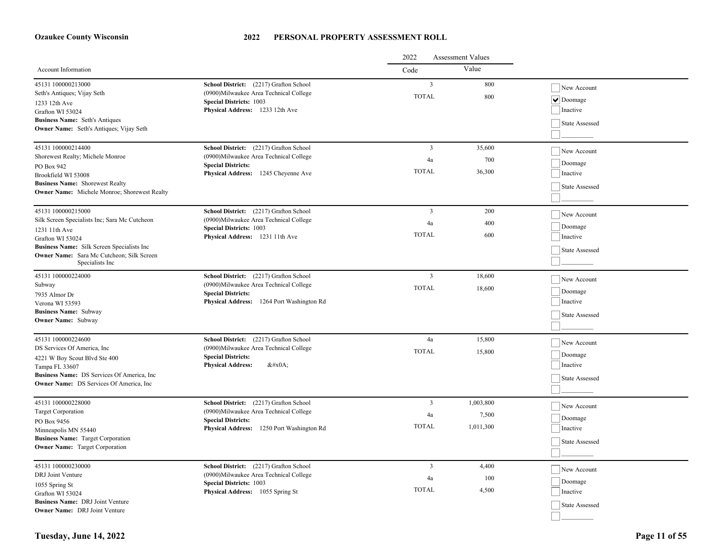|                                                                                                            |                                                                                                                                                       | 2022<br><b>Assessment Values</b> |            |                                             |
|------------------------------------------------------------------------------------------------------------|-------------------------------------------------------------------------------------------------------------------------------------------------------|----------------------------------|------------|---------------------------------------------|
| <b>Account Information</b>                                                                                 |                                                                                                                                                       | Code                             | Value      |                                             |
| 45131 100000213000<br>Seth's Antiques; Vijay Seth<br>1233 12th Ave<br>Grafton WI 53024                     | School District: (2217) Grafton School<br>(0900)Milwaukee Area Technical College<br><b>Special Districts: 1003</b><br>Physical Address: 1233 12th Ave | 3<br><b>TOTAL</b>                | 800<br>800 | New Account<br>$ \vee $ Doomage<br>Inactive |
| <b>Business Name:</b> Seth's Antiques<br>Owner Name: Seth's Antiques; Vijay Seth                           |                                                                                                                                                       |                                  |            | State Assessed                              |
| 45131 100000214400<br>Shorewest Realty; Michele Monroe                                                     | School District: (2217) Grafton School<br>(0900)Milwaukee Area Technical College                                                                      | $\overline{3}$                   | 35,600     | New Account                                 |
| PO Box 942                                                                                                 | <b>Special Districts:</b>                                                                                                                             | 4a                               | 700        | Doomage                                     |
| Brookfield WI 53008                                                                                        | Physical Address: 1245 Cheyenne Ave                                                                                                                   | <b>TOTAL</b>                     | 36,300     | Inactive                                    |
| <b>Business Name:</b> Shorewest Realty<br><b>Owner Name:</b> Michele Monroe; Shorewest Realty              |                                                                                                                                                       |                                  |            | State Assessed                              |
| 45131 100000215000                                                                                         | School District: (2217) Grafton School                                                                                                                | $\overline{3}$                   | 200        | New Account                                 |
| Silk Screen Specialists Inc; Sara Mc Cutcheon                                                              | (0900) Milwaukee Area Technical College<br><b>Special Districts: 1003</b>                                                                             | 4a                               | 400        | Doomage                                     |
| 1231 11th Ave<br>Grafton WI 53024                                                                          | Physical Address: 1231 11th Ave                                                                                                                       | <b>TOTAL</b>                     | 600        | Inactive                                    |
| Business Name: Silk Screen Specialists Inc<br>Owner Name: Sara Mc Cutcheon; Silk Screen<br>Specialists Inc |                                                                                                                                                       |                                  |            | State Assessed                              |
| 45131 100000224000                                                                                         | School District: (2217) Grafton School                                                                                                                | $\overline{3}$                   | 18,600     | New Account                                 |
| Subway                                                                                                     | (0900) Milwaukee Area Technical College                                                                                                               | <b>TOTAL</b>                     | 18,600     | Doomage                                     |
| 7935 Almor Dr<br>Verona WI 53593                                                                           | <b>Special Districts:</b><br>Physical Address: 1264 Port Washington Rd                                                                                |                                  |            | Inactive                                    |
| <b>Business Name: Subway</b><br><b>Owner Name:</b> Subway                                                  |                                                                                                                                                       |                                  |            | State Assessed                              |
| 45131 100000224600                                                                                         | School District: (2217) Grafton School                                                                                                                | 4a                               | 15,800     | New Account                                 |
| DS Services Of America, Inc.                                                                               | (0900) Milwaukee Area Technical College                                                                                                               | <b>TOTAL</b>                     | 15,800     | Doomage                                     |
| 4221 W Boy Scout Blvd Ste 400<br>Tampa FL 33607                                                            | <b>Special Districts:</b><br><b>Physical Address:</b><br>$&\#x0A;$                                                                                    |                                  |            | Inactive                                    |
| Business Name: DS Services Of America, Inc.<br><b>Owner Name:</b> DS Services Of America, Inc.             |                                                                                                                                                       |                                  |            | State Assessed                              |
|                                                                                                            |                                                                                                                                                       |                                  |            |                                             |
| 45131 100000228000                                                                                         | School District: (2217) Grafton School<br>(0900)Milwaukee Area Technical College                                                                      | $\overline{3}$                   | 1,003,800  | New Account                                 |
| <b>Target Corporation</b><br>PO Box 9456                                                                   | <b>Special Districts:</b>                                                                                                                             | 4a                               | 7,500      | Doomage                                     |
| Minneapolis MN 55440                                                                                       | Physical Address: 1250 Port Washington Rd                                                                                                             | <b>TOTAL</b>                     | 1,011,300  | Inactive                                    |
| <b>Business Name:</b> Target Corporation<br><b>Owner Name:</b> Target Corporation                          |                                                                                                                                                       |                                  |            | State Assessed                              |
| 45131 100000230000                                                                                         | School District: (2217) Grafton School                                                                                                                | 3                                | 4,400      | New Account                                 |
| DRJ Joint Venture                                                                                          | (0900) Milwaukee Area Technical College<br><b>Special Districts: 1003</b>                                                                             | 4a                               | 100        | Doomage                                     |
| 1055 Spring St<br>Grafton WI 53024                                                                         | Physical Address: 1055 Spring St                                                                                                                      | <b>TOTAL</b>                     | 4,500      | Inactive                                    |
| Business Name: DRJ Joint Venture                                                                           |                                                                                                                                                       |                                  |            | State Assessed                              |
| <b>Owner Name:</b> DRJ Joint Venture                                                                       |                                                                                                                                                       |                                  |            |                                             |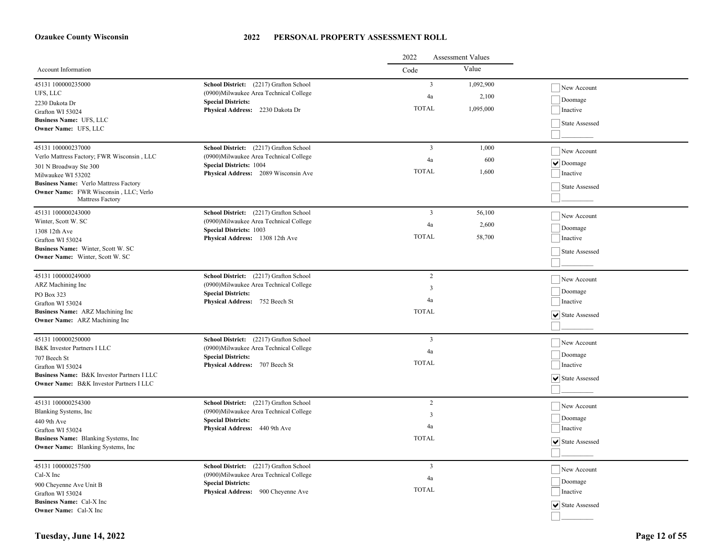|                                                                                                                                 |                                                                                  | 2022<br><b>Assessment Values</b> |                    |                                                  |
|---------------------------------------------------------------------------------------------------------------------------------|----------------------------------------------------------------------------------|----------------------------------|--------------------|--------------------------------------------------|
| Account Information                                                                                                             |                                                                                  | Code                             | Value              |                                                  |
| 45131 100000235000<br>UFS, LLC                                                                                                  | School District: (2217) Grafton School<br>(0900)Milwaukee Area Technical College | $\overline{3}$<br>4a             | 1,092,900<br>2,100 | New Account<br>Doomage                           |
| 2230 Dakota Dr<br>Grafton WI 53024<br>Business Name: UFS, LLC<br>Owner Name: UFS, LLC                                           | <b>Special Districts:</b><br>Physical Address: 2230 Dakota Dr                    | <b>TOTAL</b>                     | 1,095,000          | Inactive<br>State Assessed                       |
| 45131 100000237000                                                                                                              | School District: (2217) Grafton School                                           | $\overline{3}$                   | 1,000              | New Account                                      |
| Verlo Mattress Factory; FWR Wisconsin, LLC<br>301 N Broadway Ste 300                                                            | (0900) Milwaukee Area Technical College<br><b>Special Districts: 1004</b>        | 4a                               | 600                | $\boxed{\blacktriangledown}$ Doomage             |
| Milwaukee WI 53202<br><b>Business Name:</b> Verlo Mattress Factory<br>Owner Name: FWR Wisconsin, LLC; Verlo<br>Mattress Factory | Physical Address: 2089 Wisconsin Ave                                             | <b>TOTAL</b>                     | 1.600              | Inactive<br>State Assessed                       |
| 45131 100000243000                                                                                                              | School District: (2217) Grafton School                                           | $\overline{3}$                   | 56,100             | New Account                                      |
| Winter, Scott W. SC<br>1308 12th Ave                                                                                            | (0900)Milwaukee Area Technical College<br><b>Special Districts: 1003</b>         | 4a                               | 2,600              | Doomage                                          |
| Grafton WI 53024                                                                                                                | Physical Address: 1308 12th Ave                                                  | <b>TOTAL</b>                     | 58,700             | Inactive                                         |
| Business Name: Winter, Scott W. SC<br><b>Owner Name:</b> Winter, Scott W. SC                                                    |                                                                                  |                                  |                    | State Assessed                                   |
| 45131 100000249000                                                                                                              | School District: (2217) Grafton School                                           | 2                                |                    | New Account                                      |
| ARZ Machining Inc<br>PO Box 323                                                                                                 | (0900)Milwaukee Area Technical College<br><b>Special Districts:</b>              | 3                                |                    | Doomage                                          |
| Grafton WI 53024                                                                                                                | Physical Address: 752 Beech St                                                   | 4a                               |                    | Inactive                                         |
| Business Name: ARZ Machining Inc<br><b>Owner Name:</b> ARZ Machining Inc                                                        |                                                                                  | <b>TOTAL</b>                     |                    | ↓ State Assessed                                 |
| 45131 100000250000                                                                                                              | School District: (2217) Grafton School                                           | $\overline{3}$                   |                    | New Account                                      |
| <b>B&amp;K</b> Investor Partners I LLC                                                                                          | (0900)Milwaukee Area Technical College<br><b>Special Districts:</b>              | 4a                               |                    | Doomage                                          |
| 707 Beech St<br>Grafton WI 53024                                                                                                | Physical Address: 707 Beech St                                                   | <b>TOTAL</b>                     |                    | Inactive                                         |
| Business Name: B&K Investor Partners I LLC<br><b>Owner Name: B&amp;K Investor Partners I LLC</b>                                |                                                                                  |                                  |                    | $ \mathbf{v} $ State Assessed                    |
| 45131 100000254300                                                                                                              | School District: (2217) Grafton School                                           | 2                                |                    | New Account                                      |
| Blanking Systems, Inc<br>440 9th Ave                                                                                            | (0900) Milwaukee Area Technical College<br><b>Special Districts:</b>             | $\overline{3}$                   |                    | Doomage                                          |
| Grafton WI 53024                                                                                                                | Physical Address: 440 9th Ave                                                    | 4a                               |                    | Inactive                                         |
| Business Name: Blanking Systems, Inc<br>Owner Name: Blanking Systems, Inc                                                       |                                                                                  | <b>TOTAL</b>                     |                    | $ \mathbf{v} $ State Assessed                    |
| 45131 100000257500                                                                                                              | School District: (2217) Grafton School                                           | $\overline{\mathbf{3}}$          |                    | New Account                                      |
| Cal-X Inc                                                                                                                       | (0900) Milwaukee Area Technical College                                          | 4a                               |                    | Doomage                                          |
| 900 Cheyenne Ave Unit B<br>Grafton WI 53024                                                                                     | <b>Special Districts:</b><br>Physical Address: 900 Cheyenne Ave                  | <b>TOTAL</b>                     |                    | Inactive                                         |
| <b>Business Name:</b> Cal-X Inc                                                                                                 |                                                                                  |                                  |                    | $\vert\overline{\mathbf{v}}\vert$ State Assessed |
| <b>Owner Name:</b> Cal-X Inc                                                                                                    |                                                                                  |                                  |                    |                                                  |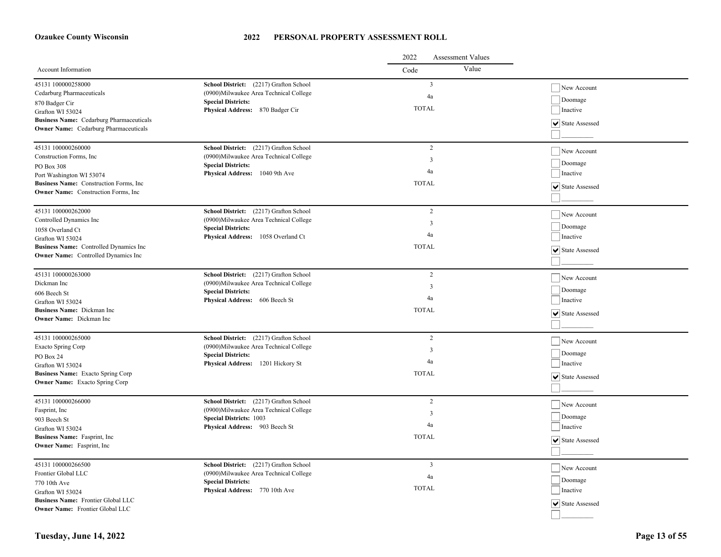|                                                                              |                                                                  | 2022<br><b>Assessment Values</b> |                  |
|------------------------------------------------------------------------------|------------------------------------------------------------------|----------------------------------|------------------|
| Account Information                                                          |                                                                  | Value<br>Code                    |                  |
| 45131 100000258000                                                           | School District: (2217) Grafton School                           | $\overline{3}$                   | New Account      |
| Cedarburg Pharmaceuticals                                                    | (0900)Milwaukee Area Technical College                           | 4a                               |                  |
| 870 Badger Cir                                                               | <b>Special Districts:</b>                                        | <b>TOTAL</b>                     | Doomage          |
| Grafton WI 53024                                                             | Physical Address: 870 Badger Cir                                 |                                  | Inactive         |
| Business Name: Cedarburg Pharmaceuticals                                     |                                                                  |                                  | ↓ State Assessed |
| <b>Owner Name:</b> Cedarburg Pharmaceuticals                                 |                                                                  |                                  |                  |
| 45131 100000260000                                                           | School District: (2217) Grafton School                           | $\overline{c}$                   | New Account      |
| Construction Forms, Inc.                                                     | (0900) Milwaukee Area Technical College                          | 3                                |                  |
| PO Box 308                                                                   | <b>Special Districts:</b>                                        | 4a                               | Doomage          |
| Port Washington WI 53074                                                     | Physical Address: 1040 9th Ave                                   |                                  | Inactive         |
| Business Name: Construction Forms, Inc.                                      |                                                                  | <b>TOTAL</b>                     | ↓ State Assessed |
| <b>Owner Name:</b> Construction Forms, Inc.                                  |                                                                  |                                  |                  |
| 45131 100000262000                                                           | School District: (2217) Grafton School                           | $\overline{c}$                   | New Account      |
| Controlled Dynamics Inc                                                      | (0900)Milwaukee Area Technical College                           | 3                                |                  |
| 1058 Overland Ct                                                             | <b>Special Districts:</b>                                        | 4a                               | Doomage          |
| Grafton WI 53024                                                             | Physical Address: 1058 Overland Ct                               |                                  | Inactive         |
| Business Name: Controlled Dynamics Inc                                       |                                                                  | <b>TOTAL</b>                     | ↓ State Assessed |
| Owner Name: Controlled Dynamics Inc                                          |                                                                  |                                  |                  |
| 45131 100000263000                                                           | School District: (2217) Grafton School                           | $\overline{c}$                   | New Account      |
| Dickman Inc                                                                  | (0900) Milwaukee Area Technical College                          | $\overline{3}$                   | Doomage          |
| 606 Beech St                                                                 | <b>Special Districts:</b><br>Physical Address: 606 Beech St      | 4a                               | Inactive         |
| Grafton WI 53024                                                             |                                                                  |                                  |                  |
| Business Name: Dickman Inc<br><b>Owner Name:</b> Dickman Inc                 |                                                                  | <b>TOTAL</b>                     | ↓ State Assessed |
|                                                                              |                                                                  |                                  |                  |
| 45131 100000265000                                                           | School District: (2217) Grafton School                           | $\overline{c}$                   | New Account      |
| Exacto Spring Corp                                                           | (0900) Milwaukee Area Technical College                          | 3                                | Doomage          |
| PO Box 24                                                                    | <b>Special Districts:</b><br>Physical Address: 1201 Hickory St   | 4a                               | Inactive         |
| Grafton WI 53024                                                             |                                                                  |                                  |                  |
| Business Name: Exacto Spring Corp<br><b>Owner Name:</b> Exacto Spring Corp   |                                                                  | <b>TOTAL</b>                     | State Assessed   |
|                                                                              |                                                                  |                                  |                  |
| 45131 100000266000                                                           | School District: (2217) Grafton School                           | 2                                | New Account      |
| Fasprint, Inc.                                                               | (0900)Milwaukee Area Technical College                           | 3                                | Doomage          |
| 903 Beech St                                                                 | <b>Special Districts: 1003</b><br>Physical Address: 903 Beech St | 4a                               | Inactive         |
| Grafton WI 53024                                                             |                                                                  | <b>TOTAL</b>                     |                  |
| Business Name: Fasprint, Inc.<br>Owner Name: Fasprint, Inc                   |                                                                  |                                  | ↓ State Assessed |
|                                                                              |                                                                  |                                  |                  |
| 45131 100000266500                                                           | School District: (2217) Grafton School                           | $\overline{\mathbf{3}}$          | New Account      |
| Frontier Global LLC                                                          | (0900) Milwaukee Area Technical College                          | 4a                               | Doomage          |
| 770 10th Ave                                                                 | <b>Special Districts:</b>                                        | <b>TOTAL</b>                     | Inactive         |
| Grafton WI 53024                                                             | Physical Address: 770 10th Ave                                   |                                  |                  |
| Business Name: Frontier Global LLC<br><b>Owner Name:</b> Frontier Global LLC |                                                                  |                                  | ▼ State Assessed |
|                                                                              |                                                                  |                                  |                  |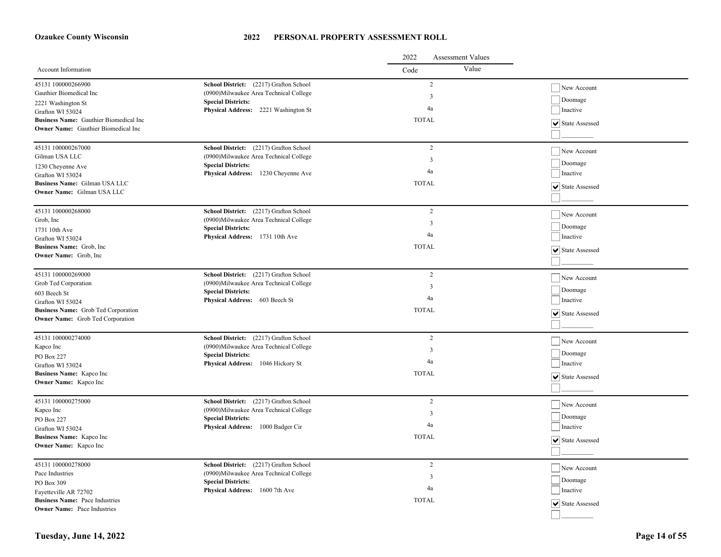|                                                                                |                                         | 2022<br><b>Assessment Values</b> |                  |
|--------------------------------------------------------------------------------|-----------------------------------------|----------------------------------|------------------|
| Account Information                                                            |                                         | Value<br>Code                    |                  |
| 45131 100000266900                                                             | School District: (2217) Grafton School  | $\overline{2}$                   | New Account      |
| Gauthier Biomedical Inc                                                        | (0900) Milwaukee Area Technical College | $\overline{3}$                   |                  |
| 2221 Washington St                                                             | <b>Special Districts:</b>               | 4a                               | Doomage          |
| Grafton WI 53024                                                               | Physical Address: 2221 Washington St    |                                  | Inactive         |
| Business Name: Gauthier Biomedical Inc                                         |                                         | <b>TOTAL</b>                     | ↓ State Assessed |
| <b>Owner Name:</b> Gauthier Biomedical Inc                                     |                                         |                                  |                  |
| 45131 100000267000                                                             | School District: (2217) Grafton School  | $\overline{c}$                   | New Account      |
| Gilman USA LLC                                                                 | (0900) Milwaukee Area Technical College | 3                                |                  |
| 1230 Cheyenne Ave                                                              | <b>Special Districts:</b>               | 4a                               | Doomage          |
| Grafton WI 53024                                                               | Physical Address: 1230 Cheyenne Ave     |                                  | Inactive         |
| Business Name: Gilman USA LLC                                                  |                                         | <b>TOTAL</b>                     | ▼ State Assessed |
| Owner Name: Gilman USA LLC                                                     |                                         |                                  |                  |
| 45131 100000268000                                                             | School District: (2217) Grafton School  | $\overline{2}$                   | New Account      |
| Grob, Inc                                                                      | (0900)Milwaukee Area Technical College  | $\overline{3}$                   |                  |
| 1731 10th Ave                                                                  | <b>Special Districts:</b>               | 4a                               | Doomage          |
| Grafton WI 53024                                                               | Physical Address: 1731 10th Ave         |                                  | Inactive         |
| Business Name: Grob, Inc.                                                      |                                         | <b>TOTAL</b>                     | State Assessed   |
| Owner Name: Grob, Inc.                                                         |                                         |                                  |                  |
| 45131 100000269000                                                             | School District: (2217) Grafton School  | 2                                | New Account      |
| Grob Ted Corporation                                                           | (0900) Milwaukee Area Technical College | 3                                | Doomage          |
| 603 Beech St                                                                   | <b>Special Districts:</b>               | 4a                               | Inactive         |
| Grafton WI 53024                                                               | Physical Address: 603 Beech St          |                                  |                  |
| Business Name: Grob Ted Corporation<br><b>Owner Name:</b> Grob Ted Corporation |                                         | <b>TOTAL</b>                     | ↓ State Assessed |
|                                                                                |                                         |                                  |                  |
| 45131 100000274000                                                             | School District: (2217) Grafton School  | $\overline{2}$                   | New Account      |
| Kapco Inc                                                                      | (0900) Milwaukee Area Technical College | 3                                | Doomage          |
| PO Box 227                                                                     | <b>Special Districts:</b>               | 4a                               |                  |
| Grafton WI 53024                                                               | Physical Address: 1046 Hickory St       |                                  | Inactive         |
| Business Name: Kapco Inc                                                       |                                         | <b>TOTAL</b>                     | State Assessed   |
| Owner Name: Kapco Inc                                                          |                                         |                                  |                  |
| 45131 100000275000                                                             | School District: (2217) Grafton School  | $\overline{c}$                   | New Account      |
| Kapco Inc                                                                      | (0900) Milwaukee Area Technical College | 3                                | Doomage          |
| PO Box 227                                                                     | <b>Special Districts:</b>               | 4a                               | Inactive         |
| Grafton WI 53024                                                               | Physical Address: 1000 Badger Cir       |                                  |                  |
| Business Name: Kapco Inc                                                       |                                         | <b>TOTAL</b>                     | ↓ State Assessed |
| <b>Owner Name:</b> Kapco Inc                                                   |                                         |                                  |                  |
| 45131 100000278000                                                             | School District: (2217) Grafton School  | $\overline{c}$                   | New Account      |
| Pace Industries                                                                | (0900) Milwaukee Area Technical College | 3                                |                  |
| PO Box 309                                                                     | <b>Special Districts:</b>               | 4a                               | Doomage          |
| Fayetteville AR 72702                                                          | Physical Address: 1600 7th Ave          |                                  | Inactive         |
| <b>Business Name: Pace Industries</b><br><b>Owner Name:</b> Pace Industries    |                                         | <b>TOTAL</b>                     | ↓ State Assessed |
|                                                                                |                                         |                                  |                  |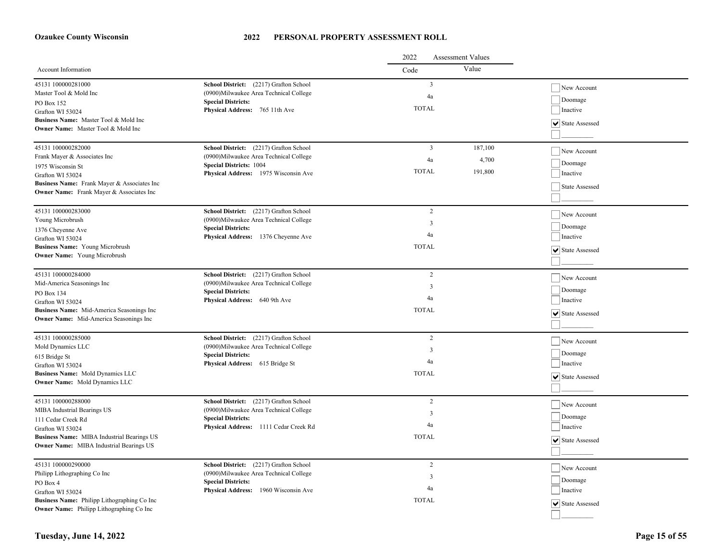|                                                 |                                                                      | 2022<br><b>Assessment Values</b> |         |                  |  |
|-------------------------------------------------|----------------------------------------------------------------------|----------------------------------|---------|------------------|--|
| Account Information                             |                                                                      | Code                             | Value   |                  |  |
| 45131 100000281000                              | School District: (2217) Grafton School                               | $\overline{3}$                   |         | New Account      |  |
| Master Tool & Mold Inc                          | (0900)Milwaukee Area Technical College                               | 4a                               |         |                  |  |
| PO Box 152                                      | <b>Special Districts:</b>                                            | <b>TOTAL</b>                     |         | Doomage          |  |
| Grafton WI 53024                                | Physical Address: 765 11th Ave                                       |                                  |         | Inactive         |  |
| Business Name: Master Tool & Mold Inc           |                                                                      |                                  |         | V State Assessed |  |
| Owner Name: Master Tool & Mold Inc              |                                                                      |                                  |         |                  |  |
| 45131 100000282000                              | School District: (2217) Grafton School                               | $\overline{3}$                   | 187,100 | New Account      |  |
| Frank Mayer & Associates Inc                    | (0900)Milwaukee Area Technical College                               | 4a                               | 4,700   |                  |  |
| 1975 Wisconsin St                               | <b>Special Districts: 1004</b>                                       |                                  |         | Doomage          |  |
| Grafton WI 53024                                | Physical Address: 1975 Wisconsin Ave                                 | <b>TOTAL</b>                     | 191,800 | Inactive         |  |
| Business Name: Frank Mayer & Associates Inc     |                                                                      |                                  |         | State Assessed   |  |
| Owner Name: Frank Mayer & Associates Inc        |                                                                      |                                  |         |                  |  |
| 45131 100000283000                              | School District: (2217) Grafton School                               | $\overline{c}$                   |         | New Account      |  |
| Young Microbrush                                | (0900)Milwaukee Area Technical College                               | 3                                |         |                  |  |
| 1376 Cheyenne Ave                               | <b>Special Districts:</b>                                            | 4a                               |         | Doomage          |  |
| Grafton WI 53024                                | Physical Address: 1376 Cheyenne Ave                                  |                                  |         | Inactive         |  |
| Business Name: Young Microbrush                 |                                                                      | <b>TOTAL</b>                     |         | ▼ State Assessed |  |
| <b>Owner Name:</b> Young Microbrush             |                                                                      |                                  |         |                  |  |
| 45131 100000284000                              | School District: (2217) Grafton School                               | 2                                |         | New Account      |  |
| Mid-America Seasonings Inc                      | (0900) Milwaukee Area Technical College                              | 3                                |         |                  |  |
| PO Box 134                                      | <b>Special Districts:</b>                                            | 4a                               |         | Doomage          |  |
| Grafton WI 53024                                | Physical Address: 640 9th Ave                                        |                                  |         | Inactive         |  |
| Business Name: Mid-America Seasonings Inc       |                                                                      | <b>TOTAL</b>                     |         | ↓ State Assessed |  |
| <b>Owner Name:</b> Mid-America Seasonings Inc   |                                                                      |                                  |         |                  |  |
| 45131 100000285000                              | School District: (2217) Grafton School                               | $\overline{c}$                   |         | New Account      |  |
| Mold Dynamics LLC                               | (0900) Milwaukee Area Technical College                              | 3                                |         |                  |  |
| 615 Bridge St                                   | <b>Special Districts:</b>                                            | 4a                               |         | Doomage          |  |
| Grafton WI 53024                                | Physical Address: 615 Bridge St                                      |                                  |         | Inactive         |  |
| Business Name: Mold Dynamics LLC                |                                                                      | <b>TOTAL</b>                     |         | ↓ State Assessed |  |
| <b>Owner Name:</b> Mold Dynamics LLC            |                                                                      |                                  |         |                  |  |
| 45131 100000288000                              | School District: (2217) Grafton School                               | $\overline{2}$                   |         | New Account      |  |
| MIBA Industrial Bearings US                     | (0900)Milwaukee Area Technical College<br><b>Special Districts:</b>  | 3                                |         | Doomage          |  |
| 111 Cedar Creek Rd<br>Grafton WI 53024          | Physical Address: 1111 Cedar Creek Rd                                | 4a                               |         | Inactive         |  |
| Business Name: MIBA Industrial Bearings US      |                                                                      | <b>TOTAL</b>                     |         |                  |  |
| Owner Name: MIBA Industrial Bearings US         |                                                                      |                                  |         | √State Assessed  |  |
|                                                 |                                                                      |                                  |         |                  |  |
| 45131 100000290000                              | School District: (2217) Grafton School                               | $\overline{c}$                   |         | New Account      |  |
| Philipp Lithographing Co Inc                    | (0900) Milwaukee Area Technical College<br><b>Special Districts:</b> | 3                                |         | Doomage          |  |
| PO Box 4<br>Grafton WI 53024                    | Physical Address: 1960 Wisconsin Ave                                 | 4a                               |         | Inactive         |  |
| Business Name: Philipp Lithographing Co Inc     |                                                                      | <b>TOTAL</b>                     |         |                  |  |
| <b>Owner Name:</b> Philipp Lithographing Co Inc |                                                                      |                                  |         | ↓ State Assessed |  |
|                                                 |                                                                      |                                  |         |                  |  |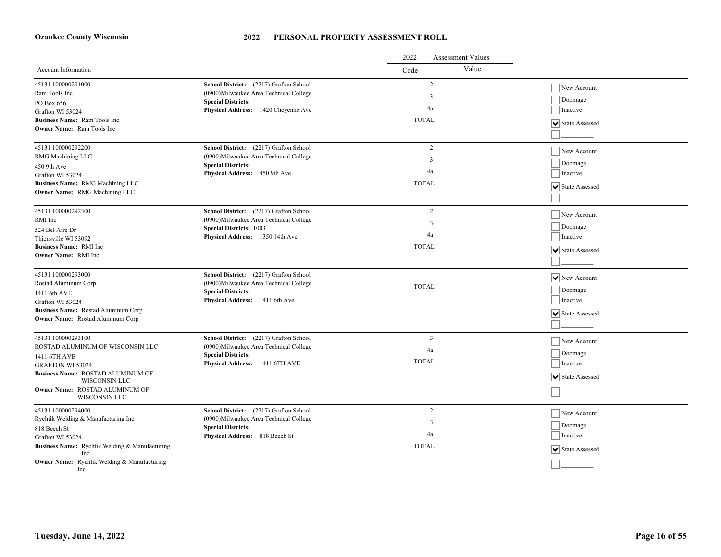|                                                        |                                                                                   | 2022<br><b>Assessment Values</b> |                                  |
|--------------------------------------------------------|-----------------------------------------------------------------------------------|----------------------------------|----------------------------------|
| Account Information                                    |                                                                                   | Value<br>Code                    |                                  |
| 45131 100000291000                                     | School District: (2217) Grafton School                                            | $\sqrt{2}$                       | New Account                      |
| Ram Tools Inc                                          | (0900) Milwaukee Area Technical College                                           | $\mathfrak{Z}$                   | Doomage                          |
| PO Box 656                                             | <b>Special Districts:</b><br>Physical Address: 1420 Cheyenne Ave                  | 4a                               | Inactive                         |
| Grafton WI 53024<br>Business Name: Ram Tools Inc       |                                                                                   | <b>TOTAL</b>                     |                                  |
| <b>Owner Name:</b> Ram Tools Inc                       |                                                                                   |                                  | ↓ State Assessed                 |
|                                                        |                                                                                   |                                  |                                  |
| 45131 100000292200                                     | School District: (2217) Grafton School                                            | $\overline{c}$                   | New Account                      |
| RMG Machining LLC                                      | (0900) Milwaukee Area Technical College                                           | 3                                | Doomage                          |
| 450 9th Ave                                            | <b>Special Districts:</b><br><b>Physical Address:</b> 450 9th Ave                 | 4a                               | Inactive                         |
| Grafton WI 53024<br>Business Name: RMG Machining LLC   |                                                                                   | <b>TOTAL</b>                     |                                  |
| Owner Name: RMG Machining LLC                          |                                                                                   |                                  | ↓ State Assessed                 |
|                                                        |                                                                                   |                                  |                                  |
| 45131 100000292300                                     | School District: (2217) Grafton School                                            | $\overline{2}$                   | New Account                      |
| RMI Inc                                                | (0900)Milwaukee Area Technical College<br><b>Special Districts: 1003</b>          | $\overline{3}$                   | Doomage                          |
| 524 Bel Aire Dr<br>Thiensville WI 53092                | Physical Address: 1350 14th Ave                                                   | 4a                               | Inactive                         |
| <b>Business Name: RMI Inc.</b>                         |                                                                                   | <b>TOTAL</b>                     |                                  |
| Owner Name: RMI Inc                                    |                                                                                   |                                  | State Assessed                   |
|                                                        |                                                                                   |                                  |                                  |
| 45131 100000293000                                     | School District: (2217) Grafton School                                            |                                  | $\sqrt{\phantom{a}}$ New Account |
| Rostad Aluminum Corp                                   | (0900) Milwaukee Area Technical College<br><b>Special Districts:</b>              | <b>TOTAL</b>                     | Doomage                          |
| 1411 6th AVE<br>Grafton WI 53024                       | Physical Address: 1411 6th Ave                                                    |                                  | Inactive                         |
| Business Name: Rostad Aluminum Corp                    |                                                                                   |                                  |                                  |
| <b>Owner Name:</b> Rostad Aluminum Corp                |                                                                                   |                                  | ↓ State Assessed                 |
|                                                        |                                                                                   |                                  |                                  |
| 45131 100000293100<br>ROSTAD ALUMINUM OF WISCONSIN LLC | School District: (2217) Grafton School<br>(0900) Milwaukee Area Technical College | 3                                | New Account                      |
| 1411 6TH AVE                                           | <b>Special Districts:</b>                                                         | 4a                               | Doomage                          |
| <b>GRAFTON WI 53024</b>                                | Physical Address: 1411 6TH AVE                                                    | <b>TOTAL</b>                     | Inactive                         |
| Business Name: ROSTAD ALUMINUM OF                      |                                                                                   |                                  | $ \mathbf{v} $ State Assessed    |
| WISCONSIN LLC<br>Owner Name: ROSTAD ALUMINUM OF        |                                                                                   |                                  |                                  |
| WISCONSIN LLC                                          |                                                                                   |                                  |                                  |
| 45131 100000294000                                     | School District: (2217) Grafton School                                            | $\sqrt{2}$                       | New Account                      |
| Rychtik Welding & Manufacturing Inc                    | (0900) Milwaukee Area Technical College                                           | 3                                |                                  |
| 818 Beech St                                           | <b>Special Districts:</b>                                                         | 4a                               | Doomage                          |
| Grafton WI 53024                                       | Physical Address: 818 Beech St                                                    |                                  | Inactive                         |
| Business Name: Rychtik Welding & Manufacturing<br>Inc  |                                                                                   | <b>TOTAL</b>                     | ↓ State Assessed                 |
| Owner Name: Rychtik Welding & Manufacturing<br>Inc.    |                                                                                   |                                  |                                  |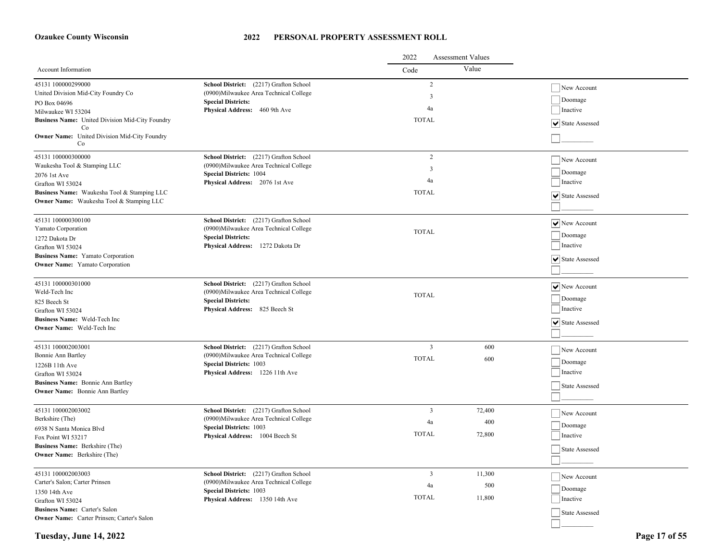#### **2022 PERSONAL PROPERTY ASSESSMENT ROLL**

|                                                                                   |                                                                                   | 2022<br><b>Assessment Values</b> |        |                                          |
|-----------------------------------------------------------------------------------|-----------------------------------------------------------------------------------|----------------------------------|--------|------------------------------------------|
| Account Information                                                               |                                                                                   | Code                             | Value  |                                          |
| 45131 100000299000<br>United Division Mid-City Foundry Co                         | School District: (2217) Grafton School<br>(0900) Milwaukee Area Technical College | 2<br>3                           |        | New Account                              |
| PO Box 04696                                                                      | <b>Special Districts:</b>                                                         |                                  |        | Doomage                                  |
| Milwaukee WI 53204                                                                | Physical Address: 460 9th Ave                                                     | 4a                               |        | Inactive                                 |
| Business Name: United Division Mid-City Foundry<br>Co                             |                                                                                   | <b>TOTAL</b>                     |        | ↓ State Assessed                         |
| Owner Name: United Division Mid-City Foundry<br>Co                                |                                                                                   |                                  |        |                                          |
| 45131 100000300000                                                                | School District: (2217) Grafton School                                            | 2                                |        | New Account                              |
| Waukesha Tool & Stamping LLC                                                      | (0900) Milwaukee Area Technical College<br><b>Special Districts: 1004</b>         | 3                                |        | Doomage                                  |
| 2076 1st Ave                                                                      | Physical Address: 2076 1st Ave                                                    | 4a                               |        | Inactive                                 |
| Grafton WI 53024<br>Business Name: Waukesha Tool & Stamping LLC                   |                                                                                   | <b>TOTAL</b>                     |        |                                          |
| Owner Name: Waukesha Tool & Stamping LLC                                          |                                                                                   |                                  |        | State Assessed                           |
|                                                                                   |                                                                                   |                                  |        |                                          |
| 45131 100000300100                                                                | School District: (2217) Grafton School                                            |                                  |        | $ \mathbf{v} $ New Account               |
| Yamato Corporation                                                                | (0900) Milwaukee Area Technical College<br><b>Special Districts:</b>              | <b>TOTAL</b>                     |        | Doomage                                  |
| 1272 Dakota Dr<br>Grafton WI 53024                                                | Physical Address: 1272 Dakota Dr                                                  |                                  |        | Inactive                                 |
| <b>Business Name:</b> Yamato Corporation                                          |                                                                                   |                                  |        |                                          |
| <b>Owner Name:</b> Yamato Corporation                                             |                                                                                   |                                  |        | State Assessed                           |
|                                                                                   |                                                                                   |                                  |        |                                          |
| 45131 100000301000                                                                | School District: (2217) Grafton School                                            |                                  |        | $ \mathbf{v} $ New Account               |
| Weld-Tech Inc                                                                     | (0900) Milwaukee Area Technical College                                           | <b>TOTAL</b>                     |        |                                          |
| 825 Beech St                                                                      | <b>Special Districts:</b>                                                         |                                  |        | Doomage                                  |
| Grafton WI 53024                                                                  | Physical Address: 825 Beech St                                                    |                                  |        | Inactive                                 |
| <b>Business Name:</b> Weld-Tech Inc.<br><b>Owner Name:</b> Weld-Tech Inc          |                                                                                   |                                  |        | $ \overline{\mathbf{v}} $ State Assessed |
|                                                                                   |                                                                                   |                                  |        |                                          |
| 45131 100002003001                                                                | School District: (2217) Grafton School                                            | 3                                | 600    | New Account                              |
| Bonnie Ann Bartley                                                                | (0900) Milwaukee Area Technical College                                           | <b>TOTAL</b>                     | 600    |                                          |
| 1226B 11th Ave                                                                    | <b>Special Districts: 1003</b>                                                    |                                  |        | Doomage                                  |
| Grafton WI 53024                                                                  | Physical Address: 1226 11th Ave                                                   |                                  |        | Inactive                                 |
| <b>Business Name:</b> Bonnie Ann Bartley<br><b>Owner Name:</b> Bonnie Ann Bartley |                                                                                   |                                  |        | State Assessed                           |
|                                                                                   |                                                                                   |                                  |        |                                          |
| 45131 100002003002                                                                | School District: (2217) Grafton School                                            | 3                                | 72,400 | New Account                              |
| Berkshire (The)                                                                   | (0900) Milwaukee Area Technical College                                           | 4a                               | 400    | Doomage                                  |
| 6938 N Santa Monica Blvd                                                          | <b>Special Districts: 1003</b><br>Physical Address: 1004 Beech St                 | <b>TOTAL</b>                     | 72,800 | Inactive                                 |
| Fox Point WI 53217                                                                |                                                                                   |                                  |        |                                          |
| Business Name: Berkshire (The)<br><b>Owner Name:</b> Berkshire (The)              |                                                                                   |                                  |        | State Assessed                           |
|                                                                                   |                                                                                   |                                  |        |                                          |
| 45131 100002003003                                                                | School District: (2217) Grafton School                                            | 3                                | 11,300 | New Account                              |
| Carter's Salon; Carter Prinsen                                                    | (0900) Milwaukee Area Technical College                                           | 4a                               | 500    | Doomage                                  |
| 1350 14th Ave                                                                     | <b>Special Districts: 1003</b><br>Physical Address: 1350 14th Ave                 | <b>TOTAL</b>                     | 11,800 | Inactive                                 |
| Grafton WI 53024<br>Business Name: Carter's Salon                                 |                                                                                   |                                  |        |                                          |
| <b>Owner Name:</b> Carter Prinsen; Carter's Salon                                 |                                                                                   |                                  |        | State Assessed                           |
|                                                                                   |                                                                                   |                                  |        |                                          |

**Tuesday, June 14, 2022 Page 17 of 55**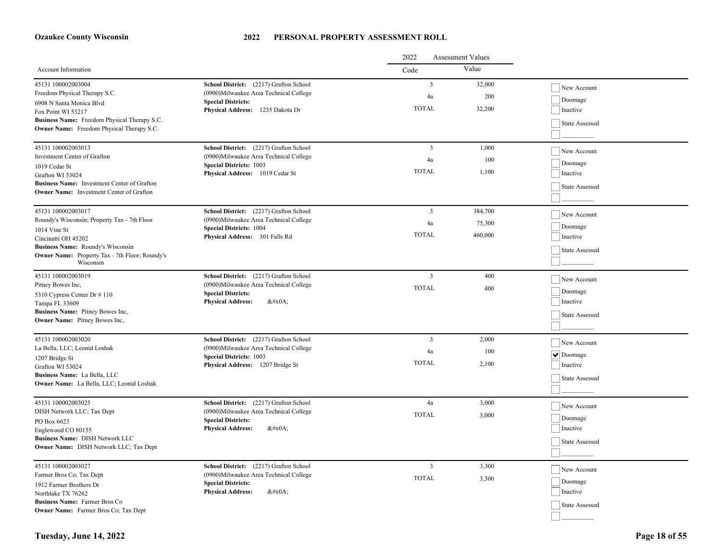|                                                                    |                                                                                  | 2022<br>Assessment Values |         |                     |  |
|--------------------------------------------------------------------|----------------------------------------------------------------------------------|---------------------------|---------|---------------------|--|
| Account Information                                                |                                                                                  | Code                      | Value   |                     |  |
| 45131 100002003004                                                 | School District: (2217) Grafton School                                           | $\overline{\mathbf{3}}$   | 32,000  | New Account         |  |
| Freedom Physical Therapy S.C.                                      | (0900) Milwaukee Area Technical College                                          | 4a                        | 200     | Doomage             |  |
| 6908 N Santa Monica Blvd                                           | <b>Special Districts:</b><br>Physical Address: 1235 Dakota Dr                    | <b>TOTAL</b>              | 32,200  | Inactive            |  |
| Fox Point WI 53217<br>Business Name: Freedom Physical Therapy S.C. |                                                                                  |                           |         |                     |  |
| Owner Name: Freedom Physical Therapy S.C.                          |                                                                                  |                           |         | State Assessed      |  |
|                                                                    |                                                                                  |                           |         |                     |  |
| 45131 100002003013<br>Investment Center of Grafton                 | School District: (2217) Grafton School<br>(0900)Milwaukee Area Technical College | $\overline{3}$            | 1,000   | New Account         |  |
| 1019 Cedar St                                                      | <b>Special Districts: 1003</b>                                                   | 4a                        | 100     | Doomage             |  |
| Grafton WI 53024                                                   | Physical Address: 1019 Cedar St                                                  | <b>TOTAL</b>              | 1,100   | Inactive            |  |
| Business Name: Investment Center of Grafton                        |                                                                                  |                           |         | State Assessed      |  |
| <b>Owner Name:</b> Investment Center of Grafton                    |                                                                                  |                           |         |                     |  |
| 45131 100002003017                                                 | School District: (2217) Grafton School                                           | $\overline{3}$            | 384,700 |                     |  |
| Roundy's Wisconsin; Property Tax - 7th Floor                       | (0900)Milwaukee Area Technical College                                           | 4a                        | 75,300  | New Account         |  |
| 1014 Vine St                                                       | <b>Special Districts: 1004</b>                                                   |                           |         | Doomage             |  |
| Cincinatti OH 45202                                                | Physical Address: 301 Falls Rd                                                   | <b>TOTAL</b>              | 460,000 | Inactive            |  |
| Business Name: Roundy's Wisconsin                                  |                                                                                  |                           |         | State Assessed      |  |
| Owner Name: Property Tax - 7th Floor; Roundy's<br>Wisconsin        |                                                                                  |                           |         |                     |  |
| 45131 100002003019                                                 | School District: (2217) Grafton School                                           | $\overline{\mathbf{3}}$   | 400     | New Account         |  |
| Pitney Bowes Inc,                                                  | (0900)Milwaukee Area Technical College                                           | <b>TOTAL</b>              | 400     |                     |  |
| 5310 Cypress Center Dr #110                                        | <b>Special Districts:</b><br><b>Physical Address:</b><br>$&\#x0A$ :              |                           |         | Doomage<br>Inactive |  |
| Tampa FL 33609<br>Business Name: Pitney Bowes Inc,                 |                                                                                  |                           |         |                     |  |
| Owner Name: Pitney Bowes Inc,                                      |                                                                                  |                           |         | State Assessed      |  |
|                                                                    |                                                                                  |                           |         |                     |  |
| 45131 100002003020                                                 | School District: (2217) Grafton School                                           | $\overline{3}$            | 2,000   | New Account         |  |
| La Bella, LLC; Leonid Loshak                                       | (0900)Milwaukee Area Technical College<br><b>Special Districts: 1003</b>         | 4a                        | 100     | $\vee$ Doomage      |  |
| 1207 Bridge St<br>Grafton WI 53024                                 | Physical Address: 1207 Bridge St                                                 | <b>TOTAL</b>              | 2,100   | Inactive            |  |
| Business Name: La Bella, LLC                                       |                                                                                  |                           |         |                     |  |
| Owner Name: La Bella, LLC; Leonid Loshak                           |                                                                                  |                           |         | State Assessed      |  |
|                                                                    |                                                                                  |                           |         |                     |  |
| 45131 100002003025                                                 | School District: (2217) Grafton School                                           | 4a                        | 3,000   | New Account         |  |
| DISH Network LLC; Tax Dept                                         | (0900)Milwaukee Area Technical College<br><b>Special Districts:</b>              | <b>TOTAL</b>              | 3,000   | Doomage             |  |
| PO Box 6623<br>Englewood CO 80155                                  | <b>Physical Address:</b><br>$&\#x0A;$                                            |                           |         | Inactive            |  |
| <b>Business Name: DISH Network LLC</b>                             |                                                                                  |                           |         |                     |  |
| Owner Name: DISH Network LLC; Tax Dept                             |                                                                                  |                           |         | State Assessed      |  |
|                                                                    |                                                                                  |                           |         |                     |  |
| 45131 100002003027                                                 | School District: (2217) Grafton School                                           | $\overline{\mathbf{3}}$   | 3,300   | New Account         |  |
| Farmer Bros Co; Tax Dept<br>1912 Farmer Brothers Dr                | (0900) Milwaukee Area Technical College<br><b>Special Districts:</b>             | <b>TOTAL</b>              | 3,300   | Doomage             |  |
| Northlake TX 76262                                                 | <b>Physical Address:</b><br>$&\#x0A$ :                                           |                           |         | Inactive            |  |
| <b>Business Name:</b> Farmer Bros Co                               |                                                                                  |                           |         | State Assessed      |  |
| Owner Name: Farmer Bros Co; Tax Dept                               |                                                                                  |                           |         |                     |  |
|                                                                    |                                                                                  |                           |         |                     |  |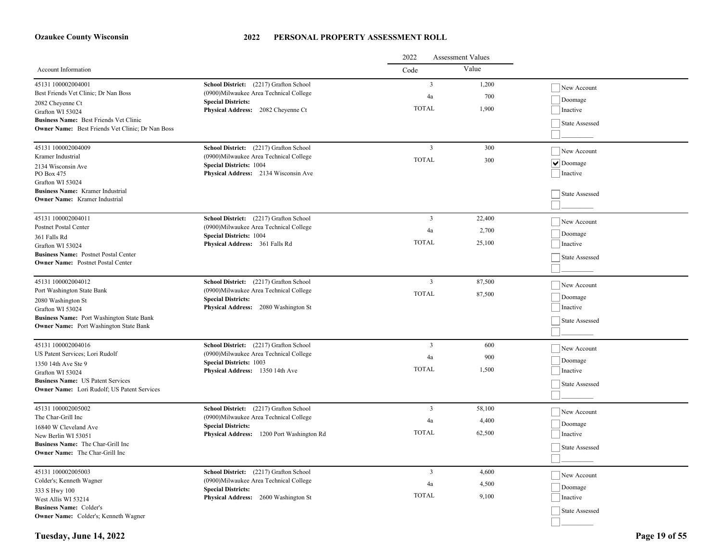|                                                                                                |                                                                                   | 2022<br>Assessment Values |        |                    |  |
|------------------------------------------------------------------------------------------------|-----------------------------------------------------------------------------------|---------------------------|--------|--------------------|--|
| Account Information                                                                            |                                                                                   | Code                      | Value  |                    |  |
| 45131 100002004001                                                                             | School District: (2217) Grafton School                                            | $\overline{3}$            | 1,200  | New Account        |  |
| Best Friends Vet Clinic; Dr Nan Boss                                                           | (0900)Milwaukee Area Technical College                                            | $\sqrt{4a}$               | 700    | Doomage            |  |
| 2082 Cheyenne Ct                                                                               | <b>Special Districts:</b><br>Physical Address: 2082 Cheyenne Ct                   | <b>TOTAL</b>              | 1,900  | Inactive           |  |
| Grafton WI 53024<br>Business Name: Best Friends Vet Clinic                                     |                                                                                   |                           |        |                    |  |
| <b>Owner Name:</b> Best Friends Vet Clinic; Dr Nan Boss                                        |                                                                                   |                           |        | State Assessed     |  |
|                                                                                                |                                                                                   |                           |        |                    |  |
| 45131 100002004009                                                                             | School District: (2217) Grafton School                                            | $\overline{3}$            | 300    | New Account        |  |
| Kramer Industrial                                                                              | (0900)Milwaukee Area Technical College                                            | <b>TOTAL</b>              | 300    | $ \nabla $ Doomage |  |
| 2134 Wisconsin Ave<br>PO Box 475                                                               | <b>Special Districts: 1004</b><br>Physical Address: 2134 Wisconsin Ave            |                           |        | Inactive           |  |
| Grafton WI 53024                                                                               |                                                                                   |                           |        |                    |  |
| <b>Business Name:</b> Kramer Industrial                                                        |                                                                                   |                           |        | State Assessed     |  |
| <b>Owner Name:</b> Kramer Industrial                                                           |                                                                                   |                           |        |                    |  |
|                                                                                                |                                                                                   |                           |        |                    |  |
| 45131 100002004011<br>Postnet Postal Center                                                    | School District: (2217) Grafton School<br>(0900) Milwaukee Area Technical College | $\overline{3}$            | 22,400 | New Account        |  |
| 361 Falls Rd                                                                                   | <b>Special Districts: 1004</b>                                                    | 4a                        | 2,700  | Doomage            |  |
| Grafton WI 53024                                                                               | Physical Address: 361 Falls Rd                                                    | <b>TOTAL</b>              | 25,100 | Inactive           |  |
| <b>Business Name:</b> Postnet Postal Center                                                    |                                                                                   |                           |        | State Assessed     |  |
| <b>Owner Name:</b> Postnet Postal Center                                                       |                                                                                   |                           |        |                    |  |
| 45131 100002004012                                                                             | School District: (2217) Grafton School                                            | $\overline{\mathbf{3}}$   | 87,500 |                    |  |
| Port Washington State Bank                                                                     | (0900) Milwaukee Area Technical College                                           | <b>TOTAL</b>              | 87,500 | New Account        |  |
| 2080 Washington St                                                                             | <b>Special Districts:</b>                                                         |                           |        | Doomage            |  |
| Grafton WI 53024                                                                               | Physical Address: 2080 Washington St                                              |                           |        | Inactive           |  |
| Business Name: Port Washington State Bank                                                      |                                                                                   |                           |        | State Assessed     |  |
| <b>Owner Name:</b> Port Washington State Bank                                                  |                                                                                   |                           |        |                    |  |
| 45131 100002004016                                                                             | School District: (2217) Grafton School                                            | $\overline{3}$            | 600    | New Account        |  |
| US Patent Services; Lori Rudolf                                                                | (0900)Milwaukee Area Technical College                                            | 4a                        | 900    |                    |  |
| 1350 14th Ave Ste 9                                                                            | <b>Special Districts: 1003</b>                                                    | <b>TOTAL</b>              | 1,500  | $\vert$ Doomage    |  |
| Grafton WI 53024                                                                               | Physical Address: 1350 14th Ave                                                   |                           |        | Inactive           |  |
| <b>Business Name:</b> US Patent Services<br><b>Owner Name:</b> Lori Rudolf; US Patent Services |                                                                                   |                           |        | State Assessed     |  |
|                                                                                                |                                                                                   |                           |        |                    |  |
| 45131 100002005002                                                                             | School District: (2217) Grafton School                                            | $\overline{\mathbf{3}}$   | 58,100 | New Account        |  |
| The Char-Grill Inc                                                                             | (0900)Milwaukee Area Technical College                                            | 4a                        | 4,400  | Doomage            |  |
| 16840 W Cleveland Ave                                                                          | <b>Special Districts:</b><br>Physical Address: 1200 Port Washington Rd            | <b>TOTAL</b>              | 62,500 | Inactive           |  |
| New Berlin WI 53051<br>Business Name: The Char-Grill Inc                                       |                                                                                   |                           |        |                    |  |
| <b>Owner Name:</b> The Char-Grill Inc                                                          |                                                                                   |                           |        | State Assessed     |  |
|                                                                                                |                                                                                   |                           |        |                    |  |
| 45131 100002005003                                                                             | School District: (2217) Grafton School                                            | $\overline{3}$            | 4,600  | New Account        |  |
| Colder's; Kenneth Wagner                                                                       | (0900)Milwaukee Area Technical College                                            | 4a                        | 4,500  | Doomage            |  |
| 333 S Hwy 100                                                                                  | <b>Special Districts:</b><br>Physical Address: 2600 Washington St                 | <b>TOTAL</b>              | 9,100  | Inactive           |  |
| West Allis WI 53214<br><b>Business Name:</b> Colder's                                          |                                                                                   |                           |        |                    |  |
| <b>Owner Name:</b> Colder's; Kenneth Wagner                                                    |                                                                                   |                           |        | State Assessed     |  |
|                                                                                                |                                                                                   |                           |        |                    |  |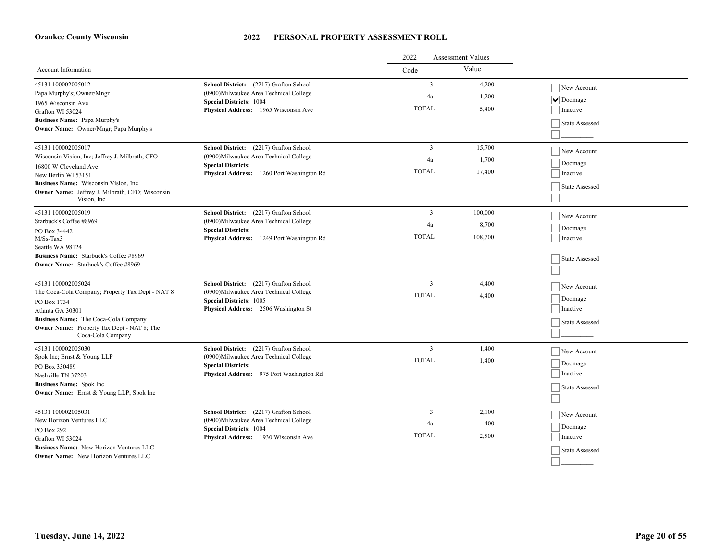|                                                                                           |                                                                           | 2022           | <b>Assessment Values</b> |                |
|-------------------------------------------------------------------------------------------|---------------------------------------------------------------------------|----------------|--------------------------|----------------|
| <b>Account Information</b>                                                                |                                                                           | Code           | Value                    |                |
| 45131 100002005012                                                                        | School District: (2217) Grafton School                                    | $\overline{3}$ | 4,200                    | New Account    |
| Papa Murphy's; Owner/Mngr                                                                 | (0900) Milwaukee Area Technical College                                   | 4a             | 1,200                    | $\vee$ Doomage |
| 1965 Wisconsin Ave                                                                        | <b>Special Districts: 1004</b><br>Physical Address: 1965 Wisconsin Ave    | <b>TOTAL</b>   | 5,400                    | Inactive       |
| Grafton WI 53024                                                                          |                                                                           |                |                          |                |
| Business Name: Papa Murphy's<br><b>Owner Name:</b> Owner/Mngr; Papa Murphy's              |                                                                           |                |                          | State Assessed |
|                                                                                           |                                                                           |                |                          |                |
| 45131 100002005017                                                                        | School District: (2217) Grafton School                                    | 3              | 15,700                   | New Account    |
| Wisconsin Vision, Inc; Jeffrey J. Milbrath, CFO                                           | (0900) Milwaukee Area Technical College                                   | 4a             | 1,700                    | Doomage        |
| 16800 W Cleveland Ave                                                                     | <b>Special Districts:</b><br>Physical Address: 1260 Port Washington Rd    | <b>TOTAL</b>   | 17,400                   | Inactive       |
| New Berlin WI 53151<br>Business Name: Wisconsin Vision, Inc.                              |                                                                           |                |                          |                |
| Owner Name: Jeffrey J. Milbrath, CFO; Wisconsin                                           |                                                                           |                |                          | State Assessed |
| Vision, Inc.                                                                              |                                                                           |                |                          |                |
| 45131 100002005019                                                                        | School District: (2217) Grafton School                                    | 3              | 100,000                  | New Account    |
| Starbuck's Coffee #8969                                                                   | (0900) Milwaukee Area Technical College                                   | 4a             | 8,700                    | Doomage        |
| PO Box 34442<br>$M/Ss-Tax3$                                                               | <b>Special Districts:</b><br>Physical Address: 1249 Port Washington Rd    | <b>TOTAL</b>   | 108,700                  | Inactive       |
| Seattle WA 98124                                                                          |                                                                           |                |                          |                |
| <b>Business Name:</b> Starbuck's Coffee #8969                                             |                                                                           |                |                          |                |
| <b>Owner Name:</b> Starbuck's Coffee #8969                                                |                                                                           |                |                          | State Assessed |
|                                                                                           |                                                                           |                |                          |                |
| 45131 100002005024                                                                        | School District: (2217) Grafton School                                    | $\mathfrak{Z}$ | 4,400                    | New Account    |
| The Coca-Cola Company; Property Tax Dept - NAT 8                                          | (0900)Milwaukee Area Technical College                                    | <b>TOTAL</b>   | 4,400                    | Doomage        |
| PO Box 1734                                                                               | <b>Special Districts: 1005</b>                                            |                |                          | Inactive       |
| Atlanta GA 30301                                                                          | Physical Address: 2506 Washington St                                      |                |                          |                |
| Business Name: The Coca-Cola Company<br><b>Owner Name:</b> Property Tax Dept - NAT 8; The |                                                                           |                |                          | State Assessed |
| Coca-Cola Company                                                                         |                                                                           |                |                          |                |
| 45131 100002005030                                                                        | School District: (2217) Grafton School                                    | 3              | 1,400                    | New Account    |
| Spok Inc; Ernst & Young LLP                                                               | (0900)Milwaukee Area Technical College                                    | <b>TOTAL</b>   | 1,400                    | Doomage        |
| PO Box 330489                                                                             | <b>Special Districts:</b><br>Physical Address: 975 Port Washington Rd     |                |                          | Inactive       |
| Nashville TN 37203                                                                        |                                                                           |                |                          |                |
| <b>Business Name:</b> Spok Inc.<br><b>Owner Name:</b> Ernst & Young LLP; Spok Inc         |                                                                           |                |                          | State Assessed |
|                                                                                           |                                                                           |                |                          |                |
| 45131 100002005031                                                                        | School District: (2217) Grafton School                                    | 3              | 2,100                    | New Account    |
| New Horizon Ventures LLC                                                                  | (0900) Milwaukee Area Technical College<br><b>Special Districts: 1004</b> | 4a             | 400                      | Doomage        |
| PO Box 292<br>Grafton WI 53024                                                            | Physical Address: 1930 Wisconsin Ave                                      | <b>TOTAL</b>   | 2,500                    | Inactive       |
| Business Name: New Horizon Ventures LLC                                                   |                                                                           |                |                          |                |
| <b>Owner Name:</b> New Horizon Ventures LLC                                               |                                                                           |                |                          | State Assessed |
|                                                                                           |                                                                           |                |                          |                |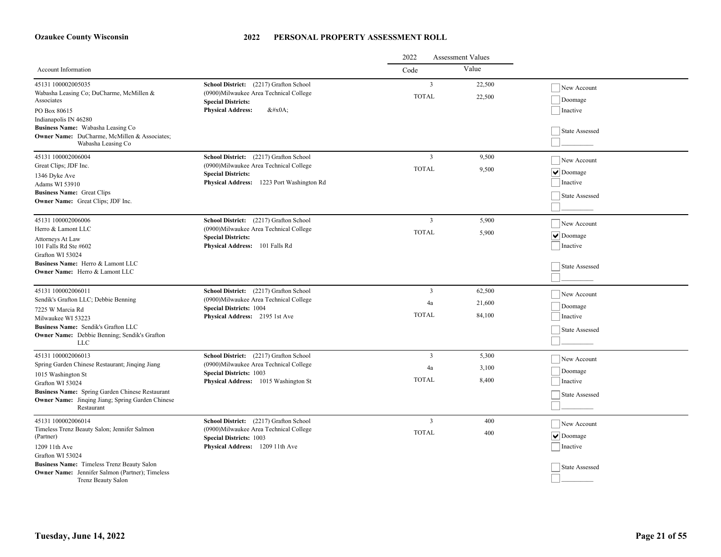|                                                                                                                                                                                                                                                           |                                                                                                                                                            | 2022<br><b>Assessment Values</b>     |                            |                                                                               |
|-----------------------------------------------------------------------------------------------------------------------------------------------------------------------------------------------------------------------------------------------------------|------------------------------------------------------------------------------------------------------------------------------------------------------------|--------------------------------------|----------------------------|-------------------------------------------------------------------------------|
| Account Information                                                                                                                                                                                                                                       |                                                                                                                                                            | Code                                 | Value                      |                                                                               |
| 45131 100002005035<br>Wabasha Leasing Co; DuCharme, McMillen &<br>Associates<br>PO Box 80615<br>Indianapolis IN 46280<br>Business Name: Wabasha Leasing Co<br>Owner Name: DuCharme, McMillen & Associates;<br>Wabasha Leasing Co                          | School District: (2217) Grafton School<br>(0900)Milwaukee Area Technical College<br><b>Special Districts:</b><br><b>Physical Address:</b><br>$&\#x0A;$     | $\overline{3}$<br><b>TOTAL</b>       | 22,500<br>22,500           | New Account<br>Doomage<br>Inactive<br>State Assessed                          |
| 45131 100002006004<br>Great Clips; JDF Inc.<br>1346 Dyke Ave<br>Adams WI 53910<br><b>Business Name:</b> Great Clips<br>Owner Name: Great Clips; JDF Inc.                                                                                                  | School District: (2217) Grafton School<br>(0900)Milwaukee Area Technical College<br><b>Special Districts:</b><br>Physical Address: 1223 Port Washington Rd | $\overline{3}$<br><b>TOTAL</b>       | 9,500<br>9,500             | New Account<br>$\vert \mathbf{v} \vert$ Doomage<br>Inactive<br>State Assessed |
| 45131 100002006006<br>Herro & Lamont LLC<br>Attorneys At Law<br>101 Falls Rd Ste #602<br>Grafton WI 53024<br>Business Name: Herro & Lamont LLC<br>Owner Name: Herro & Lamont LLC                                                                          | School District: (2217) Grafton School<br>(0900)Milwaukee Area Technical College<br><b>Special Districts:</b><br>Physical Address: 101 Falls Rd            | 3<br><b>TOTAL</b>                    | 5,900<br>5,900             | New Account<br>$  \vee  $ Doomage<br>Inactive<br>State Assessed               |
| 45131 100002006011<br>Sendik's Grafton LLC; Debbie Benning<br>7225 W Marcia Rd<br>Milwaukee WI 53223<br>Business Name: Sendik's Grafton LLC<br>Owner Name: Debbie Benning; Sendik's Grafton<br><b>LLC</b>                                                 | School District: (2217) Grafton School<br>(0900) Milwaukee Area Technical College<br><b>Special Districts: 1004</b><br>Physical Address: 2195 1st Ave      | 3<br>4a<br><b>TOTAL</b>              | 62,500<br>21,600<br>84,100 | New Account<br>Doomage<br>Inactive<br>State Assessed                          |
| 45131 100002006013<br>Spring Garden Chinese Restaurant; Jinqing Jiang<br>1015 Washington St<br>Grafton WI 53024<br>Business Name: Spring Garden Chinese Restaurant<br><b>Owner Name:</b> Jinqing Jiang; Spring Garden Chinese<br>Restaurant               | School District: (2217) Grafton School<br>(0900)Milwaukee Area Technical College<br><b>Special Districts: 1003</b><br>Physical Address: 1015 Washington St | $\overline{3}$<br>4a<br><b>TOTAL</b> | 5,300<br>3,100<br>8,400    | New Account<br>Doomage<br>Inactive<br>State Assessed                          |
| 45131 100002006014<br>Timeless Trenz Beauty Salon; Jennifer Salmon<br>(Partner)<br>1209 11th Ave<br>Grafton WI 53024<br>Business Name: Timeless Trenz Beauty Salon<br><b>Owner Name:</b> Jennifer Salmon (Partner); Timeless<br><b>Trenz Beauty Salon</b> | School District: (2217) Grafton School<br>(0900) Milwaukee Area Technical College<br><b>Special Districts: 1003</b><br>Physical Address: 1209 11th Ave     | 3<br><b>TOTAL</b>                    | 400<br>400                 | New Account<br>$ \mathbf{v} $ Doomage<br>Inactive<br>State Assessed           |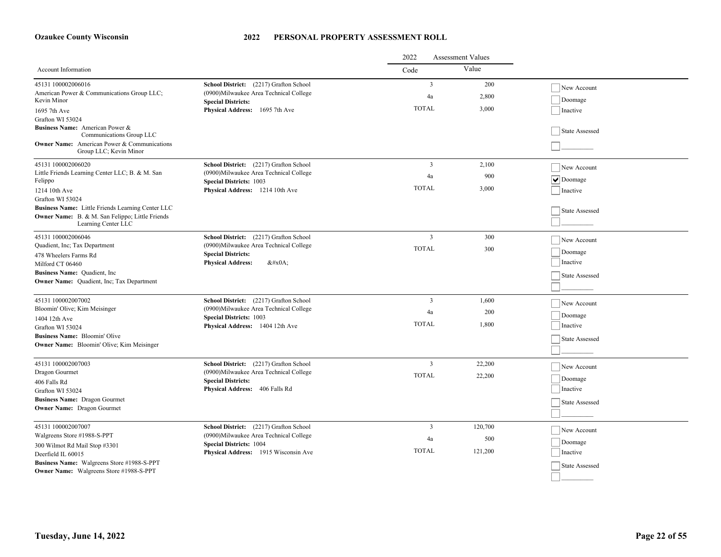|                                                                                                                                                                 |                                                                                                                                                             | 2022<br><b>Assessment Values</b> |                       |                                                      |
|-----------------------------------------------------------------------------------------------------------------------------------------------------------------|-------------------------------------------------------------------------------------------------------------------------------------------------------------|----------------------------------|-----------------------|------------------------------------------------------|
| Account Information                                                                                                                                             |                                                                                                                                                             | Code                             | Value                 |                                                      |
| 45131 100002006016<br>American Power & Communications Group LLC;<br>Kevin Minor<br>1695 7th Ave                                                                 | School District: (2217) Grafton School<br>(0900) Milwaukee Area Technical College<br><b>Special Districts:</b><br>Physical Address: 1695 7th Ave            | 3<br>4a<br><b>TOTAL</b>          | 200<br>2,800<br>3,000 | New Account<br>Doomage<br>Inactive                   |
| Grafton WI 53024<br>Business Name: American Power &<br>Communications Group LLC<br><b>Owner Name:</b> American Power & Communications<br>Group LLC; Kevin Minor |                                                                                                                                                             |                                  |                       | State Assessed                                       |
| 45131 100002006020<br>Little Friends Learning Center LLC; B. & M. San<br>Felippo<br>1214 10th Ave<br>Grafton WI 53024                                           | School District: (2217) Grafton School<br>(0900)Milwaukee Area Technical College<br><b>Special Districts: 1003</b><br>Physical Address: 1214 10th Ave       | 3<br>4a<br><b>TOTAL</b>          | 2,100<br>900<br>3,000 | New Account<br>$  \vee  $ Doomage<br>Inactive        |
| Business Name: Little Friends Learning Center LLC<br>Owner Name: B. & M. San Felippo; Little Friends<br>Learning Center LLC                                     |                                                                                                                                                             |                                  |                       | State Assessed                                       |
| 45131 100002006046<br>Quadient, Inc; Tax Department<br>478 Wheelers Farms Rd<br>Milford CT 06460                                                                | School District: (2217) Grafton School<br>(0900) Milwaukee Area Technical College<br><b>Special Districts:</b><br><b>Physical Address:</b><br>$&\#x0A$ :    | $\overline{3}$<br><b>TOTAL</b>   | 300<br>300            | New Account<br>Doomage<br>Inactive                   |
| Business Name: Quadient, Inc.<br>Owner Name: Quadient, Inc; Tax Department                                                                                      |                                                                                                                                                             |                                  |                       | State Assessed                                       |
| 45131 100002007002<br>Bloomin' Olive; Kim Meisinger<br>1404 12th Ave<br>Grafton WI 53024<br><b>Business Name:</b> Bloomin' Olive                                | School District: (2217) Grafton School<br>(0900) Milwaukee Area Technical College<br><b>Special Districts: 1003</b><br>Physical Address: 1404 12th Ave      | 3<br>4a<br><b>TOTAL</b>          | 1,600<br>200<br>1,800 | New Account<br>Doomage<br>Inactive<br>State Assessed |
| Owner Name: Bloomin' Olive; Kim Meisinger<br>45131 100002007003                                                                                                 | School District: (2217) Grafton School                                                                                                                      | $\overline{3}$                   | 22,200                |                                                      |
| Dragon Gourmet<br>406 Falls Rd<br>Grafton WI 53024<br><b>Business Name: Dragon Gourmet</b>                                                                      | (0900)Milwaukee Area Technical College<br><b>Special Districts:</b><br>Physical Address: 406 Falls Rd                                                       | <b>TOTAL</b>                     | 22,200                | New Account<br>Doomage<br>Inactive                   |
| <b>Owner Name:</b> Dragon Gourmet<br>45131 100002007007                                                                                                         |                                                                                                                                                             | 3                                | 120,700               | State Assessed                                       |
| Walgreens Store #1988-S-PPT<br>300 Wilmot Rd Mail Stop #3301<br>Deerfield IL 60015                                                                              | School District: (2217) Grafton School<br>(0900) Milwaukee Area Technical College<br><b>Special Districts: 1004</b><br>Physical Address: 1915 Wisconsin Ave | 4a<br><b>TOTAL</b>               | 500<br>121,200        | New Account<br>Doomage<br>Inactive                   |
| Business Name: Walgreens Store #1988-S-PPT<br>Owner Name: Walgreens Store #1988-S-PPT                                                                           |                                                                                                                                                             |                                  |                       | State Assessed                                       |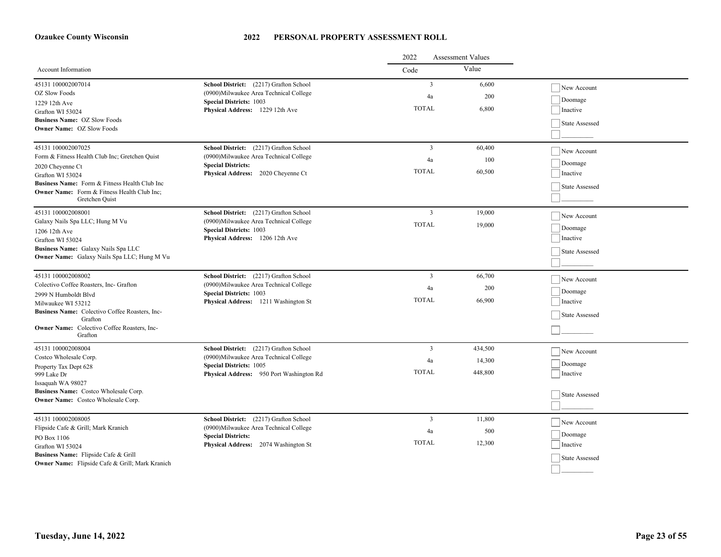|                                                                      |                                                                                   | 2022           | <b>Assessment Values</b> |                       |
|----------------------------------------------------------------------|-----------------------------------------------------------------------------------|----------------|--------------------------|-----------------------|
| <b>Account Information</b>                                           |                                                                                   | Code           | Value                    |                       |
| 45131 100002007014                                                   | School District: (2217) Grafton School                                            | $\mathbf{3}$   | 6,600                    | New Account           |
| OZ Slow Foods                                                        | (0900) Milwaukee Area Technical College                                           | 4a             | 200                      | $\vert$ Doomage       |
| 1229 12th Ave<br>Grafton WI 53024                                    | <b>Special Districts: 1003</b><br>Physical Address: 1229 12th Ave                 | <b>TOTAL</b>   | 6,800                    | Inactive              |
| <b>Business Name: OZ Slow Foods</b>                                  |                                                                                   |                |                          |                       |
| <b>Owner Name: OZ Slow Foods</b>                                     |                                                                                   |                |                          | State Assessed        |
|                                                                      |                                                                                   |                |                          |                       |
| 45131 100002007025                                                   | School District: (2217) Grafton School                                            | $\overline{3}$ | 60,400                   | New Account           |
| Form & Fitness Health Club Inc; Gretchen Quist                       | (0900) Milwaukee Area Technical College<br><b>Special Districts:</b>              | 4a             | 100                      | Doomage               |
| 2020 Cheyenne Ct<br>Grafton WI 53024                                 | Physical Address: 2020 Cheyenne Ct                                                | <b>TOTAL</b>   | 60,500                   | Inactive              |
| Business Name: Form & Fitness Health Club Inc                        |                                                                                   |                |                          |                       |
| <b>Owner Name:</b> Form & Fitness Health Club Inc;                   |                                                                                   |                |                          | State Assessed        |
| Gretchen Quist                                                       |                                                                                   |                |                          |                       |
| 45131 100002008001                                                   | School District: (2217) Grafton School                                            | $\mathfrak{Z}$ | 19,000                   | New Account           |
| Galaxy Nails Spa LLC; Hung M Vu                                      | (0900) Milwaukee Area Technical College                                           | <b>TOTAL</b>   | 19,000                   | Doomage               |
| 1206 12th Ave                                                        | <b>Special Districts: 1003</b><br><b>Physical Address:</b> 1206 12th Ave          |                |                          | Inactive              |
| Grafton WI 53024<br>Business Name: Galaxy Nails Spa LLC              |                                                                                   |                |                          |                       |
| Owner Name: Galaxy Nails Spa LLC; Hung M Vu                          |                                                                                   |                |                          | State Assessed        |
|                                                                      |                                                                                   |                |                          |                       |
| 45131 100002008002                                                   | School District: (2217) Grafton School                                            | 3              | 66,700                   | New Account           |
| Colectivo Coffee Roasters, Inc- Grafton                              | (0900)Milwaukee Area Technical College                                            | 4a             | 200                      | Doomage               |
| 2999 N Humboldt Blvd                                                 | <b>Special Districts: 1003</b><br>Physical Address: 1211 Washington St            | <b>TOTAL</b>   | 66,900                   | Inactive              |
| Milwaukee WI 53212<br>Business Name: Colectivo Coffee Roasters, Inc- |                                                                                   |                |                          |                       |
| Grafton                                                              |                                                                                   |                |                          | State Assessed        |
| <b>Owner Name:</b> Colectivo Coffee Roasters, Inc-                   |                                                                                   |                |                          |                       |
| Grafton                                                              |                                                                                   |                |                          |                       |
| 45131 100002008004<br>Costco Wholesale Corp.                         | School District: (2217) Grafton School<br>(0900) Milwaukee Area Technical College | 3              | 434,500                  | New Account           |
| Property Tax Dept 628                                                | <b>Special Districts: 1005</b>                                                    | 4a             | 14,300                   | Doomage               |
| 999 Lake Dr                                                          | Physical Address: 950 Port Washington Rd                                          | <b>TOTAL</b>   | 448,800                  | Inactive              |
| Issaquah WA 98027                                                    |                                                                                   |                |                          |                       |
| Business Name: Costco Wholesale Corp.                                |                                                                                   |                |                          | <b>State Assessed</b> |
| <b>Owner Name:</b> Costco Wholesale Corp.                            |                                                                                   |                |                          |                       |
| 45131 100002008005                                                   | School District: (2217) Grafton School                                            | 3              | 11,800                   |                       |
| Flipside Cafe & Grill; Mark Kranich                                  | (0900)Milwaukee Area Technical College                                            | 4a             | 500                      | New Account           |
| PO Box 1106                                                          | <b>Special Districts:</b>                                                         |                |                          | Doomage               |
| Grafton WI 53024                                                     | Physical Address: 2074 Washington St                                              | <b>TOTAL</b>   | 12,300                   | Inactive              |
| <b>Business Name:</b> Flipside Cafe & Grill                          |                                                                                   |                |                          | State Assessed        |
| <b>Owner Name:</b> Flipside Cafe & Grill; Mark Kranich               |                                                                                   |                |                          |                       |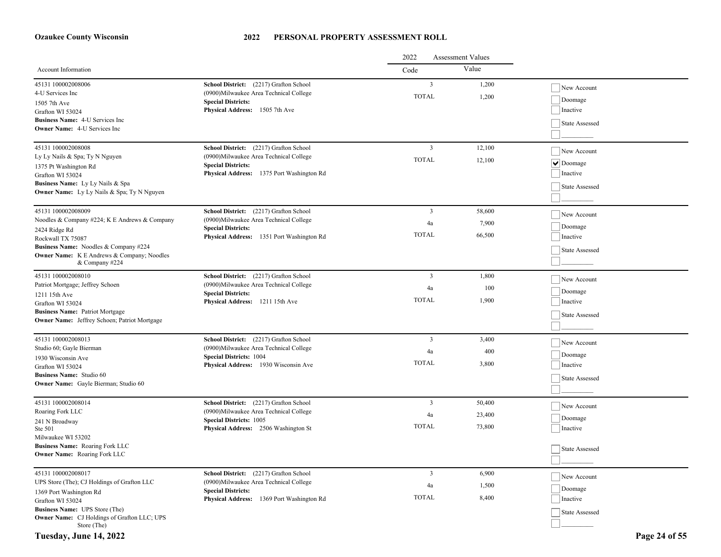|                                                                                |                                                                        | 2022<br><b>Assessment Values</b> |        |                    |  |
|--------------------------------------------------------------------------------|------------------------------------------------------------------------|----------------------------------|--------|--------------------|--|
| <b>Account Information</b>                                                     |                                                                        | Code                             | Value  |                    |  |
| 45131 100002008006<br>4-U Services Inc                                         | School District: (2217) Grafton School                                 | $\overline{3}$                   | 1,200  | New Account        |  |
|                                                                                | (0900) Milwaukee Area Technical College<br><b>Special Districts:</b>   | <b>TOTAL</b>                     | 1,200  | Doomage            |  |
| 1505 7th Ave<br>Grafton WI 53024                                               | Physical Address: 1505 7th Ave                                         |                                  |        | Inactive           |  |
| <b>Business Name: 4-U Services Inc.</b>                                        |                                                                        |                                  |        |                    |  |
| <b>Owner Name:</b> 4-U Services Inc                                            |                                                                        |                                  |        | State Assessed     |  |
|                                                                                |                                                                        |                                  |        |                    |  |
| 45131 100002008008                                                             | School District: (2217) Grafton School                                 | $\overline{3}$                   | 12,100 | New Account        |  |
| Ly Ly Nails & Spa; Ty N Nguyen                                                 | (0900)Milwaukee Area Technical College                                 | <b>TOTAL</b>                     | 12,100 | $  \vee  $ Doomage |  |
| 1375 Pt Washington Rd                                                          | <b>Special Districts:</b>                                              |                                  |        |                    |  |
| Grafton WI 53024                                                               | Physical Address: 1375 Port Washington Rd                              |                                  |        | Inactive           |  |
| Business Name: Ly Ly Nails & Spa                                               |                                                                        |                                  |        | State Assessed     |  |
| Owner Name: Ly Ly Nails & Spa; Ty N Nguyen                                     |                                                                        |                                  |        |                    |  |
| 45131 100002008009                                                             | School District: (2217) Grafton School                                 | 3                                | 58,600 | New Account        |  |
| Noodles & Company #224; K E Andrews & Company                                  | (0900) Milwaukee Area Technical College                                | 4a                               | 7,900  |                    |  |
| 2424 Ridge Rd                                                                  | <b>Special Districts:</b>                                              | <b>TOTAL</b>                     |        | Doomage            |  |
| Rockwall TX 75087                                                              | Physical Address: 1351 Port Washington Rd                              |                                  | 66,500 | Inactive           |  |
| Business Name: Noodles & Company #224                                          |                                                                        |                                  |        | State Assessed     |  |
| <b>Owner Name:</b> K E Andrews & Company; Noodles<br>& Company #224            |                                                                        |                                  |        |                    |  |
|                                                                                |                                                                        |                                  |        |                    |  |
| 45131 100002008010                                                             | School District: (2217) Grafton School                                 | 3                                | 1,800  | New Account        |  |
| Patriot Mortgage; Jeffrey Schoen                                               | (0900) Milwaukee Area Technical College<br><b>Special Districts:</b>   | 4a                               | 100    | Doomage            |  |
| 1211 15th Ave<br>Grafton WI 53024                                              | Physical Address: 1211 15th Ave                                        | <b>TOTAL</b>                     | 1,900  | Inactive           |  |
| <b>Business Name: Patriot Mortgage</b>                                         |                                                                        |                                  |        |                    |  |
| Owner Name: Jeffrey Schoen; Patriot Mortgage                                   |                                                                        |                                  |        | State Assessed     |  |
|                                                                                |                                                                        |                                  |        |                    |  |
| 45131 100002008013                                                             | School District: (2217) Grafton School                                 | $\overline{3}$                   | 3,400  | New Account        |  |
| Studio 60; Gayle Bierman                                                       | (0900)Milwaukee Area Technical College                                 | 4a                               | 400    | Doomage            |  |
| 1930 Wisconsin Ave                                                             | <b>Special Districts: 1004</b><br>Physical Address: 1930 Wisconsin Ave | <b>TOTAL</b>                     | 3,800  | Inactive           |  |
| Grafton WI 53024                                                               |                                                                        |                                  |        |                    |  |
| <b>Business Name:</b> Studio 60<br><b>Owner Name:</b> Gayle Bierman; Studio 60 |                                                                        |                                  |        | State Assessed     |  |
|                                                                                |                                                                        |                                  |        |                    |  |
| 45131 100002008014                                                             | School District: (2217) Grafton School                                 | $\overline{3}$                   | 50,400 | New Account        |  |
| Roaring Fork LLC                                                               | (0900) Milwaukee Area Technical College                                | 4a                               | 23,400 |                    |  |
| 241 N Broadway                                                                 | <b>Special Districts: 1005</b>                                         | <b>TOTAL</b>                     | 73,800 | Doomage            |  |
| Ste 501<br>Milwaukee WI 53202                                                  | <b>Physical Address:</b> 2506 Washington St                            |                                  |        | Inactive           |  |
| Business Name: Roaring Fork LLC                                                |                                                                        |                                  |        |                    |  |
| Owner Name: Roaring Fork LLC                                                   |                                                                        |                                  |        | State Assessed     |  |
|                                                                                |                                                                        |                                  |        |                    |  |
| 45131 100002008017                                                             | School District: (2217) Grafton School                                 | $\mathfrak{Z}$                   | 6,900  | New Account        |  |
| UPS Store (The); CJ Holdings of Grafton LLC                                    | (0900) Milwaukee Area Technical College                                | 4a                               | 1,500  |                    |  |
| 1369 Port Washington Rd                                                        | <b>Special Districts:</b>                                              | <b>TOTAL</b>                     |        | Doomage            |  |
| Grafton WI 53024                                                               | Physical Address: 1369 Port Washington Rd                              |                                  | 8,400  | Inactive           |  |
| <b>Business Name:</b> UPS Store (The)                                          |                                                                        |                                  |        | State Assessed     |  |
| Owner Name: CJ Holdings of Grafton LLC; UPS<br>Store (The)                     |                                                                        |                                  |        |                    |  |

### **Tuesday, June 14, 2022 Page 24 of 55**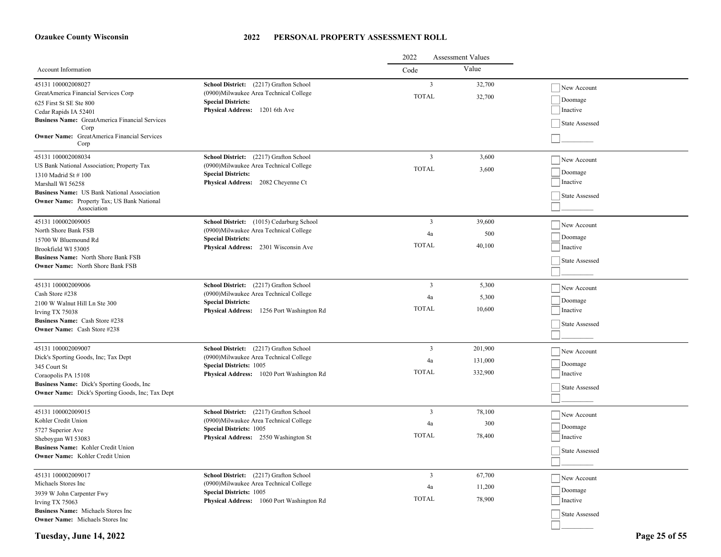#### **2022 PERSONAL PROPERTY ASSESSMENT ROLL**

|                                                                                                                                                                                                                                               |                                                                                                                                                                  | <b>Assessment Values</b><br>2022 |                               |                                                      |
|-----------------------------------------------------------------------------------------------------------------------------------------------------------------------------------------------------------------------------------------------|------------------------------------------------------------------------------------------------------------------------------------------------------------------|----------------------------------|-------------------------------|------------------------------------------------------|
| Account Information                                                                                                                                                                                                                           |                                                                                                                                                                  | Code                             | Value                         |                                                      |
| 45131 100002008027<br>GreatAmerica Financial Services Corp<br>625 First St SE Ste 800<br>Cedar Rapids IA 52401<br><b>Business Name:</b> GreatAmerica Financial Services<br>Corp<br><b>Owner Name:</b> GreatAmerica Financial Services<br>Corp | School District: (2217) Grafton School<br>(0900) Milwaukee Area Technical College<br><b>Special Districts:</b><br>Physical Address: 1201 6th Ave                 | 3<br><b>TOTAL</b>                | 32,700<br>32,700              | New Account<br>Doomage<br>Inactive<br>State Assessed |
| 45131 100002008034<br>US Bank National Association; Property Tax<br>1310 Madrid St #100<br>Marshall WI 56258<br>Business Name: US Bank National Association<br><b>Owner Name:</b> Property Tax; US Bank National<br>Association               | School District: (2217) Grafton School<br>(0900) Milwaukee Area Technical College<br><b>Special Districts:</b><br>Physical Address: 2082 Cheyenne Ct             | 3<br><b>TOTAL</b>                | 3,600<br>3,600                | New Account<br>Doomage<br>Inactive<br>State Assessed |
| 45131 100002009005<br>North Shore Bank FSB<br>15700 W Bluemound Rd<br>Brookfield WI 53005<br><b>Business Name:</b> North Shore Bank FSB<br><b>Owner Name:</b> North Shore Bank FSB                                                            | School District: (1015) Cedarburg School<br>(0900) Milwaukee Area Technical College<br><b>Special Districts:</b><br>Physical Address: 2301 Wisconsin Ave         | 3<br>4a<br><b>TOTAL</b>          | 39,600<br>500<br>40,100       | New Account<br>Doomage<br>Inactive<br>State Assessed |
| 45131 100002009006<br>Cash Store #238<br>2100 W Walnut Hill Ln Ste 300<br>Irving TX 75038<br>Business Name: Cash Store #238<br><b>Owner Name:</b> Cash Store #238                                                                             | School District: (2217) Grafton School<br>(0900) Milwaukee Area Technical College<br><b>Special Districts:</b><br>Physical Address: 1256 Port Washington Rd      | 3<br>4a<br><b>TOTAL</b>          | 5,300<br>5,300<br>10,600      | New Account<br>Doomage<br>Inactive<br>State Assessed |
| 45131 100002009007<br>Dick's Sporting Goods, Inc; Tax Dept<br>345 Court St<br>Coraopolis PA 15108<br><b>Business Name:</b> Dick's Sporting Goods, Inc.<br><b>Owner Name:</b> Dick's Sporting Goods, Inc; Tax Dept                             | School District: (2217) Grafton School<br>(0900)Milwaukee Area Technical College<br><b>Special Districts: 1005</b><br>Physical Address: 1020 Port Washington Rd  | 3<br>4a<br><b>TOTAL</b>          | 201,900<br>131,000<br>332,900 | New Account<br>Doomage<br>Inactive<br>State Assessed |
| 45131 100002009015<br>Kohler Credit Union<br>5727 Superior Ave<br>Sheboygan WI 53083<br>Business Name: Kohler Credit Union<br><b>Owner Name:</b> Kohler Credit Union                                                                          | School District: (2217) Grafton School<br>(0900)Milwaukee Area Technical College<br><b>Special Districts: 1005</b><br>Physical Address: 2550 Washington St       | 3<br>4a<br><b>TOTAL</b>          | 78,100<br>300<br>78,400       | New Account<br>Doomage<br>Inactive<br>State Assessed |
| 45131 100002009017<br>Michaels Stores Inc<br>3939 W John Carpenter Fwy<br>Irving TX 75063<br>Business Name: Michaels Stores Inc<br><b>Owner Name:</b> Michaels Stores Inc                                                                     | School District: (2217) Grafton School<br>(0900) Milwaukee Area Technical College<br><b>Special Districts: 1005</b><br>Physical Address: 1060 Port Washington Rd | 3<br>4a<br><b>TOTAL</b>          | 67,700<br>11,200<br>78,900    | New Account<br>Doomage<br>Inactive<br>State Assessed |

**Tuesday, June 14, 2022 Page 25 of 55**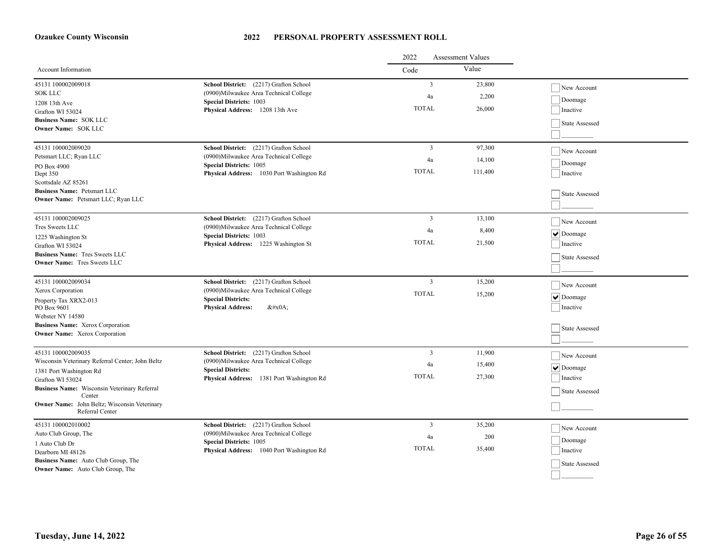|                                                                                 |                                                                                   | 2022<br><b>Assessment Values</b> |         |                               |
|---------------------------------------------------------------------------------|-----------------------------------------------------------------------------------|----------------------------------|---------|-------------------------------|
| Account Information                                                             |                                                                                   | Code                             | Value   |                               |
| 45131 100002009018                                                              | School District: (2217) Grafton School                                            | $\overline{3}$                   | 23,800  | New Account                   |
| <b>SOK LLC</b>                                                                  | (0900) Milwaukee Area Technical College                                           | 4a                               | 2,200   | Doomage                       |
| 1208 13th Ave                                                                   | <b>Special Districts: 1003</b><br>Physical Address: 1208 13th Ave                 | <b>TOTAL</b>                     | 26,000  | Inactive                      |
| Grafton WI 53024<br><b>Business Name: SOK LLC</b>                               |                                                                                   |                                  |         |                               |
| Owner Name: SOK LLC                                                             |                                                                                   |                                  |         | State Assessed                |
|                                                                                 |                                                                                   |                                  |         |                               |
| 45131 100002009020                                                              | School District: (2217) Grafton School                                            | $\overline{3}$                   | 97,300  | New Account                   |
| Petsmart LLC; Ryan LLC                                                          | (0900) Milwaukee Area Technical College<br><b>Special Districts: 1005</b>         | 4a                               | 14,100  | Doomage                       |
| PO Box 4900<br>Dept 350                                                         | Physical Address: 1030 Port Washington Rd                                         | <b>TOTAL</b>                     | 111,400 | Inactive                      |
| Scottsdale AZ 85261                                                             |                                                                                   |                                  |         |                               |
| <b>Business Name: Petsmart LLC</b>                                              |                                                                                   |                                  |         | State Assessed                |
| Owner Name: Petsmart LLC; Ryan LLC                                              |                                                                                   |                                  |         |                               |
|                                                                                 |                                                                                   |                                  |         |                               |
| 45131 100002009025<br>Tres Sweets LLC                                           | School District: (2217) Grafton School<br>(0900) Milwaukee Area Technical College | 3                                | 13,100  | New Account                   |
| 1225 Washington St                                                              | <b>Special Districts: 1003</b>                                                    | 4a                               | 8,400   | $\blacktriangleright$ Doomage |
| Grafton WI 53024                                                                | Physical Address: 1225 Washington St                                              | <b>TOTAL</b>                     | 21,500  | Inactive                      |
| <b>Business Name: Tres Sweets LLC</b>                                           |                                                                                   |                                  |         | State Assessed                |
| <b>Owner Name:</b> Tres Sweets LLC                                              |                                                                                   |                                  |         |                               |
| 45131 100002009034                                                              | School District: (2217) Grafton School                                            | $\mathbf{3}$                     | 15,200  |                               |
| Xerox Corporation                                                               | (0900) Milwaukee Area Technical College                                           |                                  |         | New Account                   |
| Property Tax XRX2-013                                                           | <b>Special Districts:</b>                                                         | <b>TOTAL</b>                     | 15,200  | $\overline{\vee}$ Doomage     |
| PO Box 9601                                                                     | <b>Physical Address:</b><br>$&\#x0A$ ;                                            |                                  |         | Inactive                      |
| Webster NY 14580                                                                |                                                                                   |                                  |         |                               |
| <b>Business Name:</b> Xerox Corporation<br><b>Owner Name:</b> Xerox Corporation |                                                                                   |                                  |         | State Assessed                |
|                                                                                 |                                                                                   |                                  |         |                               |
| 45131 100002009035                                                              | School District: (2217) Grafton School                                            | $\overline{3}$                   | 11.900  | New Account                   |
| Wisconsin Veterinary Referral Center; John Beltz                                | (0900)Milwaukee Area Technical College                                            | 4a                               | 15,400  |                               |
| 1381 Port Washington Rd                                                         | <b>Special Districts:</b>                                                         | <b>TOTAL</b>                     | 27,300  | $\vee$ Doomage                |
| Grafton WI 53024                                                                | Physical Address: 1381 Port Washington Rd                                         |                                  |         | Inactive                      |
| <b>Business Name:</b> Wisconsin Veterinary Referral<br>Center                   |                                                                                   |                                  |         | State Assessed                |
| Owner Name: John Beltz; Wisconsin Veterinary                                    |                                                                                   |                                  |         |                               |
| Referral Center                                                                 |                                                                                   |                                  |         |                               |
| 45131 100002010002                                                              | School District: (2217) Grafton School                                            | 3                                | 35,200  | New Account                   |
| Auto Club Group, The                                                            | (0900) Milwaukee Area Technical College                                           | 4a                               | 200     | Doomage                       |
| 1 Auto Club Dr                                                                  | <b>Special Districts: 1005</b><br>Physical Address: 1040 Port Washington Rd       | <b>TOTAL</b>                     | 35,400  | Inactive                      |
| Dearborn MI 48126<br>Business Name: Auto Club Group, The                        |                                                                                   |                                  |         |                               |
| Owner Name: Auto Club Group, The                                                |                                                                                   |                                  |         | State Assessed                |
|                                                                                 |                                                                                   |                                  |         |                               |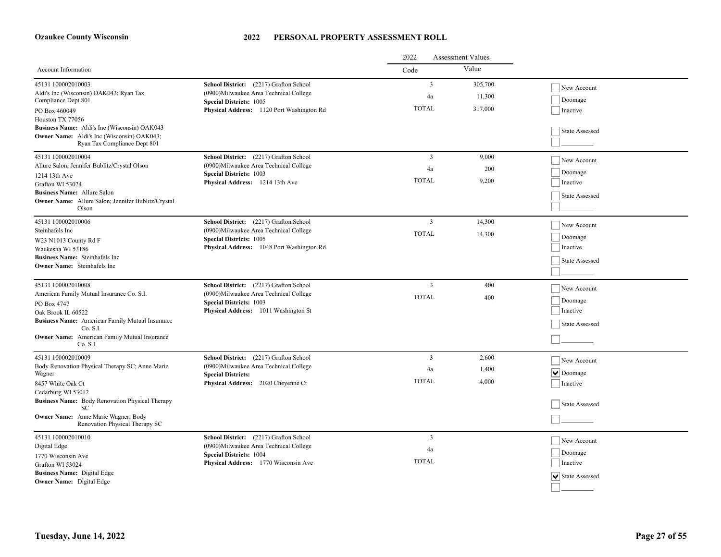|                                                                                                                                                                        |                                                                                                                     | 2022<br><b>Assessment Values</b> |                   |                               |
|------------------------------------------------------------------------------------------------------------------------------------------------------------------------|---------------------------------------------------------------------------------------------------------------------|----------------------------------|-------------------|-------------------------------|
| Account Information                                                                                                                                                    |                                                                                                                     | Code                             | Value             |                               |
| 45131 100002010003<br>Aldi's Inc (Wisconsin) OAK043; Ryan Tax<br>Compliance Dept 801                                                                                   | School District: (2217) Grafton School<br>(0900) Milwaukee Area Technical College<br><b>Special Districts: 1005</b> | $\overline{3}$<br>4a             | 305,700<br>11,300 | New Account<br>Doomage        |
| PO Box 460049<br>Houston TX 77056<br>Business Name: Aldi's Inc (Wisconsin) OAK043<br><b>Owner Name:</b> Aldi's Inc (Wisconsin) OAK043;<br>Ryan Tax Compliance Dept 801 | Physical Address: 1120 Port Washington Rd                                                                           | <b>TOTAL</b>                     | 317,000           | Inactive<br>State Assessed    |
| 45131 100002010004                                                                                                                                                     | School District: (2217) Grafton School                                                                              | $\overline{3}$                   | 9,000             | New Account                   |
| Allure Salon; Jennifer Bublitz/Crystal Olson                                                                                                                           | (0900) Milwaukee Area Technical College<br><b>Special Districts: 1003</b>                                           | 4a                               | 200               | Doomage                       |
| 1214 13th Ave<br>Grafton WI 53024                                                                                                                                      | Physical Address: 1214 13th Ave                                                                                     | <b>TOTAL</b>                     | 9,200             | Inactive                      |
| <b>Business Name:</b> Allure Salon<br>Owner Name: Allure Salon; Jennifer Bublitz/Crystal<br>Olson                                                                      |                                                                                                                     |                                  |                   | State Assessed                |
| 45131 100002010006                                                                                                                                                     | School District: (2217) Grafton School                                                                              | $\overline{3}$                   | 14,300            | New Account                   |
| Steinhafels Inc<br>W23 N1013 County Rd F                                                                                                                               | (0900)Milwaukee Area Technical College<br><b>Special Districts: 1005</b>                                            | <b>TOTAL</b>                     | 14,300            | Doomage                       |
| Waukesha WI 53186                                                                                                                                                      | Physical Address: 1048 Port Washington Rd                                                                           |                                  |                   | Inactive                      |
| <b>Business Name:</b> Steinhafels Inc.<br><b>Owner Name:</b> Steinhafels Inc                                                                                           |                                                                                                                     |                                  |                   | State Assessed                |
| 45131 100002010008                                                                                                                                                     | School District: (2217) Grafton School                                                                              | $\overline{\mathbf{3}}$          | 400               | New Account                   |
| American Family Mutual Insurance Co. S.I.<br>PO Box 4747                                                                                                               | (0900) Milwaukee Area Technical College<br><b>Special Districts: 1003</b>                                           | <b>TOTAL</b>                     | 400               | Doomage                       |
| Oak Brook IL 60522                                                                                                                                                     | Physical Address: 1011 Washington St                                                                                |                                  |                   | Inactive                      |
| <b>Business Name:</b> American Family Mutual Insurance<br>Co. S.I.                                                                                                     |                                                                                                                     |                                  |                   | State Assessed                |
| <b>Owner Name:</b> American Family Mutual Insurance<br>Co. S.I.                                                                                                        |                                                                                                                     |                                  |                   |                               |
| 45131 100002010009                                                                                                                                                     | School District: (2217) Grafton School                                                                              | $\overline{3}$                   | 2,600             | New Account                   |
| Body Renovation Physical Therapy SC; Anne Marie<br>Wagner                                                                                                              | (0900)Milwaukee Area Technical College<br><b>Special Districts:</b>                                                 | 4a                               | 1,400             | $  \vee  $ Doomage            |
| 8457 White Oak Ct<br>Cedarburg WI 53012                                                                                                                                | Physical Address: 2020 Cheyenne Ct                                                                                  | <b>TOTAL</b>                     | 4,000             | Inactive                      |
| <b>Business Name:</b> Body Renovation Physical Therapy<br>SС                                                                                                           |                                                                                                                     |                                  |                   | State Assessed                |
| Owner Name: Anne Marie Wagner; Body<br>Renovation Physical Therapy SC                                                                                                  |                                                                                                                     |                                  |                   |                               |
| 45131 100002010010                                                                                                                                                     | School District: (2217) Grafton School<br>(0900)Milwaukee Area Technical College                                    | $\overline{3}$                   |                   | New Account                   |
| Digital Edge<br>1770 Wisconsin Ave                                                                                                                                     | <b>Special Districts: 1004</b>                                                                                      | 4a                               |                   | Doomage                       |
| Grafton WI 53024                                                                                                                                                       | Physical Address: 1770 Wisconsin Ave                                                                                | <b>TOTAL</b>                     |                   | Inactive                      |
| <b>Business Name:</b> Digital Edge<br><b>Owner Name:</b> Digital Edge                                                                                                  |                                                                                                                     |                                  |                   | $ \mathbf{v} $ State Assessed |
|                                                                                                                                                                        |                                                                                                                     |                                  |                   |                               |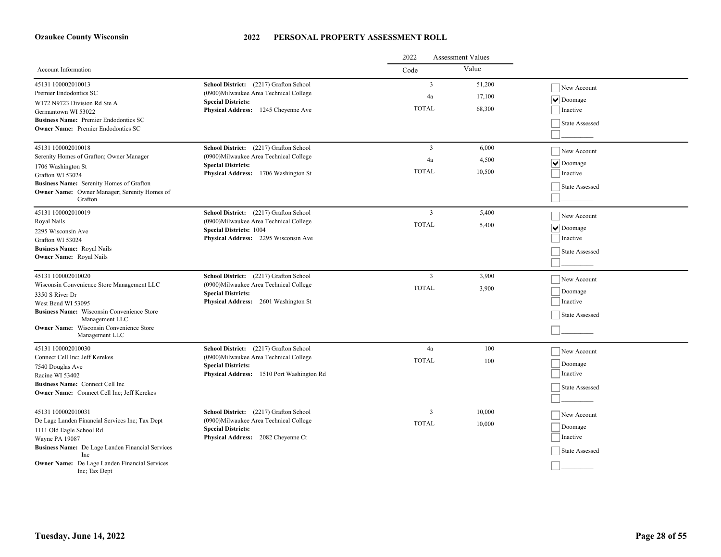|                                                                     |                                                                        | 2022<br><b>Assessment Values</b> |        |                    |
|---------------------------------------------------------------------|------------------------------------------------------------------------|----------------------------------|--------|--------------------|
| Account Information                                                 |                                                                        | Code                             | Value  |                    |
| 45131 100002010013                                                  | School District: (2217) Grafton School                                 | 3                                | 51,200 | New Account        |
| Premier Endodontics SC                                              | (0900) Milwaukee Area Technical College                                | 4a                               | 17,100 | $  \vee  $ Doomage |
| W172 N9723 Division Rd Ste A                                        | <b>Special Districts:</b><br>Physical Address: 1245 Cheyenne Ave       | <b>TOTAL</b>                     | 68,300 | Inactive           |
| Germantown WI 53022<br>Business Name: Premier Endodontics SC        |                                                                        |                                  |        |                    |
| <b>Owner Name:</b> Premier Endodontics SC                           |                                                                        |                                  |        | State Assessed     |
|                                                                     |                                                                        |                                  |        |                    |
| 45131 100002010018                                                  | School District: (2217) Grafton School                                 | 3                                | 6,000  | New Account        |
| Serenity Homes of Grafton; Owner Manager                            | (0900) Milwaukee Area Technical College                                | 4a                               | 4,500  | $  \vee  $ Doomage |
| 1706 Washington St                                                  | <b>Special Districts:</b><br>Physical Address: 1706 Washington St      | <b>TOTAL</b>                     | 10,500 | Inactive           |
| Grafton WI 53024<br>Business Name: Serenity Homes of Grafton        |                                                                        |                                  |        |                    |
| Owner Name: Owner Manager; Serenity Homes of                        |                                                                        |                                  |        | State Assessed     |
| Grafton                                                             |                                                                        |                                  |        |                    |
| 45131 100002010019                                                  | School District: (2217) Grafton School                                 | $\mathbf{3}$                     | 5,400  | New Account        |
| Royal Nails                                                         | (0900) Milwaukee Area Technical College                                | <b>TOTAL</b>                     | 5,400  | $  \vee  $ Doomage |
| 2295 Wisconsin Ave                                                  | <b>Special Districts: 1004</b><br>Physical Address: 2295 Wisconsin Ave |                                  |        | Inactive           |
| Grafton WI 53024<br><b>Business Name: Royal Nails</b>               |                                                                        |                                  |        |                    |
| <b>Owner Name:</b> Royal Nails                                      |                                                                        |                                  |        | State Assessed     |
|                                                                     |                                                                        |                                  |        |                    |
| 45131 100002010020                                                  | School District: (2217) Grafton School                                 | 3                                | 3,900  | New Account        |
| Wisconsin Convenience Store Management LLC                          | (0900)Milwaukee Area Technical College                                 | <b>TOTAL</b>                     | 3,900  | Doomage            |
| 3350 S River Dr                                                     | <b>Special Districts:</b>                                              |                                  |        | Inactive           |
| West Bend WI 53095                                                  | Physical Address: 2601 Washington St                                   |                                  |        |                    |
| <b>Business Name:</b> Wisconsin Convenience Store<br>Management LLC |                                                                        |                                  |        | State Assessed     |
| Owner Name: Wisconsin Convenience Store                             |                                                                        |                                  |        |                    |
| Management LLC                                                      |                                                                        |                                  |        |                    |
| 45131 100002010030                                                  | School District: (2217) Grafton School                                 | 4a                               | 100    | New Account        |
| Connect Cell Inc; Jeff Kerekes                                      | (0900) Milwaukee Area Technical College                                | <b>TOTAL</b>                     | 100    | Doomage            |
| 7540 Douglas Ave                                                    | <b>Special Districts:</b><br>Physical Address: 1510 Port Washington Rd |                                  |        | Inactive           |
| Racine WI 53402<br><b>Business Name:</b> Connect Cell Inc           |                                                                        |                                  |        |                    |
| Owner Name: Connect Cell Inc; Jeff Kerekes                          |                                                                        |                                  |        | State Assessed     |
|                                                                     |                                                                        |                                  |        |                    |
| 45131 100002010031                                                  | School District: (2217) Grafton School                                 | $\mathfrak{Z}$                   | 10,000 | New Account        |
| De Lage Landen Financial Services Inc; Tax Dept                     | (0900) Milwaukee Area Technical College                                | <b>TOTAL</b>                     | 10,000 | Doomage            |
| 1111 Old Eagle School Rd                                            | <b>Special Districts:</b><br>Physical Address: 2082 Cheyenne Ct        |                                  |        | Inactive           |
| Wayne PA 19087<br>Business Name: De Lage Landen Financial Services  |                                                                        |                                  |        |                    |
| <b>Inc.</b>                                                         |                                                                        |                                  |        | State Assessed     |
| Owner Name: De Lage Landen Financial Services<br>Inc; Tax Dept      |                                                                        |                                  |        |                    |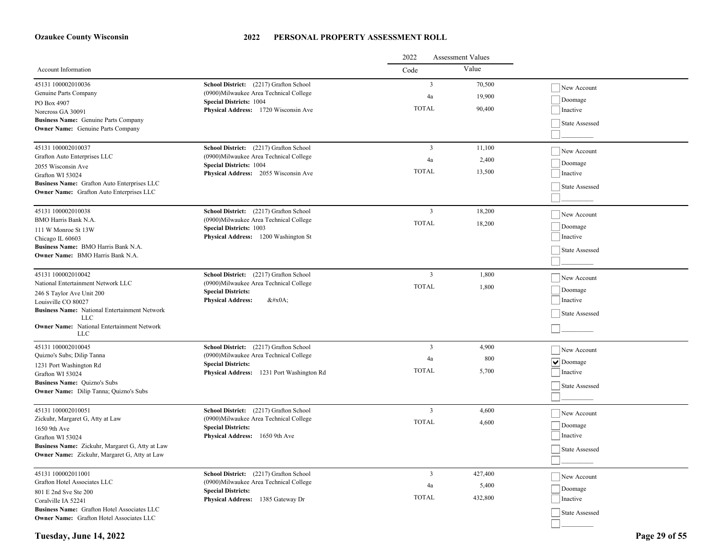|                                                                                                |                                                                        | <b>Assessment Values</b><br>2022 |         |                    |  |
|------------------------------------------------------------------------------------------------|------------------------------------------------------------------------|----------------------------------|---------|--------------------|--|
| Account Information                                                                            |                                                                        | Code                             | Value   |                    |  |
| 45131 100002010036                                                                             | School District: (2217) Grafton School                                 | $\overline{3}$                   | 70,500  | New Account        |  |
| Genuine Parts Company                                                                          | (0900) Milwaukee Area Technical College                                | 4a                               | 19,900  | Doomage            |  |
| PO Box 4907                                                                                    | <b>Special Districts: 1004</b><br>Physical Address: 1720 Wisconsin Ave | <b>TOTAL</b>                     | 90,400  | Inactive           |  |
| Norcross GA 30091<br>Business Name: Genuine Parts Company                                      |                                                                        |                                  |         |                    |  |
| <b>Owner Name:</b> Genuine Parts Company                                                       |                                                                        |                                  |         | State Assessed     |  |
|                                                                                                |                                                                        |                                  |         |                    |  |
| 45131 100002010037                                                                             | School District: (2217) Grafton School                                 | $\overline{3}$                   | 11,100  | New Account        |  |
| Grafton Auto Enterprises LLC                                                                   | (0900) Milwaukee Area Technical College                                | 4a                               | 2,400   |                    |  |
| 2055 Wisconsin Ave                                                                             | <b>Special Districts: 1004</b>                                         | <b>TOTAL</b>                     | 13,500  | Doomage            |  |
| Grafton WI 53024                                                                               | Physical Address: 2055 Wisconsin Ave                                   |                                  |         | Inactive           |  |
| Business Name: Grafton Auto Enterprises LLC<br><b>Owner Name:</b> Grafton Auto Enterprises LLC |                                                                        |                                  |         | State Assessed     |  |
|                                                                                                |                                                                        |                                  |         |                    |  |
| 45131 100002010038                                                                             | School District: (2217) Grafton School                                 | $\overline{3}$                   | 18,200  | New Account        |  |
| BMO Harris Bank N.A.                                                                           | (0900)Milwaukee Area Technical College                                 | <b>TOTAL</b>                     | 18,200  |                    |  |
| 111 W Monroe St 13W                                                                            | <b>Special Districts: 1003</b>                                         |                                  |         | Doomage            |  |
| Chicago IL 60603                                                                               | Physical Address: 1200 Washington St                                   |                                  |         | Inactive           |  |
| Business Name: BMO Harris Bank N.A.<br><b>Owner Name:</b> BMO Harris Bank N.A.                 |                                                                        |                                  |         | State Assessed     |  |
|                                                                                                |                                                                        |                                  |         |                    |  |
| 45131 100002010042                                                                             | School District: (2217) Grafton School                                 | $\overline{3}$                   | 1,800   | New Account        |  |
| National Entertainment Network LLC                                                             | (0900) Milwaukee Area Technical College                                | <b>TOTAL</b>                     | 1,800   |                    |  |
| 246 S Taylor Ave Unit 200                                                                      | <b>Special Districts:</b>                                              |                                  |         | Doomage            |  |
| Louisville CO 80027                                                                            | <b>Physical Address:</b><br>$&\#x0A;$                                  |                                  |         | Inactive           |  |
| <b>Business Name:</b> National Entertainment Network<br>LLC                                    |                                                                        |                                  |         | State Assessed     |  |
| <b>Owner Name:</b> National Entertainment Network                                              |                                                                        |                                  |         |                    |  |
| LLC                                                                                            |                                                                        |                                  |         |                    |  |
| 45131 100002010045                                                                             | School District: (2217) Grafton School                                 | $\overline{3}$                   | 4,900   | New Account        |  |
| Quizno's Subs; Dilip Tanna                                                                     | (0900)Milwaukee Area Technical College                                 | 4a                               | 800     | $  \vee  $ Doomage |  |
| 1231 Port Washington Rd                                                                        | <b>Special Districts:</b><br>Physical Address: 1231 Port Washington Rd | <b>TOTAL</b>                     | 5,700   | Inactive           |  |
| Grafton WI 53024<br><b>Business Name:</b> Quizno's Subs                                        |                                                                        |                                  |         |                    |  |
| <b>Owner Name:</b> Dilip Tanna; Quizno's Subs                                                  |                                                                        |                                  |         | State Assessed     |  |
|                                                                                                |                                                                        |                                  |         |                    |  |
| 45131 100002010051                                                                             | School District: (2217) Grafton School                                 | $\overline{3}$                   | 4,600   | New Account        |  |
| Zickuhr, Margaret G, Atty at Law                                                               | (0900)Milwaukee Area Technical College                                 | <b>TOTAL</b>                     | 4,600   | Doomage            |  |
| 1650 9th Ave                                                                                   | <b>Special Districts:</b><br>Physical Address: 1650 9th Ave            |                                  |         | Inactive           |  |
| Grafton WI 53024<br>Business Name: Zickuhr, Margaret G, Atty at Law                            |                                                                        |                                  |         |                    |  |
| <b>Owner Name:</b> Zickuhr, Margaret G, Atty at Law                                            |                                                                        |                                  |         | State Assessed     |  |
|                                                                                                |                                                                        |                                  |         |                    |  |
| 45131 100002011001                                                                             | School District: (2217) Grafton School                                 | $\overline{3}$                   | 427,400 | New Account        |  |
| Grafton Hotel Associates LLC                                                                   | (0900) Milwaukee Area Technical College                                | 4a                               | 5,400   | Doomage            |  |
| 801 E 2nd Sve Ste 200                                                                          | <b>Special Districts:</b><br>Physical Address: 1385 Gateway Dr         | <b>TOTAL</b>                     | 432,800 | Inactive           |  |
| Coralville IA 52241<br><b>Business Name:</b> Grafton Hotel Associates LLC                      |                                                                        |                                  |         |                    |  |
| <b>Owner Name:</b> Grafton Hotel Associates LLC                                                |                                                                        |                                  |         | State Assessed     |  |
|                                                                                                |                                                                        |                                  |         |                    |  |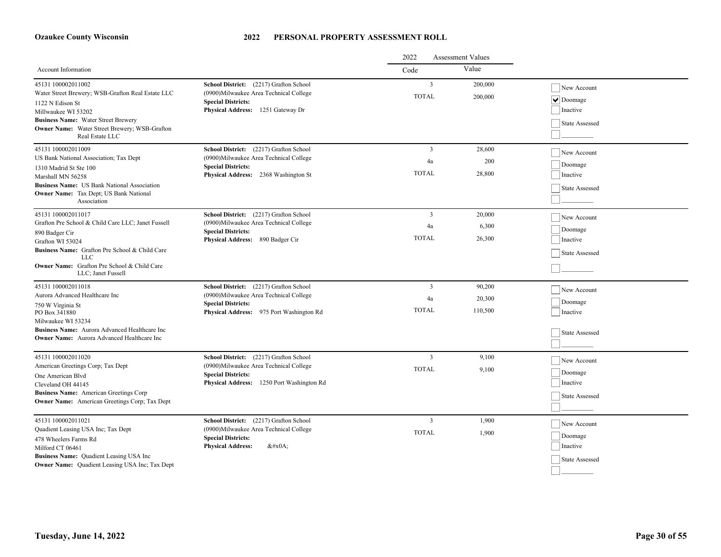|                                                                                                                                                                                                                                                     |                                                                                                                                                             | 2022                                          | <b>Assessment Values</b>    |                                                             |
|-----------------------------------------------------------------------------------------------------------------------------------------------------------------------------------------------------------------------------------------------------|-------------------------------------------------------------------------------------------------------------------------------------------------------------|-----------------------------------------------|-----------------------------|-------------------------------------------------------------|
| Account Information                                                                                                                                                                                                                                 |                                                                                                                                                             | Code                                          | Value                       |                                                             |
| 45131 100002011002<br>Water Street Brewery; WSB-Grafton Real Estate LLC<br>1122 N Edison St<br>Millwaukee WI 53202<br><b>Business Name:</b> Water Street Brewery<br>Owner Name: Water Street Brewery; WSB-Grafton<br>Real Estate LLC                | School District: (2217) Grafton School<br>(0900)Milwaukee Area Technical College<br><b>Special Districts:</b><br>Physical Address: 1251 Gateway Dr          | $\overline{3}$<br><b>TOTAL</b>                | 200,000<br>200,000          | New Account<br>$\vee$ Doomage<br>Inactive<br>State Assessed |
| 45131 100002011009<br>US Bank National Association; Tax Dept<br>1310 Madrid St Ste 100<br>Marshall MN 56258<br><b>Business Name:</b> US Bank National Association<br><b>Owner Name:</b> Tax Dept; US Bank National<br>Association                   | School District: (2217) Grafton School<br>(0900)Milwaukee Area Technical College<br><b>Special Districts:</b><br>Physical Address: 2368 Washington St       | $\overline{3}$<br>4a<br><b>TOTAL</b>          | 28,600<br>200<br>28,800     | New Account<br>Doomage<br>Inactive<br>State Assessed        |
| 45131 100002011017<br>Grafton Pre School & Child Care LLC; Janet Fussell<br>890 Badger Cir<br>Grafton WI 53024<br>Business Name: Grafton Pre School & Child Care<br>LLC<br><b>Owner Name:</b> Grafton Pre School & Child Care<br>LLC; Janet Fussell | School District: (2217) Grafton School<br>(0900) Milwaukee Area Technical College<br><b>Special Districts:</b><br>Physical Address: 890 Badger Cir          | $\overline{\mathbf{3}}$<br>4a<br><b>TOTAL</b> | 20,000<br>6,300<br>26,300   | New Account<br>Doomage<br>Inactive<br><b>State Assessed</b> |
| 45131 100002011018<br>Aurora Advanced Healthcare Inc<br>750 W Virginia St<br>PO Box 341880<br>Milwaukee WI 53234<br>Business Name: Aurora Advanced Healthcare Inc<br><b>Owner Name:</b> Aurora Advanced Healthcare Inc                              | School District: (2217) Grafton School<br>(0900)Milwaukee Area Technical College<br><b>Special Districts:</b><br>Physical Address: 975 Port Washington Rd   | $\overline{3}$<br>4a<br><b>TOTAL</b>          | 90,200<br>20,300<br>110,500 | New Account<br>Doomage<br>Inactive<br><b>State Assessed</b> |
| 45131 100002011020<br>American Greetings Corp; Tax Dept<br>One American Blvd<br>Cleveland OH 44145<br>Business Name: American Greetings Corp<br><b>Owner Name:</b> American Greetings Corp; Tax Dept                                                | School District: (2217) Grafton School<br>(0900) Milwaukee Area Technical College<br><b>Special Districts:</b><br>Physical Address: 1250 Port Washington Rd | $\mathbf{3}$<br><b>TOTAL</b>                  | 9,100<br>9,100              | New Account<br>Doomage<br>Inactive<br><b>State Assessed</b> |
| 45131 100002011021<br>Quadient Leasing USA Inc; Tax Dept<br>478 Wheelers Farms Rd<br>Milford CT 06461<br>Business Name: Quadient Leasing USA Inc<br>Owner Name: Quadient Leasing USA Inc; Tax Dept                                                  | School District: (2217) Grafton School<br>(0900) Milwaukee Area Technical College<br><b>Special Districts:</b><br><b>Physical Address:</b><br>$&\#x0A;$     | 3<br><b>TOTAL</b>                             | 1,900<br>1,900              | New Account<br>Doomage<br>Inactive<br>State Assessed        |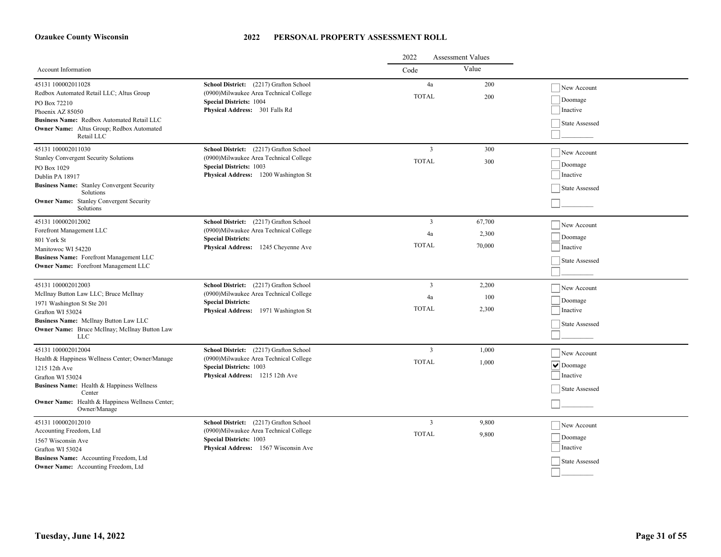|                                                                                                                                                                                                                                        |                                                                                                                                                             | 2022<br>Assessment Values                     |                           |                                                             |
|----------------------------------------------------------------------------------------------------------------------------------------------------------------------------------------------------------------------------------------|-------------------------------------------------------------------------------------------------------------------------------------------------------------|-----------------------------------------------|---------------------------|-------------------------------------------------------------|
| Account Information                                                                                                                                                                                                                    |                                                                                                                                                             | Code                                          | Value                     |                                                             |
| 45131 100002011028<br>Redbox Automated Retail LLC; Altus Group<br>PO Box 72210<br>Phoenix AZ 85050<br>Business Name: Redbox Automated Retail LLC<br>Owner Name: Altus Group; Redbox Automated<br>Retail LLC                            | School District: (2217) Grafton School<br>(0900)Milwaukee Area Technical College<br><b>Special Districts: 1004</b><br>Physical Address: 301 Falls Rd        | 4a<br><b>TOTAL</b>                            | 200<br>200                | New Account<br>Doomage<br>Inactive<br>State Assessed        |
| 45131 100002011030<br><b>Stanley Convergent Security Solutions</b><br>PO Box 1029<br>Dublin PA 18917<br><b>Business Name:</b> Stanley Convergent Security<br>Solutions<br><b>Owner Name:</b> Stanley Convergent Security<br>Solutions  | School District: (2217) Grafton School<br>(0900)Milwaukee Area Technical College<br><b>Special Districts: 1003</b><br>Physical Address: 1200 Washington St  | $\overline{3}$<br><b>TOTAL</b>                | 300<br>300                | New Account<br>Doomage<br>Inactive<br>State Assessed        |
| 45131 100002012002<br>Forefront Management LLC<br>801 York St<br>Manitowoc WI 54220<br><b>Business Name:</b> Forefront Management LLC<br><b>Owner Name:</b> Forefront Management LLC                                                   | School District: (2217) Grafton School<br>(0900) Milwaukee Area Technical College<br><b>Special Districts:</b><br>Physical Address: 1245 Cheyenne Ave       | $\overline{\mathbf{3}}$<br>4a<br><b>TOTAL</b> | 67,700<br>2,300<br>70,000 | New Account<br>Doomage<br>Inactive<br>State Assessed        |
| 45131 100002012003<br>McIlnay Button Law LLC; Bruce McIlnay<br>1971 Washington St Ste 201<br>Grafton WI 53024<br>Business Name: McIlnay Button Law LLC<br>Owner Name: Bruce McIlnay; McIlnay Button Law<br><b>LLC</b>                  | School District: (2217) Grafton School<br>(0900)Milwaukee Area Technical College<br><b>Special Districts:</b><br>Physical Address: 1971 Washington St       | 3<br>4a<br><b>TOTAL</b>                       | 2,200<br>100<br>2,300     | New Account<br>Doomage<br>Inactive<br>State Assessed        |
| 45131 100002012004<br>Health & Happiness Wellness Center; Owner/Manage<br>1215 12th Ave<br>Grafton WI 53024<br>Business Name: Health & Happiness Wellness<br>Center<br>Owner Name: Health & Happiness Wellness Center;<br>Owner/Manage | School District: (2217) Grafton School<br>(0900) Milwaukee Area Technical College<br><b>Special Districts: 1003</b><br>Physical Address: 1215 12th Ave      | $\overline{3}$<br><b>TOTAL</b>                | 1,000<br>1,000            | New Account<br>$\vee$ Doomage<br>Inactive<br>State Assessed |
| 45131 100002012010<br>Accounting Freedom, Ltd<br>1567 Wisconsin Ave<br>Grafton WI 53024<br>Business Name: Accounting Freedom, Ltd<br><b>Owner Name:</b> Accounting Freedom, Ltd                                                        | School District: (2217) Grafton School<br>(0900) Milwaukee Area Technical College<br><b>Special Districts: 1003</b><br>Physical Address: 1567 Wisconsin Ave | $\overline{3}$<br><b>TOTAL</b>                | 9.800<br>9,800            | New Account<br>Doomage<br>Inactive<br>State Assessed        |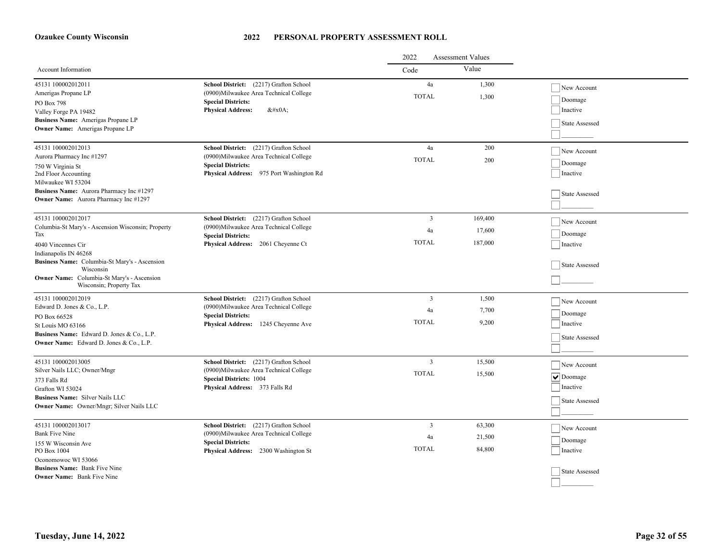|                                                                                                                                                                                       |                                                                                                                                                            | 2022<br><b>Assessment Values</b>     |                              |                                                                                   |
|---------------------------------------------------------------------------------------------------------------------------------------------------------------------------------------|------------------------------------------------------------------------------------------------------------------------------------------------------------|--------------------------------------|------------------------------|-----------------------------------------------------------------------------------|
| Account Information                                                                                                                                                                   |                                                                                                                                                            | Code                                 | Value                        |                                                                                   |
| 45131 100002012011<br>Amerigas Propane LP<br>PO Box 798                                                                                                                               | School District: (2217) Grafton School<br>(0900) Milwaukee Area Technical College<br><b>Special Districts:</b><br><b>Physical Address:</b><br>$&\#x0A$ ;   | 4a<br><b>TOTAL</b>                   | 1,300<br>1,300               | New Account<br>Doomage<br>Inactive                                                |
| Valley Forge PA 19482<br>Business Name: Amerigas Propane LP<br><b>Owner Name:</b> Amerigas Propane LP                                                                                 |                                                                                                                                                            |                                      |                              | State Assessed                                                                    |
| 45131 100002012013<br>Aurora Pharmacy Inc #1297<br>750 W Virginia St<br>2nd Floor Accounting<br>Milwaukee WI 53204                                                                    | School District: (2217) Grafton School<br>(0900) Milwaukee Area Technical College<br><b>Special Districts:</b><br>Physical Address: 975 Port Washington Rd | $\rm 4a$<br><b>TOTAL</b>             | 200<br>200                   | New Account<br>Doomage<br>Inactive                                                |
| Business Name: Aurora Pharmacy Inc #1297<br><b>Owner Name:</b> Aurora Pharmacy Inc #1297                                                                                              |                                                                                                                                                            |                                      |                              | State Assessed                                                                    |
| 45131 100002012017<br>Columbia-St Mary's - Ascension Wisconsin; Property<br>Tax<br>4040 Vincennes Cir<br>Indianapolis IN 46268                                                        | School District: (2217) Grafton School<br>(0900) Milwaukee Area Technical College<br><b>Special Districts:</b><br>Physical Address: 2061 Cheyenne Ct       | 3<br>4a<br><b>TOTAL</b>              | 169,400<br>17,600<br>187,000 | New Account<br>Doomage<br>Inactive                                                |
| Business Name: Columbia-St Mary's - Ascension<br>Wisconsin<br>Owner Name: Columbia-St Mary's - Ascension<br>Wisconsin; Property Tax                                                   |                                                                                                                                                            |                                      |                              | State Assessed                                                                    |
| 45131 100002012019<br>Edward D. Jones & Co., L.P.<br>PO Box 66528<br>St Louis MO 63166<br>Business Name: Edward D. Jones & Co., L.P.<br>Owner Name: Edward D. Jones & Co., L.P.       | School District: (2217) Grafton School<br>(0900) Milwaukee Area Technical College<br><b>Special Districts:</b><br>Physical Address: 1245 Cheyenne Ave      | $\mathfrak{Z}$<br>4a<br><b>TOTAL</b> | 1,500<br>7,700<br>9,200      | New Account<br>Doomage<br>Inactive<br><b>State Assessed</b>                       |
| 45131 100002013005<br>Silver Nails LLC; Owner/Mngr<br>373 Falls Rd<br>Grafton WI 53024<br><b>Business Name:</b> Silver Nails LLC<br>Owner Name: Owner/Mngr; Silver Nails LLC          | School District: (2217) Grafton School<br>(0900) Milwaukee Area Technical College<br><b>Special Districts: 1004</b><br>Physical Address: 373 Falls Rd      | $\overline{3}$<br><b>TOTAL</b>       | 15,500<br>15,500             | New Account<br>$\boxed{\blacktriangledown}$ Doomage<br>Inactive<br>State Assessed |
| 45131 100002013017<br><b>Bank Five Nine</b><br>155 W Wisconsin Ave<br>PO Box 1004<br>Oconomowoc WI 53066<br><b>Business Name:</b> Bank Five Nine<br><b>Owner Name:</b> Bank Five Nine | School District: (2217) Grafton School<br>(0900) Milwaukee Area Technical College<br><b>Special Districts:</b><br>Physical Address: 2300 Washington St     | 3<br>4a<br><b>TOTAL</b>              | 63,300<br>21,500<br>84,800   | New Account<br>Doomage<br>Inactive<br><b>State Assessed</b>                       |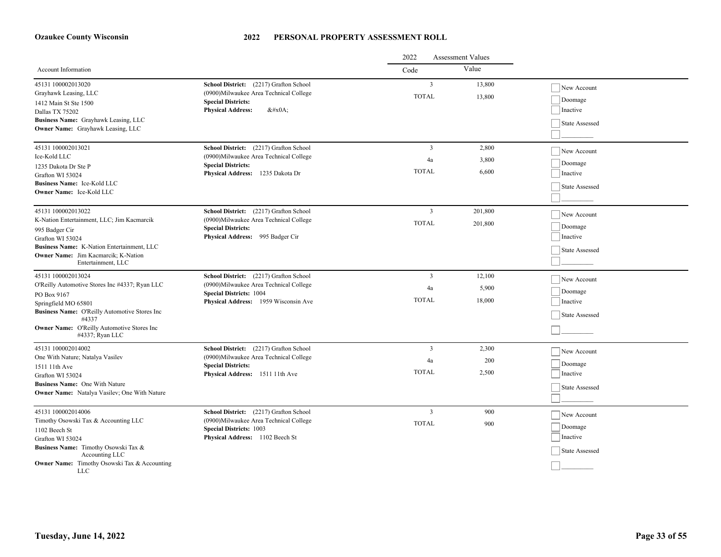|                                                                      |                                                                                  | 2022<br><b>Assessment Values</b> |         |                       |
|----------------------------------------------------------------------|----------------------------------------------------------------------------------|----------------------------------|---------|-----------------------|
| Account Information                                                  |                                                                                  | Code                             | Value   |                       |
| 45131 100002013020<br>Grayhawk Leasing, LLC                          | School District: (2217) Grafton School<br>(0900)Milwaukee Area Technical College | $\overline{3}$                   | 13,800  | New Account           |
| 1412 Main St Ste 1500                                                | <b>Special Districts:</b>                                                        | <b>TOTAL</b>                     | 13,800  | Doomage               |
| Dallas TX 75202                                                      | <b>Physical Address:</b><br>$&\#x0A;$                                            |                                  |         | Inactive              |
| Business Name: Grayhawk Leasing, LLC                                 |                                                                                  |                                  |         | <b>State Assessed</b> |
| <b>Owner Name:</b> Grayhawk Leasing, LLC                             |                                                                                  |                                  |         |                       |
| 45131 100002013021                                                   | School District: (2217) Grafton School                                           | $\overline{3}$                   | 2.800   | New Account           |
| Ice-Kold LLC                                                         | (0900) Milwaukee Area Technical College                                          | 4a                               | 3,800   | Doomage               |
| 1235 Dakota Dr Ste P                                                 | <b>Special Districts:</b><br>Physical Address: 1235 Dakota Dr                    | <b>TOTAL</b>                     | 6,600   | Inactive              |
| Grafton WI 53024<br>Business Name: Ice-Kold LLC                      |                                                                                  |                                  |         |                       |
| <b>Owner Name:</b> Ice-Kold LLC                                      |                                                                                  |                                  |         | State Assessed        |
|                                                                      |                                                                                  |                                  |         |                       |
| 45131 100002013022                                                   | School District: (2217) Grafton School                                           | $\overline{3}$                   | 201,800 | New Account           |
| K-Nation Entertainment, LLC; Jim Kacmarcik                           | (0900)Milwaukee Area Technical College<br><b>Special Districts:</b>              | <b>TOTAL</b>                     | 201,800 | Doomage               |
| 995 Badger Cir                                                       | Physical Address: 995 Badger Cir                                                 |                                  |         | Inactive              |
| Grafton WI 53024<br>Business Name: K-Nation Entertainment, LLC       |                                                                                  |                                  |         |                       |
| <b>Owner Name:</b> Jim Kacmarcik: K-Nation                           |                                                                                  |                                  |         | State Assessed        |
| Entertainment, LLC                                                   |                                                                                  |                                  |         |                       |
| 45131 100002013024                                                   | School District: (2217) Grafton School                                           | 3                                | 12,100  | New Account           |
| O'Reilly Automotive Stores Inc #4337; Ryan LLC                       | (0900) Milwaukee Area Technical College                                          | 4a                               | 5,900   | Doomage               |
| PO Box 9167                                                          | <b>Special Districts: 1004</b><br>Physical Address: 1959 Wisconsin Ave           | <b>TOTAL</b>                     | 18,000  | Inactive              |
| Springfield MO 65801                                                 |                                                                                  |                                  |         |                       |
| Business Name: O'Reilly Automotive Stores Inc<br>#4337               |                                                                                  |                                  |         | <b>State Assessed</b> |
| <b>Owner Name:</b> O'Reilly Automotive Stores Inc<br>#4337; Ryan LLC |                                                                                  |                                  |         |                       |
| 45131 100002014002                                                   | School District: (2217) Grafton School                                           | $\overline{3}$                   | 2,300   | New Account           |
| One With Nature; Natalya Vasilev                                     | (0900) Milwaukee Area Technical College<br><b>Special Districts:</b>             | 4a                               | 200     | Doomage               |
| 1511 11th Ave                                                        | Physical Address: 1511 11th Ave                                                  | <b>TOTAL</b>                     | 2,500   | Inactive              |
| Grafton WI 53024<br>Business Name: One With Nature                   |                                                                                  |                                  |         |                       |
| Owner Name: Natalya Vasilev; One With Nature                         |                                                                                  |                                  |         | State Assessed        |
|                                                                      |                                                                                  |                                  |         |                       |
| 45131 100002014006                                                   | School District: (2217) Grafton School                                           | $\overline{3}$                   | 900     | New Account           |
| Timothy Osowski Tax & Accounting LLC                                 | (0900) Milwaukee Area Technical College                                          | <b>TOTAL</b>                     | 900     | Doomage               |
| 1102 Beech St<br>Grafton WI 53024                                    | <b>Special Districts: 1003</b><br>Physical Address: 1102 Beech St                |                                  |         | Inactive              |
| Business Name: Timothy Osowski Tax &                                 |                                                                                  |                                  |         | State Assessed        |
| Accounting LLC                                                       |                                                                                  |                                  |         |                       |
| <b>Owner Name:</b> Timothy Osowski Tax & Accounting<br><b>LLC</b>    |                                                                                  |                                  |         |                       |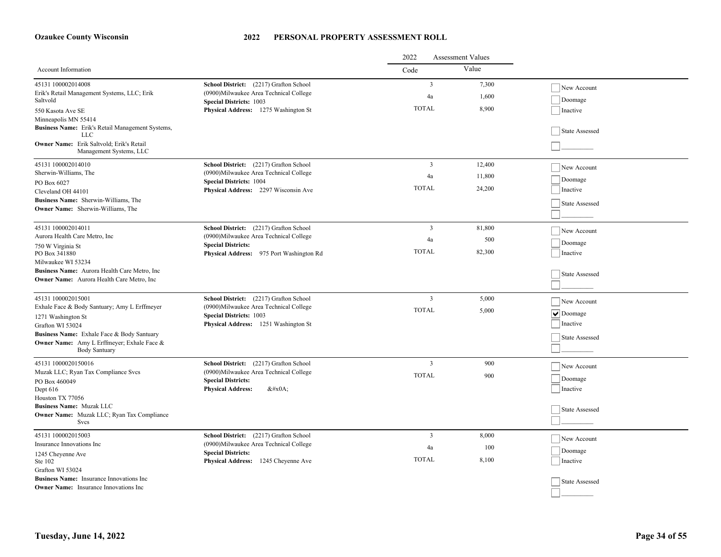|                                                                                                                                                                                                            |                                                                                                                                                             | 2022<br><b>Assessment Values</b>     |                         |                                                      |
|------------------------------------------------------------------------------------------------------------------------------------------------------------------------------------------------------------|-------------------------------------------------------------------------------------------------------------------------------------------------------------|--------------------------------------|-------------------------|------------------------------------------------------|
| Account Information                                                                                                                                                                                        |                                                                                                                                                             | Code                                 | Value                   |                                                      |
| 45131 100002014008<br>Erik's Retail Management Systems, LLC; Erik<br>Saltvold<br>550 Kasota Ave SE<br>Minneapolis MN 55414                                                                                 | School District: (2217) Grafton School<br>(0900) Milwaukee Area Technical College<br><b>Special Districts: 1003</b><br>Physical Address: 1275 Washington St | $\overline{3}$<br>4a<br><b>TOTAL</b> | 7,300<br>1,600<br>8,900 | New Account<br>Doomage<br>Inactive                   |
| Business Name: Erik's Retail Management Systems,<br><b>LLC</b><br>Owner Name: Erik Saltvold; Erik's Retail<br>Management Systems, LLC                                                                      |                                                                                                                                                             |                                      |                         | State Assessed                                       |
| 45131 100002014010                                                                                                                                                                                         | School District: (2217) Grafton School                                                                                                                      | $\overline{3}$                       | 12,400                  | New Account                                          |
| Sherwin-Williams, The<br>PO Box 6027                                                                                                                                                                       | (0900)Milwaukee Area Technical College<br><b>Special Districts: 1004</b>                                                                                    | 4a                                   | 11,800                  | Doomage                                              |
| Cleveland OH 44101                                                                                                                                                                                         | Physical Address: 2297 Wisconsin Ave                                                                                                                        | <b>TOTAL</b>                         | 24,200                  | Inactive                                             |
| Business Name: Sherwin-Williams, The<br><b>Owner Name:</b> Sherwin-Williams, The                                                                                                                           |                                                                                                                                                             |                                      |                         | State Assessed                                       |
| 45131 100002014011                                                                                                                                                                                         | School District: (2217) Grafton School                                                                                                                      | $\overline{3}$                       | 81,800                  | New Account                                          |
| Aurora Health Care Metro, Inc                                                                                                                                                                              | (0900)Milwaukee Area Technical College<br><b>Special Districts:</b><br>Physical Address: 975 Port Washington Rd                                             | 4a                                   | 500                     | Doomage                                              |
| 750 W Virginia St<br>PO Box 341880                                                                                                                                                                         |                                                                                                                                                             | <b>TOTAL</b>                         | 82,300                  | Inactive                                             |
| Milwaukee WI 53234<br>Business Name: Aurora Health Care Metro, Inc<br><b>Owner Name:</b> Aurora Health Care Metro, Inc.                                                                                    |                                                                                                                                                             |                                      |                         | State Assessed                                       |
| 45131 100002015001                                                                                                                                                                                         | School District: (2217) Grafton School                                                                                                                      | $\overline{3}$                       | 5,000                   | New Account                                          |
| Exhale Face & Body Santuary; Amy L Erffmeyer<br>1271 Washington St<br>Grafton WI 53024<br>Business Name: Exhale Face & Body Santuary<br>Owner Name: Amy L Erffmeyer; Exhale Face &<br><b>Body Santuary</b> | (0900)Milwaukee Area Technical College<br><b>Special Districts: 1003</b><br>Physical Address: 1251 Washington St                                            | <b>TOTAL</b>                         | 5,000                   | $ \mathbf{v} $ Doomage<br>Inactive<br>State Assessed |
| 45131 1000020150016                                                                                                                                                                                        | School District: (2217) Grafton School                                                                                                                      | 3                                    | 900                     | New Account                                          |
| Muzak LLC; Ryan Tax Compliance Svcs<br>PO Box 460049<br>Dept 616<br>Houston TX 77056                                                                                                                       | (0900)Milwaukee Area Technical College<br><b>Special Districts:</b><br><b>Physical Address:</b><br>$&\#x0A;$                                                | <b>TOTAL</b>                         | 900                     | Doomage<br>Inactive                                  |
| <b>Business Name: Muzak LLC</b><br><b>Owner Name:</b> Muzak LLC; Ryan Tax Compliance<br>Svcs                                                                                                               |                                                                                                                                                             |                                      |                         | State Assessed                                       |
| 45131 100002015003                                                                                                                                                                                         | School District: (2217) Grafton School                                                                                                                      | 3                                    | 8,000                   | New Account                                          |
| Insurance Innovations Inc                                                                                                                                                                                  | (0900)Milwaukee Area Technical College<br><b>Special Districts:</b>                                                                                         | 4a                                   | 100                     | Doomage                                              |
| 1245 Cheyenne Ave<br>Ste 102<br>Grafton WI 53024                                                                                                                                                           | Physical Address: 1245 Cheyenne Ave                                                                                                                         | <b>TOTAL</b>                         | 8,100                   | Inactive                                             |
| Business Name: Insurance Innovations Inc<br><b>Owner Name:</b> Insurance Innovations Inc                                                                                                                   |                                                                                                                                                             |                                      |                         | State Assessed                                       |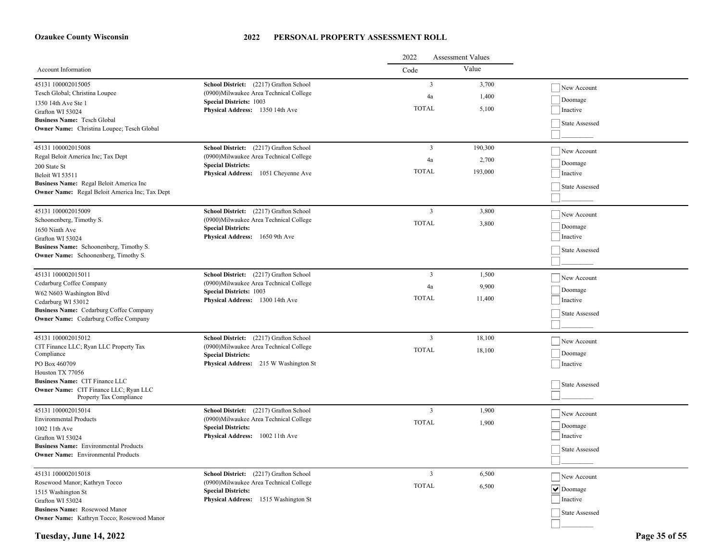#### **2022 PERSONAL PROPERTY ASSESSMENT ROLL**

|                                                                                 |                                                                      | 2022<br><b>Assessment Values</b> |         |                        |  |
|---------------------------------------------------------------------------------|----------------------------------------------------------------------|----------------------------------|---------|------------------------|--|
| <b>Account Information</b>                                                      |                                                                      | Code                             | Value   |                        |  |
| 45131 100002015005                                                              | School District: (2217) Grafton School                               | $\overline{3}$                   | 3,700   | New Account            |  |
| Tesch Global; Christina Loupee                                                  | (0900) Milwaukee Area Technical College                              | 4a                               | 1,400   |                        |  |
| 1350 14th Ave Ste 1                                                             | <b>Special Districts: 1003</b>                                       | <b>TOTAL</b>                     | 5,100   | Doomage                |  |
| Grafton WI 53024                                                                | Physical Address: 1350 14th Ave                                      |                                  |         | Inactive               |  |
| <b>Business Name: Tesch Global</b>                                              |                                                                      |                                  |         | State Assessed         |  |
| <b>Owner Name:</b> Christina Loupee; Tesch Global                               |                                                                      |                                  |         |                        |  |
| 45131 100002015008                                                              | School District: (2217) Grafton School                               | $\overline{3}$                   | 190,300 | New Account            |  |
| Regal Beloit America Inc; Tax Dept                                              | (0900)Milwaukee Area Technical College                               | 4a                               | 2,700   |                        |  |
| 200 State St                                                                    | <b>Special Districts:</b>                                            | <b>TOTAL</b>                     | 193,000 | Doomage                |  |
| Beloit WI 53511                                                                 | Physical Address: 1051 Cheyenne Ave                                  |                                  |         | Inactive               |  |
| Business Name: Regal Beloit America Inc                                         |                                                                      |                                  |         | State Assessed         |  |
| Owner Name: Regal Beloit America Inc; Tax Dept                                  |                                                                      |                                  |         |                        |  |
| 45131 100002015009                                                              | School District: (2217) Grafton School                               | $\overline{\mathbf{3}}$          | 3,800   | New Account            |  |
| Schoonenberg, Timothy S.                                                        | (0900) Milwaukee Area Technical College                              | <b>TOTAL</b>                     | 3,800   |                        |  |
| 1650 Ninth Ave                                                                  | <b>Special Districts:</b>                                            |                                  |         | Doomage                |  |
| Grafton WI 53024                                                                | Physical Address: 1650 9th Ave                                       |                                  |         | Inactive               |  |
| Business Name: Schoonenberg, Timothy S.<br>Owner Name: Schoonenberg, Timothy S. |                                                                      |                                  |         | State Assessed         |  |
|                                                                                 |                                                                      |                                  |         |                        |  |
| 45131 100002015011                                                              | School District: (2217) Grafton School                               | $\overline{3}$                   | 1,500   | New Account            |  |
| Cedarburg Coffee Company                                                        | (0900)Milwaukee Area Technical College                               | 4a                               | 9,900   |                        |  |
| W62 N603 Washington Blvd                                                        | <b>Special Districts: 1003</b>                                       | <b>TOTAL</b>                     | 11,400  | Doomage                |  |
| Cedarburg WI 53012                                                              | Physical Address: 1300 14th Ave                                      |                                  |         | Inactive               |  |
| Business Name: Cedarburg Coffee Company<br>Owner Name: Cedarburg Coffee Company |                                                                      |                                  |         | State Assessed         |  |
|                                                                                 |                                                                      |                                  |         |                        |  |
| 45131 100002015012                                                              | School District: (2217) Grafton School                               | $\overline{3}$                   | 18,100  | New Account            |  |
| CIT Finance LLC; Ryan LLC Property Tax<br>Compliance                            | (0900) Milwaukee Area Technical College                              | <b>TOTAL</b>                     | 18,100  | Doomage                |  |
| PO Box 460709                                                                   | <b>Special Districts:</b><br>Physical Address: 215 W Washington St   |                                  |         | Inactive               |  |
| Houston TX 77056                                                                |                                                                      |                                  |         |                        |  |
| <b>Business Name: CIT Finance LLC</b>                                           |                                                                      |                                  |         | State Assessed         |  |
| Owner Name: CIT Finance LLC; Ryan LLC                                           |                                                                      |                                  |         |                        |  |
| Property Tax Compliance                                                         |                                                                      |                                  |         |                        |  |
| 45131 100002015014                                                              | School District: (2217) Grafton School                               | $\overline{\mathbf{3}}$          | 1,900   | New Account            |  |
| <b>Environmental Products</b>                                                   | (0900) Milwaukee Area Technical College<br><b>Special Districts:</b> | <b>TOTAL</b>                     | 1,900   | Doomage                |  |
| 1002 11th Ave<br>Grafton WI 53024                                               | Physical Address: 1002 11th Ave                                      |                                  |         | Inactive               |  |
| <b>Business Name:</b> Environmental Products                                    |                                                                      |                                  |         |                        |  |
| <b>Owner Name:</b> Environmental Products                                       |                                                                      |                                  |         | State Assessed         |  |
|                                                                                 |                                                                      |                                  |         |                        |  |
| 45131 100002015018                                                              | School District: (2217) Grafton School                               | $\overline{\mathbf{3}}$          | 6,500   | New Account            |  |
| Rosewood Manor; Kathryn Tocco                                                   | (0900) Milwaukee Area Technical College<br><b>Special Districts:</b> | <b>TOTAL</b>                     | 6,500   | $ \mathbf{v} $ Doomage |  |
| 1515 Washington St                                                              | Physical Address: 1515 Washington St                                 |                                  |         | Inactive               |  |
| Grafton WI 53024<br><b>Business Name: Rosewood Manor</b>                        |                                                                      |                                  |         |                        |  |
| Owner Name: Kathryn Tocco; Rosewood Manor                                       |                                                                      |                                  |         | State Assessed         |  |
|                                                                                 |                                                                      |                                  |         |                        |  |

**Tuesday, June 14, 2022 Page 35 of 55**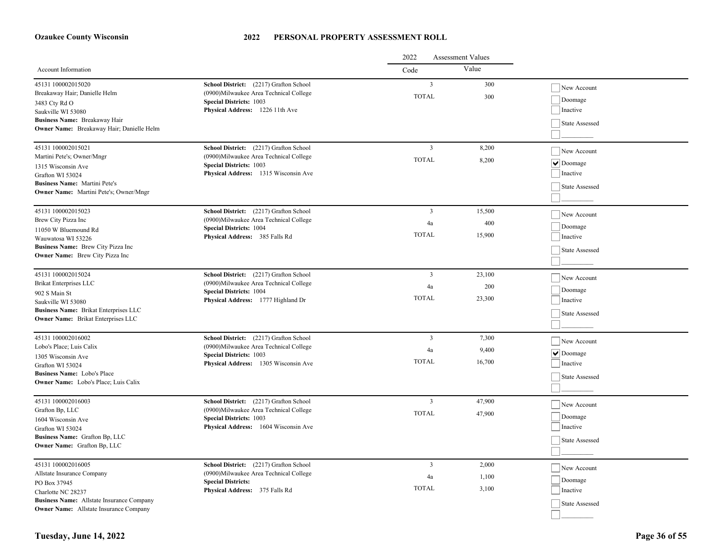|                                                                            |                                                                   | 2022<br><b>Assessment Values</b> |        |                                    |
|----------------------------------------------------------------------------|-------------------------------------------------------------------|----------------------------------|--------|------------------------------------|
| <b>Account Information</b>                                                 |                                                                   | Code                             | Value  |                                    |
| 45131 100002015020                                                         | School District: (2217) Grafton School                            | $\overline{3}$                   | 300    | New Account                        |
| Breakaway Hair; Danielle Helm                                              | (0900) Milwaukee Area Technical College                           | <b>TOTAL</b>                     | 300    | Doomage                            |
| 3483 Cty Rd O                                                              | <b>Special Districts: 1003</b><br>Physical Address: 1226 11th Ave |                                  |        | Inactive                           |
| Saukville WI 53080                                                         |                                                                   |                                  |        |                                    |
| Business Name: Breakaway Hair<br>Owner Name: Breakaway Hair; Danielle Helm |                                                                   |                                  |        | State Assessed                     |
|                                                                            |                                                                   |                                  |        |                                    |
| 45131 100002015021                                                         | School District: (2217) Grafton School                            | 3                                | 8,200  | New Account                        |
| Martini Pete's; Owner/Mngr                                                 | (0900)Milwaukee Area Technical College                            | <b>TOTAL</b>                     | 8,200  | $ \vee $ Doomage                   |
| 1315 Wisconsin Ave                                                         | <b>Special Districts: 1003</b>                                    |                                  |        |                                    |
| Grafton WI 53024                                                           | Physical Address: 1315 Wisconsin Ave                              |                                  |        | Inactive                           |
| <b>Business Name:</b> Martini Pete's                                       |                                                                   |                                  |        | State Assessed                     |
| <b>Owner Name:</b> Martini Pete's; Owner/Mngr                              |                                                                   |                                  |        |                                    |
| 45131 100002015023                                                         | School District: (2217) Grafton School                            | $\overline{3}$                   | 15,500 | New Account                        |
| Brew City Pizza Inc                                                        | (0900) Milwaukee Area Technical College                           | 4a                               | 400    |                                    |
| 11050 W Bluemound Rd                                                       | <b>Special Districts: 1004</b>                                    |                                  |        | Doomage                            |
| Wauwatosa WI 53226                                                         | Physical Address: 385 Falls Rd                                    | <b>TOTAL</b>                     | 15,900 | Inactive                           |
| Business Name: Brew City Pizza Inc                                         |                                                                   |                                  |        | <b>State Assessed</b>              |
| <b>Owner Name:</b> Brew City Pizza Inc                                     |                                                                   |                                  |        |                                    |
| 45131 100002015024                                                         | School District: (2217) Grafton School                            | $\overline{3}$                   | 23,100 | New Account                        |
| <b>Brikat Enterprises LLC</b>                                              | (0900)Milwaukee Area Technical College                            | 4a                               | 200    |                                    |
| 902 S Main St                                                              | <b>Special Districts: 1004</b>                                    |                                  |        | Doomage                            |
| Saukville WI 53080                                                         | Physical Address: 1777 Highland Dr                                | <b>TOTAL</b>                     | 23,300 | Inactive                           |
| Business Name: Brikat Enterprises LLC                                      |                                                                   |                                  |        | State Assessed                     |
| Owner Name: Brikat Enterprises LLC                                         |                                                                   |                                  |        |                                    |
| 45131 100002016002                                                         | School District: (2217) Grafton School                            | 3                                | 7,300  | New Account                        |
| Lobo's Place; Luis Calix                                                   | (0900) Milwaukee Area Technical College                           | 4a                               | 9,400  |                                    |
| 1305 Wisconsin Ave                                                         | <b>Special Districts: 1003</b>                                    |                                  |        | $\overline{\triangledown}$ Doomage |
| Grafton WI 53024                                                           | Physical Address: 1305 Wisconsin Ave                              | <b>TOTAL</b>                     | 16,700 | Inactive                           |
| Business Name: Lobo's Place                                                |                                                                   |                                  |        | State Assessed                     |
| <b>Owner Name:</b> Lobo's Place; Luis Calix                                |                                                                   |                                  |        |                                    |
| 45131 100002016003                                                         | School District: (2217) Grafton School                            | $\overline{3}$                   | 47,900 | New Account                        |
| Grafton Bp, LLC                                                            | (0900)Milwaukee Area Technical College                            | <b>TOTAL</b>                     | 47,900 |                                    |
| 1604 Wisconsin Ave                                                         | <b>Special Districts: 1003</b>                                    |                                  |        | Doomage                            |
| Grafton WI 53024                                                           | Physical Address: 1604 Wisconsin Ave                              |                                  |        | Inactive                           |
| Business Name: Grafton Bp, LLC                                             |                                                                   |                                  |        | State Assessed                     |
| Owner Name: Grafton Bp, LLC                                                |                                                                   |                                  |        |                                    |
| 45131 100002016005                                                         | School District: (2217) Grafton School                            | 3                                | 2,000  |                                    |
| Allstate Insurance Company                                                 | (0900)Milwaukee Area Technical College                            | 4a                               | 1,100  | New Account                        |
| PO Box 37945                                                               | <b>Special Districts:</b>                                         |                                  |        | Doomage                            |
| Charlotte NC 28237                                                         | Physical Address: 375 Falls Rd                                    | <b>TOTAL</b>                     | 3,100  | Inactive                           |
| <b>Business Name:</b> Allstate Insurance Company                           |                                                                   |                                  |        | State Assessed                     |
| <b>Owner Name:</b> Allstate Insurance Company                              |                                                                   |                                  |        |                                    |
|                                                                            |                                                                   |                                  |        |                                    |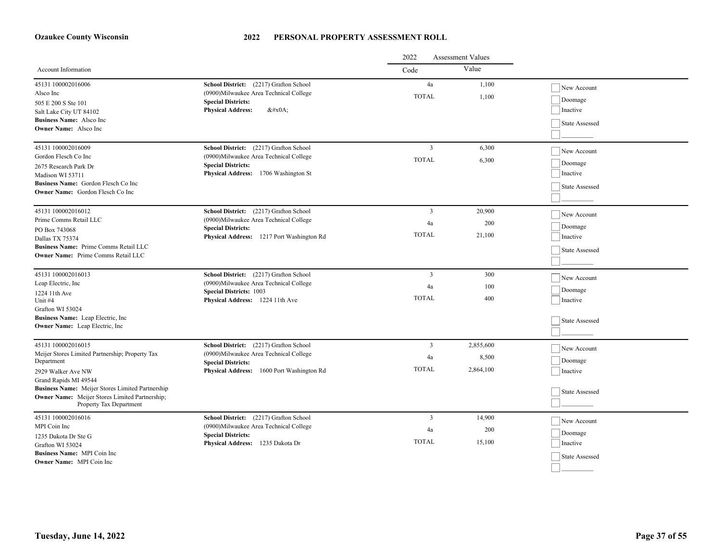|                                                                                                           |                                                                                                                     | 2022               | <b>Assessment Values</b> |                                   |
|-----------------------------------------------------------------------------------------------------------|---------------------------------------------------------------------------------------------------------------------|--------------------|--------------------------|-----------------------------------|
| Account Information                                                                                       |                                                                                                                     | Code               | Value                    |                                   |
| 45131 100002016006<br>Alsco Inc                                                                           | School District: (2217) Grafton School<br>(0900) Milwaukee Area Technical College                                   | 4a<br><b>TOTAL</b> | 1,100<br>1,100           | New Account                       |
| 505 E 200 S Ste 101<br>Salt Lake City UT 84102                                                            | <b>Special Districts:</b><br><b>Physical Address:</b><br>$&\#x0A$ :                                                 |                    |                          | Doomage<br>Inactive               |
| <b>Business Name:</b> Alsco Inc.<br><b>Owner Name:</b> Alsco Inc                                          |                                                                                                                     |                    |                          | State Assessed                    |
| 45131 100002016009<br>Gordon Flesch Co Inc                                                                | School District: (2217) Grafton School<br>(0900) Milwaukee Area Technical College                                   | 3                  | 6,300                    | New Account                       |
| 2675 Research Park Dr                                                                                     | <b>Special Districts:</b>                                                                                           | <b>TOTAL</b>       | 6,300                    | Doomage                           |
| Madison WI 53711<br>Business Name: Gordon Flesch Co Inc                                                   | Physical Address: 1706 Washington St                                                                                |                    |                          | Inactive<br><b>State Assessed</b> |
| <b>Owner Name:</b> Gordon Flesch Co Inc                                                                   |                                                                                                                     |                    |                          |                                   |
| 45131 100002016012<br>Prime Comms Retail LLC                                                              | School District: (2217) Grafton School<br>(0900) Milwaukee Area Technical College                                   | 3                  | 20,900                   | New Account                       |
| PO Box 743068                                                                                             | <b>Special Districts:</b>                                                                                           | 4a<br><b>TOTAL</b> | 200<br>21,100            | Doomage                           |
| Dallas TX 75374<br>Business Name: Prime Comms Retail LLC                                                  | Physical Address: 1217 Port Washington Rd                                                                           |                    |                          | Inactive<br>State Assessed        |
| <b>Owner Name:</b> Prime Comms Retail LLC                                                                 |                                                                                                                     |                    |                          |                                   |
| 45131 100002016013<br>Leap Electric, Inc.                                                                 | School District: (2217) Grafton School<br>(0900) Milwaukee Area Technical College<br><b>Special Districts: 1003</b> | $\overline{3}$     | 300                      | New Account                       |
| 1224 11th Ave<br>Unit #4                                                                                  |                                                                                                                     | 4a<br><b>TOTAL</b> | 100<br>400               | Doomage<br>Inactive               |
| Grafton WI 53024                                                                                          | Physical Address: 1224 11th Ave                                                                                     |                    |                          |                                   |
| Business Name: Leap Electric, Inc.<br>Owner Name: Leap Electric, Inc                                      |                                                                                                                     |                    |                          | <b>State Assessed</b>             |
| 45131 100002016015                                                                                        | School District: (2217) Grafton School                                                                              | 3                  | 2,855,600                | New Account                       |
| Meijer Stores Limited Partnership; Property Tax<br>Department                                             | (0900) Milwaukee Area Technical College<br><b>Special Districts:</b>                                                | 4a                 | 8,500                    | Doomage                           |
| 2929 Walker Ave NW<br>Grand Rapids MI 49544                                                               | <b>Physical Address:</b><br>1600 Port Washington Rd                                                                 | <b>TOTAL</b>       | 2,864,100                | Inactive                          |
| Business Name: Meijer Stores Limited Partnership<br><b>Owner Name:</b> Meijer Stores Limited Partnership; |                                                                                                                     |                    |                          | State Assessed                    |
| Property Tax Department                                                                                   |                                                                                                                     |                    |                          |                                   |
| 45131 100002016016<br>MPI Coin Inc                                                                        | School District: (2217) Grafton School<br>(0900) Milwaukee Area Technical College                                   | 3<br>4a            | 14,900<br>200            | New Account                       |
| 1235 Dakota Dr Ste G<br>Grafton WI 53024                                                                  | <b>Special Districts:</b><br><b>Physical Address:</b><br>1235 Dakota Dr                                             | <b>TOTAL</b>       | 15,100                   | Doomage<br>Inactive               |
| <b>Business Name:</b> MPI Coin Inc.                                                                       |                                                                                                                     |                    |                          | State Assessed                    |
| <b>Owner Name:</b> MPI Coin Inc                                                                           |                                                                                                                     |                    |                          |                                   |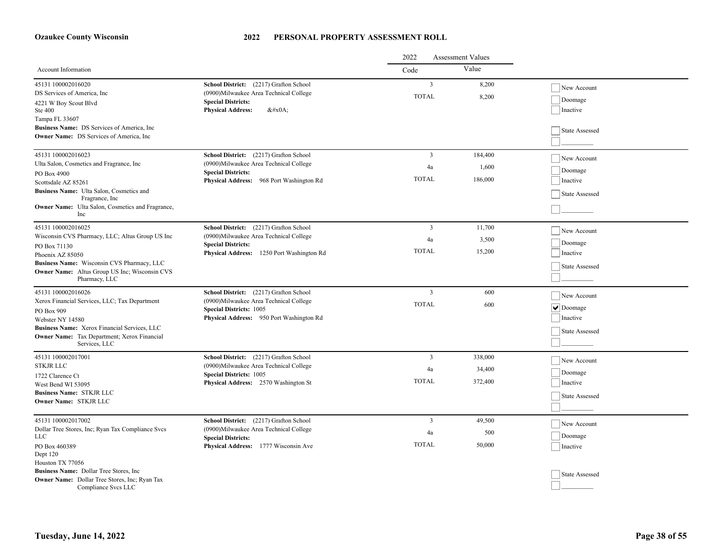|                                                                                                        |                                                                                                                   | 2022<br><b>Assessment Values</b> |                |                     |
|--------------------------------------------------------------------------------------------------------|-------------------------------------------------------------------------------------------------------------------|----------------------------------|----------------|---------------------|
| <b>Account Information</b>                                                                             |                                                                                                                   | Code                             | Value          |                     |
| 45131 100002016020<br>DS Services of America, Inc.                                                     | School District: (2217) Grafton School<br>(0900) Milwaukee Area Technical College                                 | $\overline{3}$<br><b>TOTAL</b>   | 8,200<br>8,200 | New Account         |
| 4221 W Boy Scout Blvd<br>Ste 400<br>Tampa FL 33607                                                     | <b>Special Districts:</b><br><b>Physical Address:</b><br>$&\#x0A$ :                                               |                                  |                | Doomage<br>Inactive |
| Business Name: DS Services of America, Inc.<br><b>Owner Name:</b> DS Services of America, Inc.         |                                                                                                                   |                                  |                | State Assessed      |
| 45131 100002016023                                                                                     | School District: (2217) Grafton School                                                                            | 3                                | 184,400        | New Account         |
| Ulta Salon, Cosmetics and Fragrance, Inc.                                                              | (0900)Milwaukee Area Technical College<br><b>Special Districts:</b>                                               | 4a                               | 1,600          | Doomage             |
| PO Box 4900<br>Scottsdale AZ 85261                                                                     | Physical Address: 968 Port Washington Rd                                                                          | <b>TOTAL</b>                     | 186,000        | Inactive            |
| Business Name: Ulta Salon, Cosmetics and<br>Fragrance, Inc.                                            |                                                                                                                   |                                  |                | State Assessed      |
| Owner Name: Ulta Salon, Cosmetics and Fragrance,<br>Inc                                                |                                                                                                                   |                                  |                |                     |
| 45131 100002016025                                                                                     | School District: (2217) Grafton School                                                                            | 3                                | 11,700         | New Account         |
| Wisconsin CVS Pharmacy, LLC; Altus Group US Inc                                                        | (0900) Milwaukee Area Technical College<br><b>Special Districts:</b><br>Physical Address: 1250 Port Washington Rd | 4a                               | 3,500          | Doomage             |
| PO Box 71130<br>Phoenix AZ 85050                                                                       |                                                                                                                   | <b>TOTAL</b>                     | 15,200         | Inactive            |
| Business Name: Wisconsin CVS Pharmacy, LLC                                                             |                                                                                                                   |                                  |                |                     |
| <b>Owner Name:</b> Altus Group US Inc; Wisconsin CVS<br>Pharmacy, LLC                                  |                                                                                                                   |                                  |                | State Assessed      |
| 45131 100002016026                                                                                     | School District: (2217) Grafton School                                                                            | $\mathfrak{Z}$                   | 600            | New Account         |
| Xerox Financial Services, LLC; Tax Department                                                          | (0900) Milwaukee Area Technical College                                                                           | <b>TOTAL</b>                     | 600            | $  \vee  $ Doomage  |
| PO Box 909                                                                                             | <b>Special Districts: 1005</b><br>Physical Address: 950 Port Washington Rd                                        |                                  |                | Inactive            |
| Webster NY 14580<br>Business Name: Xerox Financial Services, LLC                                       |                                                                                                                   |                                  |                |                     |
| <b>Owner Name:</b> Tax Department; Xerox Financial                                                     |                                                                                                                   |                                  |                | State Assessed      |
| Services, LLC                                                                                          |                                                                                                                   |                                  |                |                     |
| 45131 100002017001                                                                                     | School District: (2217) Grafton School                                                                            | 3                                | 338,000        | New Account         |
| <b>STKJR LLC</b><br>1722 Clarence Ct                                                                   | (0900) Milwaukee Area Technical College<br><b>Special Districts: 1005</b>                                         | 4a                               | 34,400         | Doomage             |
| West Bend WI 53095                                                                                     | Physical Address: 2570 Washington St                                                                              | <b>TOTAL</b>                     | 372,400        | Inactive            |
| <b>Business Name: STKJR LLC</b>                                                                        |                                                                                                                   |                                  |                | State Assessed      |
| Owner Name: STKJR LLC                                                                                  |                                                                                                                   |                                  |                |                     |
| 45131 100002017002                                                                                     | School District: (2217) Grafton School                                                                            | $\mathbf{3}$                     | 49,500         | New Account         |
| Dollar Tree Stores, Inc; Ryan Tax Compliance Svcs<br><b>LLC</b>                                        | (0900)Milwaukee Area Technical College<br><b>Special Districts:</b>                                               | 4a                               | 500            | Doomage             |
| PO Box 460389                                                                                          | Physical Address: 1777 Wisconsin Ave                                                                              | <b>TOTAL</b>                     | 50,000         | Inactive            |
| Dept 120                                                                                               |                                                                                                                   |                                  |                |                     |
| Houston TX 77056                                                                                       |                                                                                                                   |                                  |                |                     |
| <b>Business Name:</b> Dollar Tree Stores, Inc.<br><b>Owner Name:</b> Dollar Tree Stores, Inc; Ryan Tax |                                                                                                                   |                                  |                | State Assessed      |
| Compliance Svcs LLC                                                                                    |                                                                                                                   |                                  |                |                     |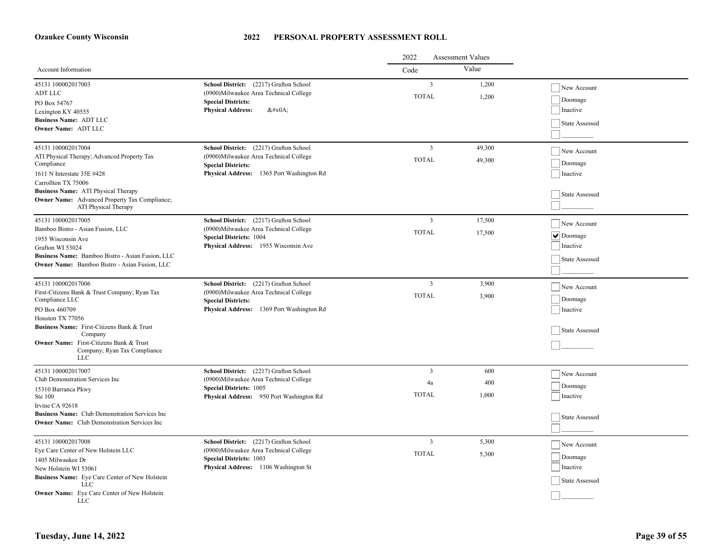|                                                                                                                                                                                                                                                                                     |                                                                                                                                                                | 2022<br><b>Assessment Values</b>        |                     |                                                                                          |
|-------------------------------------------------------------------------------------------------------------------------------------------------------------------------------------------------------------------------------------------------------------------------------------|----------------------------------------------------------------------------------------------------------------------------------------------------------------|-----------------------------------------|---------------------|------------------------------------------------------------------------------------------|
| <b>Account Information</b>                                                                                                                                                                                                                                                          |                                                                                                                                                                | Code                                    | Value               |                                                                                          |
| 45131 100002017003<br><b>ADT LLC</b><br>PO Box 54767<br>Lexington KY 40555<br><b>Business Name: ADT LLC</b><br>Owner Name: ADT LLC                                                                                                                                                  | School District: (2217) Grafton School<br>(0900)Milwaukee Area Technical College<br><b>Special Districts:</b><br><b>Physical Address:</b><br>$&\#x0A;$         | $\overline{\mathbf{3}}$<br><b>TOTAL</b> | 1,200<br>1,200      | New Account<br>Doomage<br>Inactive<br>State Assessed                                     |
| 45131 100002017004<br>ATI Physical Therapy; Advanced Property Tax<br>Compliance<br>1611 N Interstate 35E #428<br>Carrollton TX 75006<br><b>Business Name:</b> ATI Physical Therapy<br><b>Owner Name:</b> Advanced Property Tax Compliance;<br>ATI Physical Therapy                  | School District: (2217) Grafton School<br>(0900) Milwaukee Area Technical College<br><b>Special Districts:</b><br>Physical Address: 1365 Port Washington Rd    | $\overline{\mathbf{3}}$<br><b>TOTAL</b> | 49,300<br>49,300    | New Account<br>Doomage<br>Inactive<br>State Assessed                                     |
| 45131 100002017005<br>Bamboo Bistro - Asian Fusion, LLC<br>1955 Wisconsin Ave<br>Grafton WI 53024<br>Business Name: Bamboo Bistro - Asian Fusion, LLC<br><b>Owner Name:</b> Bamboo Bistro - Asian Fusion, LLC                                                                       | School District: (2217) Grafton School<br>(0900)Milwaukee Area Technical College<br><b>Special Districts: 1004</b><br>Physical Address: 1955 Wisconsin Ave     | $\overline{\mathbf{3}}$<br><b>TOTAL</b> | 17,500<br>17,500    | New Account<br>$\boxed{\blacktriangledown}$ Doomage<br>Inactive<br><b>State Assessed</b> |
| 45131 100002017006<br>First-Citizens Bank & Trust Company; Ryan Tax<br>Compliance LLC<br>PO Box 460709<br>Houston TX 77056<br>Business Name: First-Citizens Bank & Trust<br>Company<br><b>Owner Name:</b> First-Citizens Bank & Trust<br>Company; Ryan Tax Compliance<br><b>LLC</b> | School District: (2217) Grafton School<br>(0900)Milwaukee Area Technical College<br><b>Special Districts:</b><br>Physical Address: 1369 Port Washington Rd     | $\overline{\mathbf{3}}$<br><b>TOTAL</b> | 3,900<br>3,900      | New Account<br>Doomage<br>Inactive<br><b>State Assessed</b>                              |
| 45131 100002017007<br>Club Demonstration Services Inc<br>15310 Barranca Pkwy<br>Ste 100<br>Irvine CA 92618<br>Business Name: Club Demonstration Services Inc<br><b>Owner Name:</b> Club Demonstration Services Inc.                                                                 | School District: (2217) Grafton School<br>(0900)Milwaukee Area Technical College<br><b>Special Districts: 1005</b><br>Physical Address: 950 Port Washington Rd | $\overline{3}$<br>4a<br><b>TOTAL</b>    | 600<br>400<br>1.000 | New Account<br>Doomage<br>Inactive<br>State Assessed                                     |
| 45131 100002017008<br>Eye Care Center of New Holstein LLC<br>1405 Milwaukee Dr<br>New Holstein WI 53061<br>Business Name: Eye Care Center of New Holstein<br><b>LLC</b><br><b>Owner Name:</b> Eye Care Center of New Holstein<br><b>LLC</b>                                         | School District: (2217) Grafton School<br>(0900)Milwaukee Area Technical College<br><b>Special Districts: 1003</b><br>Physical Address: 1106 Washington St     | $\overline{\mathbf{3}}$<br><b>TOTAL</b> | 5,300<br>5,300      | New Account<br>Doomage<br>Inactive<br>State Assessed                                     |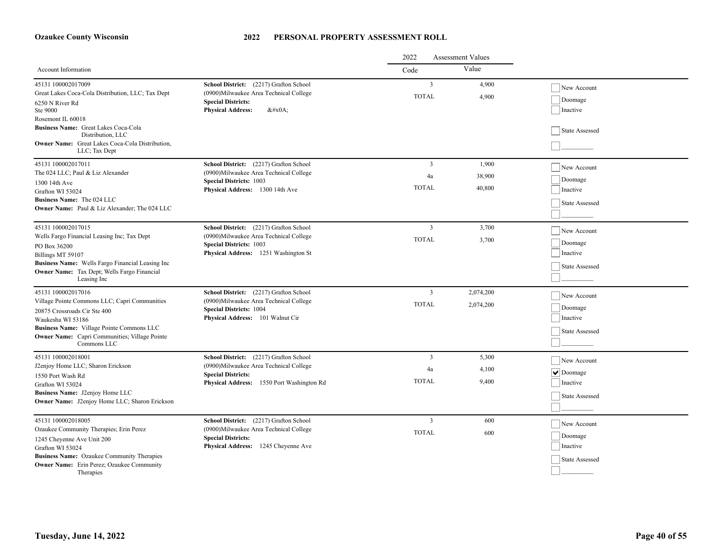|                                                                                                                                                                                                                                                                     |                                                                                                                                                             | <b>Assessment Values</b><br>2022     |                           |                                                                     |
|---------------------------------------------------------------------------------------------------------------------------------------------------------------------------------------------------------------------------------------------------------------------|-------------------------------------------------------------------------------------------------------------------------------------------------------------|--------------------------------------|---------------------------|---------------------------------------------------------------------|
| Account Information                                                                                                                                                                                                                                                 |                                                                                                                                                             | Code                                 | Value                     |                                                                     |
| 45131 100002017009<br>Great Lakes Coca-Cola Distribution, LLC; Tax Dept<br>6250 N River Rd<br>Ste 9000<br>Rosemont IL 60018<br>Business Name: Great Lakes Coca-Cola<br>Distribution, LLC<br><b>Owner Name:</b> Great Lakes Coca-Cola Distribution,<br>LLC; Tax Dept | School District: (2217) Grafton School<br>(0900) Milwaukee Area Technical College<br><b>Special Districts:</b><br><b>Physical Address:</b><br>$&\#x0A;$     | $\mathfrak{Z}$<br><b>TOTAL</b>       | 4,900<br>4,900            | New Account<br>Doomage<br>Inactive<br>State Assessed                |
| 45131 100002017011<br>The 024 LLC; Paul & Liz Alexander<br>1300 14th Ave<br>Grafton WI 53024<br>Business Name: The 024 LLC<br><b>Owner Name:</b> Paul & Liz Alexander; The 024 LLC                                                                                  | School District: (2217) Grafton School<br>(0900) Milwaukee Area Technical College<br><b>Special Districts: 1003</b><br>Physical Address: 1300 14th Ave      | $\mathfrak{Z}$<br>4a<br><b>TOTAL</b> | 1,900<br>38,900<br>40,800 | New Account<br>Doomage<br>Inactive<br>State Assessed                |
| 45131 100002017015<br>Wells Fargo Financial Leasing Inc; Tax Dept<br>PO Box 36200<br>Billings MT 59107<br>Business Name: Wells Fargo Financial Leasing Inc<br>Owner Name: Tax Dept; Wells Fargo Financial<br>Leasing Inc                                            | School District: (2217) Grafton School<br>(0900) Milwaukee Area Technical College<br><b>Special Districts: 1003</b><br>Physical Address: 1251 Washington St | 3<br><b>TOTAL</b>                    | 3,700<br>3,700            | New Account<br>Doomage<br>Inactive<br>State Assessed                |
| 45131 100002017016<br>Village Pointe Commons LLC; Capri Communities<br>20875 Crossroads Cir Ste 400<br>Waukesha WI 53186<br>Business Name: Village Pointe Commons LLC<br><b>Owner Name:</b> Capri Communities; Village Pointe<br>Commons LLC                        | School District: (2217) Grafton School<br>(0900) Milwaukee Area Technical College<br><b>Special Districts: 1004</b><br>Physical Address: 101 Walnut Cir     | $\overline{3}$<br><b>TOTAL</b>       | 2,074,200<br>2,074,200    | New Account<br>Doomage<br>Inactive<br>State Assessed                |
| 45131 100002018001<br>J2enjoy Home LLC; Sharon Erickson<br>1550 Port Wash Rd<br>Grafton WI 53024<br>Business Name: J2enjoy Home LLC<br>Owner Name: J2enjoy Home LLC; Sharon Erickson                                                                                | School District: (2217) Grafton School<br>(0900) Milwaukee Area Technical College<br><b>Special Districts:</b><br>Physical Address: 1550 Port Washington Rd | $\overline{3}$<br>4a<br><b>TOTAL</b> | 5,300<br>4,100<br>9,400   | New Account<br>$ \mathbf{v} $ Doomage<br>Inactive<br>State Assessed |
| 45131 100002018005<br>Ozaukee Community Therapies; Erin Perez<br>1245 Cheyenne Ave Unit 200<br>Grafton WI 53024<br><b>Business Name:</b> Ozaukee Community Therapies<br><b>Owner Name:</b> Erin Perez; Ozaukee Community<br>Therapies                               | School District: (2217) Grafton School<br>(0900) Milwaukee Area Technical College<br><b>Special Districts:</b><br>Physical Address: 1245 Cheyenne Ave       | $\overline{3}$<br><b>TOTAL</b>       | 600<br>600                | New Account<br>Doomage<br>Inactive<br>State Assessed                |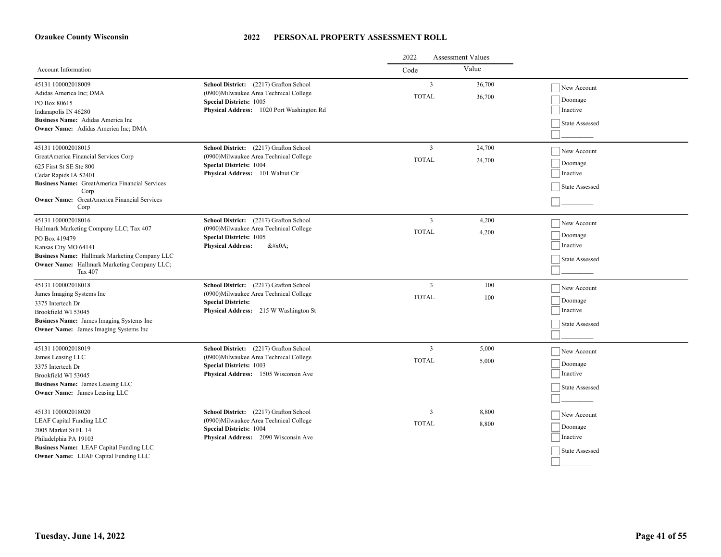|                                                                                                                                                                                                                                               |                                                                                                                                                                 | <b>Assessment Values</b><br>2022 |                  |                                                      |
|-----------------------------------------------------------------------------------------------------------------------------------------------------------------------------------------------------------------------------------------------|-----------------------------------------------------------------------------------------------------------------------------------------------------------------|----------------------------------|------------------|------------------------------------------------------|
| Account Information                                                                                                                                                                                                                           |                                                                                                                                                                 | Code                             | Value            |                                                      |
| 45131 100002018009<br>Adidas America Inc; DMA<br>PO Box 80615<br>Indanapolis IN 46280<br>Business Name: Adidas America Inc<br><b>Owner Name:</b> Adidas America Inc; DMA                                                                      | School District: (2217) Grafton School<br>(0900)Milwaukee Area Technical College<br><b>Special Districts: 1005</b><br>Physical Address: 1020 Port Washington Rd | $\overline{3}$<br><b>TOTAL</b>   | 36,700<br>36,700 | New Account<br>Doomage<br>Inactive<br>State Assessed |
| 45131 100002018015<br>GreatAmerica Financial Services Corp<br>625 First St SE Ste 800<br>Cedar Rapids IA 52401<br><b>Business Name:</b> GreatAmerica Financial Services<br>Corp<br><b>Owner Name:</b> GreatAmerica Financial Services<br>Corp | School District: (2217) Grafton School<br>(0900) Milwaukee Area Technical College<br><b>Special Districts: 1004</b><br>Physical Address: 101 Walnut Cir         | 3<br><b>TOTAL</b>                | 24,700<br>24,700 | New Account<br>Doomage<br>Inactive<br>State Assessed |
| 45131 100002018016<br>Hallmark Marketing Company LLC; Tax 407<br>PO Box 419479<br>Kansas City MO 64141<br><b>Business Name:</b> Hallmark Marketing Company LLC<br><b>Owner Name:</b> Hallmark Marketing Company LLC;<br>Tax 407               | School District: (2217) Grafton School<br>(0900)Milwaukee Area Technical College<br><b>Special Districts: 1005</b><br><b>Physical Address:</b><br>$&\#x0A;$     | 3<br><b>TOTAL</b>                | 4,200<br>4,200   | New Account<br>Doomage<br>Inactive<br>State Assessed |
| 45131 100002018018<br>James Imaging Systems Inc<br>3375 Intertech Dr<br>Brookfield WI 53045<br>Business Name: James Imaging Systems Inc<br><b>Owner Name:</b> James Imaging Systems Inc                                                       | School District: (2217) Grafton School<br>(0900) Milwaukee Area Technical College<br><b>Special Districts:</b><br>Physical Address: 215 W Washington St         | $\overline{3}$<br><b>TOTAL</b>   | 100<br>100       | New Account<br>Doomage<br>Inactive<br>State Assessed |
| 45131 100002018019<br>James Leasing LLC<br>3375 Intertech Dr<br>Brookfield WI 53045<br>Business Name: James Leasing LLC<br><b>Owner Name:</b> James Leasing LLC                                                                               | School District: (2217) Grafton School<br>(0900) Milwaukee Area Technical College<br><b>Special Districts: 1003</b><br>Physical Address: 1505 Wisconsin Ave     | $\overline{3}$<br><b>TOTAL</b>   | 5,000<br>5,000   | New Account<br>Doomage<br>Inactive<br>State Assessed |
| 45131 100002018020<br><b>LEAF Capital Funding LLC</b><br>2005 Market St FL 14<br>Philadelphia PA 19103<br>Business Name: LEAF Capital Funding LLC<br><b>Owner Name:</b> LEAF Capital Funding LLC                                              | School District: (2217) Grafton School<br>(0900)Milwaukee Area Technical College<br><b>Special Districts: 1004</b><br>Physical Address: 2090 Wisconsin Ave      | $\overline{3}$<br><b>TOTAL</b>   | 8,800<br>8,800   | New Account<br>Doomage<br>Inactive<br>State Assessed |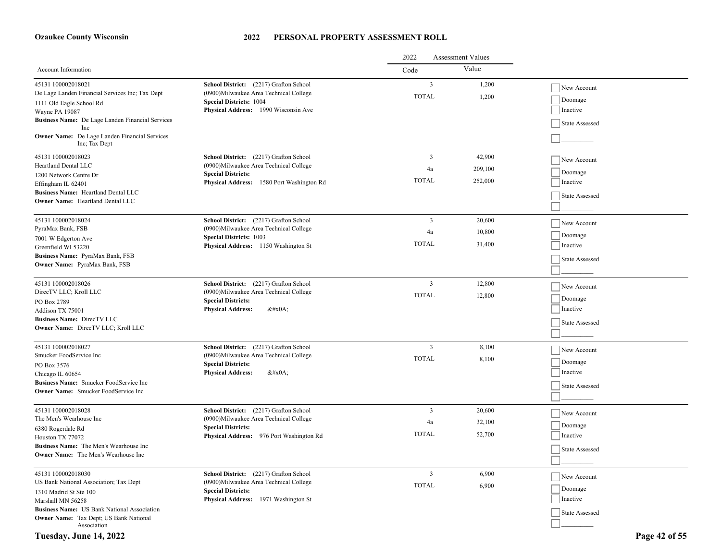#### **2022 PERSONAL PROPERTY ASSESSMENT ROLL**

|                                                                                                                                                                                                                            |                                                                                                                                                                       | 2022<br><b>Assessment Values</b> |                              |                                                      |
|----------------------------------------------------------------------------------------------------------------------------------------------------------------------------------------------------------------------------|-----------------------------------------------------------------------------------------------------------------------------------------------------------------------|----------------------------------|------------------------------|------------------------------------------------------|
| Account Information                                                                                                                                                                                                        |                                                                                                                                                                       | Code                             | Value                        |                                                      |
| 45131 100002018021<br>De Lage Landen Financial Services Inc; Tax Dept<br>1111 Old Eagle School Rd<br>Wayne PA 19087<br>Business Name: De Lage Landen Financial Services<br>Inc                                             | School District: (2217) Grafton School<br>(0900) Milwaukee Area Technical College<br><b>Special Districts: 1004</b><br>Physical Address: 1990 Wisconsin Ave           | 3<br><b>TOTAL</b>                | 1,200<br>1,200               | New Account<br>Doomage<br>Inactive<br>State Assessed |
| Owner Name: De Lage Landen Financial Services<br>Inc; Tax Dept                                                                                                                                                             |                                                                                                                                                                       |                                  |                              |                                                      |
| 45131 100002018023<br>Heartland Dental LLC<br>1200 Network Centre Dr<br>Effingham IL 62401<br><b>Business Name:</b> Heartland Dental LLC<br>Owner Name: Heartland Dental LLC                                               | School District: (2217) Grafton School<br>(0900) Milwaukee Area Technical College<br><b>Special Districts:</b><br>1580 Port Washington Rd<br><b>Physical Address:</b> | 3<br>4a<br><b>TOTAL</b>          | 42,900<br>209,100<br>252,000 | New Account<br>Doomage<br>Inactive<br>State Assessed |
| 45131 100002018024<br>PyraMax Bank, FSB<br>7001 W Edgerton Ave<br>Greenfield WI 53220<br><b>Business Name: PyraMax Bank, FSB</b><br><b>Owner Name:</b> PyraMax Bank, FSB                                                   | School District: (2217) Grafton School<br>(0900)Milwaukee Area Technical College<br><b>Special Districts: 1003</b><br>Physical Address: 1150 Washington St            | 3<br>4a<br>TOTAL                 | 20,600<br>10,800<br>31,400   | New Account<br>Doomage<br>Inactive<br>State Assessed |
| 45131 100002018026<br>DirecTV LLC; Kroll LLC<br>PO Box 2789<br>Addison TX 75001<br><b>Business Name: DirecTV LLC</b><br>Owner Name: DirecTV LLC; Kroll LLC                                                                 | School District: (2217) Grafton School<br>(0900) Milwaukee Area Technical College<br><b>Special Districts:</b><br><b>Physical Address:</b><br>$&\#x0A;$               | 3<br><b>TOTAL</b>                | 12,800<br>12,800             | New Account<br>Doomage<br>Inactive<br>State Assessed |
| 45131 100002018027<br>Smucker FoodService Inc<br>PO Box 3576<br>Chicago IL 60654<br>Business Name: Smucker FoodService Inc<br><b>Owner Name:</b> Smucker FoodService Inc                                                   | School District: (2217) Grafton School<br>(0900)Milwaukee Area Technical College<br><b>Special Districts:</b><br><b>Physical Address:</b><br>$&\#x0A;$                | 3<br><b>TOTAL</b>                | 8,100<br>8,100               | New Account<br>Doomage<br>Inactive<br>State Assessed |
| 45131 100002018028<br>The Men's Wearhouse Inc<br>6380 Rogerdale Rd<br>Houston TX 77072<br>Business Name: The Men's Wearhouse Inc<br><b>Owner Name:</b> The Men's Wearhouse Inc                                             | School District: (2217) Grafton School<br>(0900)Milwaukee Area Technical College<br><b>Special Districts:</b><br>Physical Address: 976 Port Washington Rd             | 3<br>4a<br><b>TOTAL</b>          | 20,600<br>32,100<br>52,700   | New Account<br>Doomage<br>Inactive<br>State Assessed |
| 45131 100002018030<br>US Bank National Association; Tax Dept<br>1310 Madrid St Ste 100<br>Marshall MN 56258<br><b>Business Name:</b> US Bank National Association<br>Owner Name: Tax Dept; US Bank National<br>Association | School District: (2217) Grafton School<br>(0900)Milwaukee Area Technical College<br><b>Special Districts:</b><br>Physical Address: 1971 Washington St                 | 3<br><b>TOTAL</b>                | 6,900<br>6,900               | New Account<br>Doomage<br>Inactive<br>State Assessed |

**Tuesday, June 14, 2022 Page 42 of 55**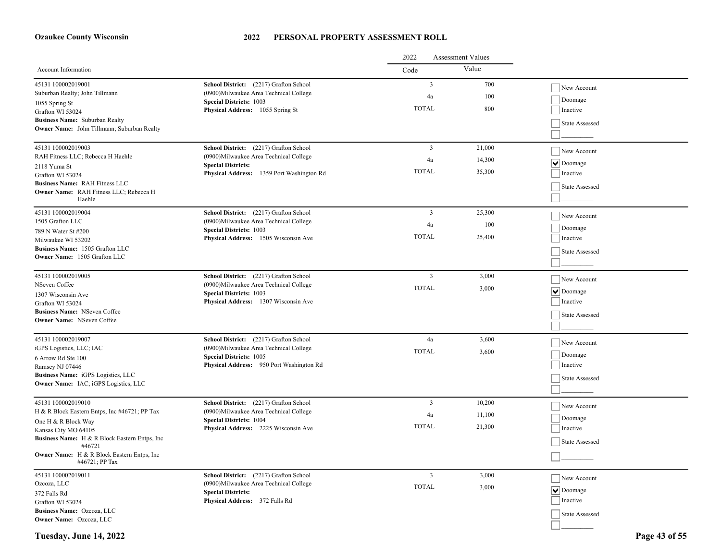#### **2022 PERSONAL PROPERTY ASSESSMENT ROLL**

|                                                                                 |                                                                        | <b>Assessment Values</b><br>2022 |        |                       |
|---------------------------------------------------------------------------------|------------------------------------------------------------------------|----------------------------------|--------|-----------------------|
| Account Information                                                             |                                                                        | Code                             | Value  |                       |
| 45131 100002019001                                                              | School District: (2217) Grafton School                                 | $\overline{3}$                   | 700    | New Account           |
| Suburban Realty; John Tillmann                                                  | (0900) Milwaukee Area Technical College                                | 4a                               | 100    | Doomage               |
| 1055 Spring St                                                                  | <b>Special Districts: 1003</b>                                         | <b>TOTAL</b>                     | 800    | Inactive              |
| Grafton WI 53024                                                                | Physical Address: 1055 Spring St                                       |                                  |        |                       |
| Business Name: Suburban Realty<br>Owner Name: John Tillmann; Suburban Realty    |                                                                        |                                  |        | State Assessed        |
|                                                                                 |                                                                        |                                  |        |                       |
| 45131 100002019003                                                              | School District: (2217) Grafton School                                 | $\overline{3}$                   | 21,000 | New Account           |
| RAH Fitness LLC; Rebecca H Haehle                                               | (0900) Milwaukee Area Technical College                                | 4a                               | 14,300 | $  \vee  $ Doomage    |
| 2118 Yuma St                                                                    | <b>Special Districts:</b>                                              | <b>TOTAL</b>                     | 35,300 |                       |
| Grafton WI 53024                                                                | Physical Address: 1359 Port Washington Rd                              |                                  |        | Inactive              |
| <b>Business Name: RAH Fitness LLC</b><br>Owner Name: RAH Fitness LLC; Rebecca H |                                                                        |                                  |        | State Assessed        |
| Haehle                                                                          |                                                                        |                                  |        |                       |
| 45131 100002019004                                                              | School District: (2217) Grafton School                                 | $\overline{3}$                   | 25,300 | New Account           |
| 1505 Grafton LLC                                                                | (0900) Milwaukee Area Technical College                                | 4a                               | 100    |                       |
| 789 N Water St #200                                                             | <b>Special Districts: 1003</b>                                         | <b>TOTAL</b>                     | 25,400 | Doomage               |
| Milwaukee WI 53202                                                              | Physical Address: 1505 Wisconsin Ave                                   |                                  |        | Inactive              |
| Business Name: 1505 Grafton LLC<br>Owner Name: 1505 Grafton LLC                 |                                                                        |                                  |        | State Assessed        |
|                                                                                 |                                                                        |                                  |        |                       |
| 45131 100002019005                                                              | School District: (2217) Grafton School                                 | $\overline{3}$                   | 3,000  | New Account           |
| NSeven Coffee                                                                   | (0900)Milwaukee Area Technical College                                 | <b>TOTAL</b>                     | 3,000  |                       |
| 1307 Wisconsin Ave                                                              | <b>Special Districts: 1003</b>                                         |                                  |        | $\vee$ Doomage        |
| Grafton WI 53024                                                                | Physical Address: 1307 Wisconsin Ave                                   |                                  |        | Inactive              |
| <b>Business Name: NSeven Coffee</b><br><b>Owner Name:</b> NSeven Coffee         |                                                                        |                                  |        | State Assessed        |
|                                                                                 |                                                                        |                                  |        |                       |
| 45131 100002019007                                                              | School District: (2217) Grafton School                                 | 4a                               | 3,600  | New Account           |
| iGPS Logistics, LLC; IAC                                                        | (0900) Milwaukee Area Technical College                                | <b>TOTAL</b>                     | 3,600  |                       |
| 6 Arrow Rd Ste 100                                                              | <b>Special Districts: 1005</b>                                         |                                  |        | Doomage<br>Inactive   |
| Ramsey NJ 07446                                                                 | Physical Address: 950 Port Washington Rd                               |                                  |        |                       |
| Business Name: iGPS Logistics, LLC<br>Owner Name: IAC; iGPS Logistics, LLC      |                                                                        |                                  |        | State Assessed        |
|                                                                                 |                                                                        |                                  |        |                       |
| 45131 100002019010                                                              | School District: (2217) Grafton School                                 | $\overline{\mathbf{3}}$          | 10,200 | New Account           |
| H & R Block Eastern Entps, Inc #46721; PP Tax                                   | (0900)Milwaukee Area Technical College                                 | 4a                               | 11,100 | Doomage               |
| One H & R Block Way                                                             | <b>Special Districts: 1004</b><br>Physical Address: 2225 Wisconsin Ave | <b>TOTAL</b>                     | 21,300 | Inactive              |
| Kansas City MO 64105<br>Business Name: H & R Block Eastern Entps, Inc.          |                                                                        |                                  |        |                       |
| #46721                                                                          |                                                                        |                                  |        | State Assessed        |
| Owner Name: H & R Block Eastern Entps, Inc                                      |                                                                        |                                  |        |                       |
| $#46721$ ; PP Tax                                                               |                                                                        |                                  |        |                       |
| 45131 100002019011                                                              | School District: (2217) Grafton School                                 | $\overline{3}$                   | 3,000  | New Account           |
| Ozcoza, LLC                                                                     | (0900) Milwaukee Area Technical College<br><b>Special Districts:</b>   | <b>TOTAL</b>                     | 3,000  | $\vee$ Doomage        |
| 372 Falls Rd<br>Grafton WI 53024                                                | Physical Address: 372 Falls Rd                                         |                                  |        | Inactive              |
| Business Name: Ozcoza, LLC                                                      |                                                                        |                                  |        |                       |
| Owner Name: Ozcoza, LLC                                                         |                                                                        |                                  |        | <b>State Assessed</b> |
|                                                                                 |                                                                        |                                  |        |                       |

**Tuesday, June 14, 2022 Page 43 of 55**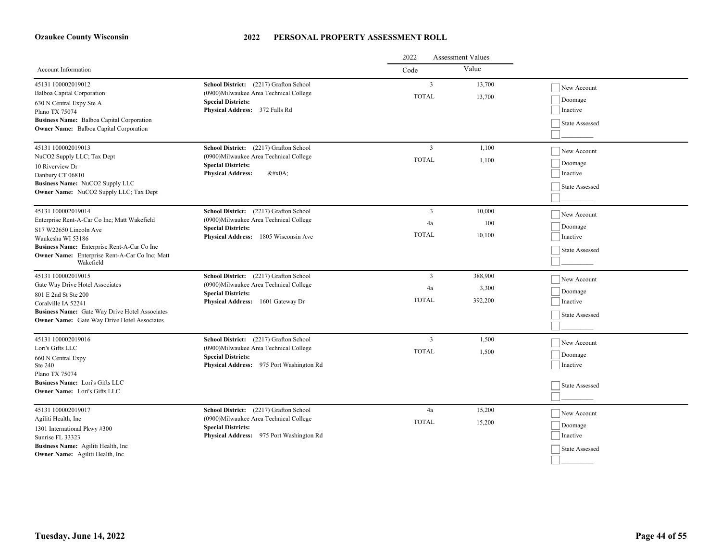|                                                                                                                                                                                                                                 |                                                                                                                                                            | 2022                                    | <b>Assessment Values</b>    |                                                      |
|---------------------------------------------------------------------------------------------------------------------------------------------------------------------------------------------------------------------------------|------------------------------------------------------------------------------------------------------------------------------------------------------------|-----------------------------------------|-----------------------------|------------------------------------------------------|
| Account Information                                                                                                                                                                                                             |                                                                                                                                                            | Code                                    | Value                       |                                                      |
| 45131 100002019012<br>Balboa Capital Corporation<br>630 N Central Expy Ste A<br>Plano TX 75074<br>Business Name: Balboa Capital Corporation<br><b>Owner Name:</b> Balboa Capital Corporation                                    | School District: (2217) Grafton School<br>(0900) Milwaukee Area Technical College<br><b>Special Districts:</b><br>Physical Address: 372 Falls Rd           | $\overline{3}$<br><b>TOTAL</b>          | 13,700<br>13,700            | New Account<br>Doomage<br>Inactive<br>State Assessed |
| 45131 100002019013<br>NuCO2 Supply LLC; Tax Dept<br>10 Riverview Dr<br>Danbury CT 06810<br>Business Name: NuCO2 Supply LLC<br>Owner Name: NuCO2 Supply LLC; Tax Dept                                                            | School District: (2217) Grafton School<br>(0900) Milwaukee Area Technical College<br><b>Special Districts:</b><br><b>Physical Address:</b><br>$&\#x0A;$    | $\overline{\mathbf{3}}$<br><b>TOTAL</b> | 1,100<br>1,100              | New Account<br>Doomage<br>Inactive<br>State Assessed |
| 45131 100002019014<br>Enterprise Rent-A-Car Co Inc; Matt Wakefield<br>S17 W22650 Lincoln Ave<br>Waukesha WI 53186<br>Business Name: Enterprise Rent-A-Car Co Inc<br>Owner Name: Enterprise Rent-A-Car Co Inc; Matt<br>Wakefield | School District: (2217) Grafton School<br>(0900) Milwaukee Area Technical College<br><b>Special Districts:</b><br>Physical Address: 1805 Wisconsin Ave     | $\overline{3}$<br>4a<br><b>TOTAL</b>    | 10,000<br>100<br>10,100     | New Account<br>Doomage<br>Inactive<br>State Assessed |
| 45131 100002019015<br>Gate Way Drive Hotel Associates<br>801 E 2nd St Ste 200<br>Coralville IA 52241<br>Business Name: Gate Way Drive Hotel Associates<br><b>Owner Name:</b> Gate Way Drive Hotel Associates                    | School District: (2217) Grafton School<br>(0900)Milwaukee Area Technical College<br><b>Special Districts:</b><br>Physical Address: 1601 Gateway Dr         | 3<br>4a<br><b>TOTAL</b>                 | 388,900<br>3,300<br>392,200 | New Account<br>Doomage<br>Inactive<br>State Assessed |
| 45131 100002019016<br>Lori's Gifts LLC<br>660 N Central Expy<br>Ste 240<br>Plano TX 75074<br>Business Name: Lori's Gifts LLC<br>Owner Name: Lori's Gifts LLC                                                                    | School District: (2217) Grafton School<br>(0900) Milwaukee Area Technical College<br><b>Special Districts:</b><br>Physical Address: 975 Port Washington Rd | 3<br><b>TOTAL</b>                       | 1,500<br>1,500              | New Account<br>Doomage<br>Inactive<br>State Assessed |
| 45131 100002019017<br>Agiliti Health, Inc<br>1301 International Pkwy #300<br>Sunrise FL 33323<br>Business Name: Agiliti Health, Inc.<br>Owner Name: Agiliti Health, Inc                                                         | School District: (2217) Grafton School<br>(0900) Milwaukee Area Technical College<br><b>Special Districts:</b><br>Physical Address: 975 Port Washington Rd | 4a<br><b>TOTAL</b>                      | 15,200<br>15,200            | New Account<br>Doomage<br>Inactive<br>State Assessed |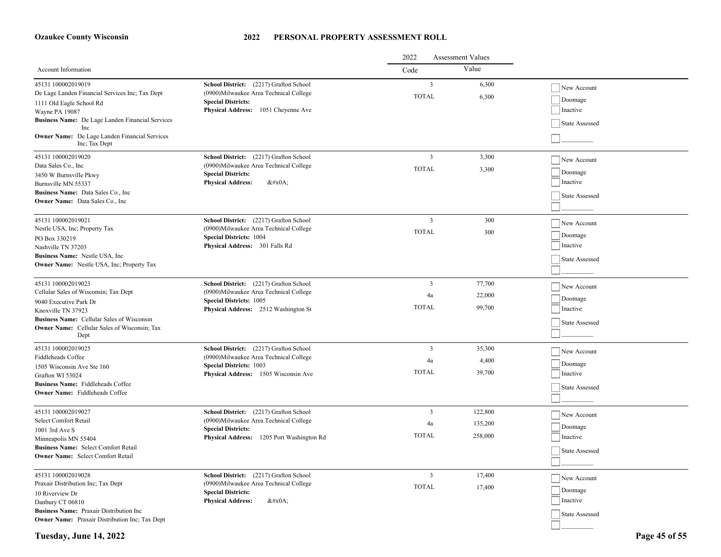#### **2022 PERSONAL PROPERTY ASSESSMENT ROLL**

|                                                                                                                                                                                                                                 |                                                                                                                                                             | <b>Assessment Values</b><br>2022 |                               |                                                      |
|---------------------------------------------------------------------------------------------------------------------------------------------------------------------------------------------------------------------------------|-------------------------------------------------------------------------------------------------------------------------------------------------------------|----------------------------------|-------------------------------|------------------------------------------------------|
| Account Information                                                                                                                                                                                                             |                                                                                                                                                             | Code                             | Value                         |                                                      |
| 45131 100002019019<br>De Lage Landen Financial Services Inc; Tax Dept<br>1111 Old Eagle School Rd<br>Wayne PA 19087<br>Business Name: De Lage Landen Financial Services                                                         | School District: (2217) Grafton School<br>(0900) Milwaukee Area Technical College<br><b>Special Districts:</b><br>Physical Address: 1051 Cheyenne Ave       | 3<br><b>TOTAL</b>                | 6,300<br>6,300                | New Account<br>Doomage<br>Inactive<br>State Assessed |
| Inc<br>Owner Name: De Lage Landen Financial Services<br>Inc; Tax Dept                                                                                                                                                           |                                                                                                                                                             |                                  |                               |                                                      |
| 45131 100002019020<br>Data Sales Co., Inc<br>3450 W Burnsville Pkwy<br>Burnsville MN 55337<br>Business Name: Data Sales Co., Inc.<br><b>Owner Name:</b> Data Sales Co., Inc.                                                    | School District: (2217) Grafton School<br>(0900)Milwaukee Area Technical College<br><b>Special Districts:</b><br><b>Physical Address:</b><br>$&\#x0A;$      | 3<br><b>TOTAL</b>                | 3,300<br>3,300                | New Account<br>Doomage<br>Inactive<br>State Assessed |
| 45131 100002019021<br>Nestle USA, Inc; Property Tax<br>PO Box 330219<br>Nashville TN 37203<br>Business Name: Nestle USA, Inc.<br>Owner Name: Nestle USA, Inc; Property Tax                                                      | School District: (2217) Grafton School<br>(0900) Milwaukee Area Technical College<br><b>Special Districts: 1004</b><br>Physical Address: 301 Falls Rd       | $\overline{3}$<br><b>TOTAL</b>   | 300<br>300                    | New Account<br>Doomage<br>Inactive<br>State Assessed |
| 45131 100002019023<br>Cellular Sales of Wisconsin; Tax Dept<br>9040 Executive Park Dr<br>Knoxville TN 37923<br><b>Business Name:</b> Cellular Sales of Wisconsin<br><b>Owner Name:</b> Cellular Sales of Wisconsin; Tax<br>Dept | School District: (2217) Grafton School<br>(0900)Milwaukee Area Technical College<br><b>Special Districts: 1005</b><br>Physical Address: 2512 Washington St  | 3<br>4a<br><b>TOTAL</b>          | 77,700<br>22,000<br>99,700    | New Account<br>Doomage<br>Inactive<br>State Assessed |
| 45131 100002019025<br>Fiddleheads Coffee<br>1505 Wisconsin Ave Ste 160<br>Grafton WI 53024<br><b>Business Name:</b> Fiddleheads Coffee<br><b>Owner Name:</b> Fiddleheads Coffee                                                 | School District: (2217) Grafton School<br>(0900) Milwaukee Area Technical College<br><b>Special Districts: 1003</b><br>Physical Address: 1505 Wisconsin Ave | 3<br>4a<br><b>TOTAL</b>          | 35,300<br>4,400<br>39,700     | New Account<br>Doomage<br>Inactive<br>State Assessed |
| 45131 100002019027<br>Select Comfort Retail<br>1001 3rd Ave S<br>Minneapolis MN 55404<br><b>Business Name:</b> Select Comfort Retail<br><b>Owner Name:</b> Select Comfort Retail                                                | School District: (2217) Grafton School<br>(0900) Milwaukee Area Technical College<br><b>Special Districts:</b><br>Physical Address: 1205 Port Washington Rd | 3<br>4a<br><b>TOTAL</b>          | 122,800<br>135,200<br>258,000 | New Account<br>Doomage<br>Inactive<br>State Assessed |
| 45131 100002019028<br>Praxair Distribution Inc; Tax Dept<br>10 Riverview Dr<br>Danbury CT 06810<br>Business Name: Praxair Distribution Inc<br><b>Owner Name:</b> Praxair Distribution Inc; Tax Dept                             | School District: (2217) Grafton School<br>(0900) Milwaukee Area Technical College<br><b>Special Districts:</b><br><b>Physical Address:</b><br>$&\#x0A;$     | 3<br><b>TOTAL</b>                | 17,400<br>17,400              | New Account<br>Doomage<br>Inactive<br>State Assessed |

**Tuesday, June 14, 2022 Page 45 of 55**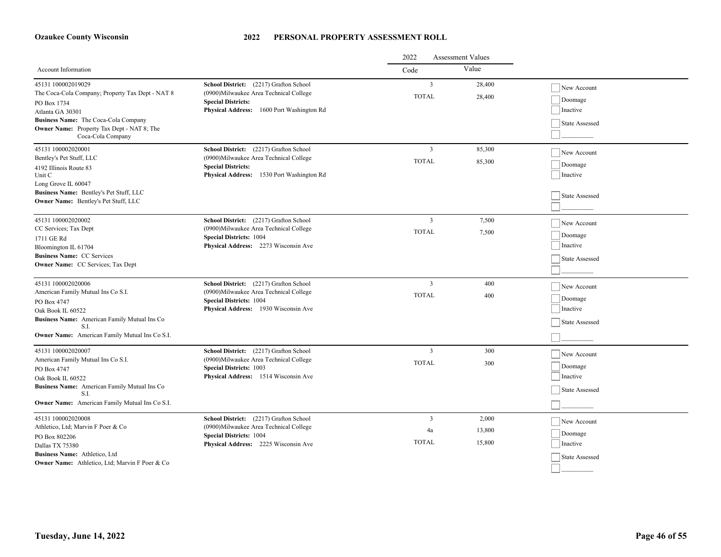|                                                                                                                                                                                                                             |                                                                                                                                                                    | 2022<br><b>Assessment Values</b> |                           |                                                             |
|-----------------------------------------------------------------------------------------------------------------------------------------------------------------------------------------------------------------------------|--------------------------------------------------------------------------------------------------------------------------------------------------------------------|----------------------------------|---------------------------|-------------------------------------------------------------|
| Account Information                                                                                                                                                                                                         |                                                                                                                                                                    | Code                             | Value                     |                                                             |
| 45131 100002019029<br>The Coca-Cola Company; Property Tax Dept - NAT 8<br>PO Box 1734<br>Atlanta GA 30301<br>Business Name: The Coca-Cola Company<br><b>Owner Name:</b> Property Tax Dept - NAT 8; The<br>Coca-Cola Company | School District: (2217) Grafton School<br>(0900)Milwaukee Area Technical College<br><b>Special Districts:</b><br>Physical Address: 1600 Port Washington Rd         | $\mathbf{3}$<br><b>TOTAL</b>     | 28,400<br>28,400          | New Account<br>Doomage<br>Inactive<br>State Assessed        |
| 45131 100002020001<br>Bentley's Pet Stuff, LLC<br>4192 Illinois Route 83<br>Unit C<br>Long Grove IL 60047<br>Business Name: Bentley's Pet Stuff, LLC<br>Owner Name: Bentley's Pet Stuff, LLC                                | School District: (2217) Grafton School<br>(0900) Milwaukee Area Technical College<br><b>Special Districts:</b><br>Physical Address: 1530 Port Washington Rd        | 3<br><b>TOTAL</b>                | 85,300<br>85,300          | New Account<br>Doomage<br>Inactive<br><b>State Assessed</b> |
| 45131 100002020002<br>CC Services; Tax Dept<br>1711 GE Rd<br>Bloomington IL 61704<br><b>Business Name: CC Services</b><br><b>Owner Name:</b> CC Services; Tax Dept                                                          | School District: (2217) Grafton School<br>(0900) Milwaukee Area Technical College<br><b>Special Districts: 1004</b><br>Physical Address: 2273 Wisconsin Ave        | $\overline{3}$<br><b>TOTAL</b>   | 7,500<br>7,500            | New Account<br>Doomage<br>Inactive<br>State Assessed        |
| 45131 100002020006<br>American Family Mutual Ins Co S.I.<br>PO Box 4747<br>Oak Book IL 60522<br>Business Name: American Family Mutual Ins Co<br>S.I.<br>Owner Name: American Family Mutual Ins Co S.I.                      | School District: (2217) Grafton School<br>(0900) Milwaukee Area Technical College<br><b>Special Districts: 1004</b><br>Physical Address: 1930 Wisconsin Ave        | 3<br><b>TOTAL</b>                | 400<br>400                | New Account<br>Doomage<br>Inactive<br>State Assessed        |
| 45131 100002020007<br>American Family Mutual Ins Co S.I.<br>PO Box 4747<br>Oak Book IL 60522<br>Business Name: American Family Mutual Ins Co<br>S.I.<br>Owner Name: American Family Mutual Ins Co S.I.                      | School District: (2217) Grafton School<br>(0900) Milwaukee Area Technical College<br><b>Special Districts: 1003</b><br>Physical Address: 1514 Wisconsin Ave        | 3<br><b>TOTAL</b>                | 300<br>300                | New Account<br>Doomage<br>Inactive<br><b>State Assessed</b> |
| 45131 100002020008<br>Athletico, Ltd; Marvin F Poer & Co<br>PO Box 802206<br>Dallas TX 75380<br>Business Name: Athletico, Ltd<br>Owner Name: Athletico, Ltd; Marvin F Poer & Co                                             | School District: (2217) Grafton School<br>(0900) Milwaukee Area Technical College<br><b>Special Districts: 1004</b><br><b>Physical Address:</b> 2225 Wisconsin Ave | 3<br>4a<br><b>TOTAL</b>          | 2,000<br>13,800<br>15,800 | New Account<br>Doomage<br>Inactive<br>State Assessed        |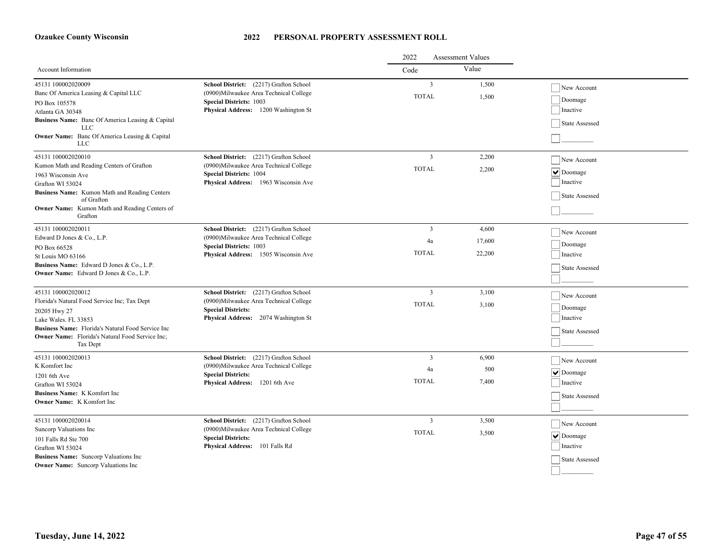|                                                                                                                                                                                                                                       |                                                                                                                                                             | <b>Assessment Values</b><br>2022              |                           |                                                                                   |
|---------------------------------------------------------------------------------------------------------------------------------------------------------------------------------------------------------------------------------------|-------------------------------------------------------------------------------------------------------------------------------------------------------------|-----------------------------------------------|---------------------------|-----------------------------------------------------------------------------------|
| Account Information                                                                                                                                                                                                                   |                                                                                                                                                             | Code                                          | Value                     |                                                                                   |
| 45131 100002020009<br>Banc Of America Leasing & Capital LLC<br>PO Box 105578<br>Atlanta GA 30348<br>Business Name: Banc Of America Leasing & Capital<br><b>LLC</b><br><b>Owner Name:</b> Banc Of America Leasing & Capital<br>LLC     | School District: (2217) Grafton School<br>(0900)Milwaukee Area Technical College<br><b>Special Districts: 1003</b><br>Physical Address: 1200 Washington St  | $\overline{3}$<br><b>TOTAL</b>                | 1,500<br>1,500            | New Account<br>Doomage<br>Inactive<br>State Assessed                              |
| 45131 100002020010<br>Kumon Math and Reading Centers of Grafton<br>1963 Wisconsin Ave<br>Grafton WI 53024<br>Business Name: Kumon Math and Reading Centers<br>of Grafton<br>Owner Name: Kumon Math and Reading Centers of<br>Grafton  | School District: (2217) Grafton School<br>(0900)Milwaukee Area Technical College<br><b>Special Districts: 1004</b><br>Physical Address: 1963 Wisconsin Ave  | $\overline{3}$<br><b>TOTAL</b>                | 2,200<br>2,200            | New Account<br>$ \mathbf{v} $ Doomage<br>Inactive<br>State Assessed               |
| 45131 100002020011<br>Edward D Jones & Co., L.P.<br>PO Box 66528<br>St Louis MO 63166<br>Business Name: Edward D Jones & Co., L.P.<br><b>Owner Name:</b> Edward D Jones & Co., L.P.                                                   | School District: (2217) Grafton School<br>(0900) Milwaukee Area Technical College<br><b>Special Districts: 1003</b><br>Physical Address: 1505 Wisconsin Ave | 3<br>4a<br><b>TOTAL</b>                       | 4,600<br>17,600<br>22,200 | New Account<br>Doomage<br>Inactive<br>State Assessed                              |
| 45131 100002020012<br>Florida's Natural Food Service Inc; Tax Dept<br>20205 Hwy 27<br>Lake Wales. FL 33853<br>Business Name: Florida's Natural Food Service Inc<br><b>Owner Name:</b> Florida's Natural Food Service Inc;<br>Tax Dept | School District: (2217) Grafton School<br>(0900) Milwaukee Area Technical College<br><b>Special Districts:</b><br>Physical Address: 2074 Washington St      | $\overline{3}$<br><b>TOTAL</b>                | 3,100<br>3,100            | New Account<br>Doomage<br>Inactive<br>State Assessed                              |
| 45131 100002020013<br>K Komfort Inc<br>1201 6th Ave<br>Grafton WI 53024<br>Business Name: K Komfort Inc.<br><b>Owner Name:</b> K Komfort Inc                                                                                          | School District: (2217) Grafton School<br>(0900)Milwaukee Area Technical College<br><b>Special Districts:</b><br>1201 6th Ave<br><b>Physical Address:</b>   | $\overline{\mathbf{3}}$<br>4a<br><b>TOTAL</b> | 6,900<br>500<br>7.400     | New Account<br>$  \vee  $ Doomage<br>Inactive<br>State Assessed                   |
| 45131 100002020014<br>Suncorp Valuations Inc<br>101 Falls Rd Ste 700<br>Grafton WI 53024<br>Business Name: Suncorp Valuations Inc<br><b>Owner Name:</b> Suncorp Valuations Inc                                                        | School District: (2217) Grafton School<br>(0900) Milwaukee Area Technical College<br><b>Special Districts:</b><br>Physical Address: 101 Falls Rd            | 3<br><b>TOTAL</b>                             | 3,500<br>3,500            | New Account<br>$\boxed{\blacktriangledown}$ Doomage<br>Inactive<br>State Assessed |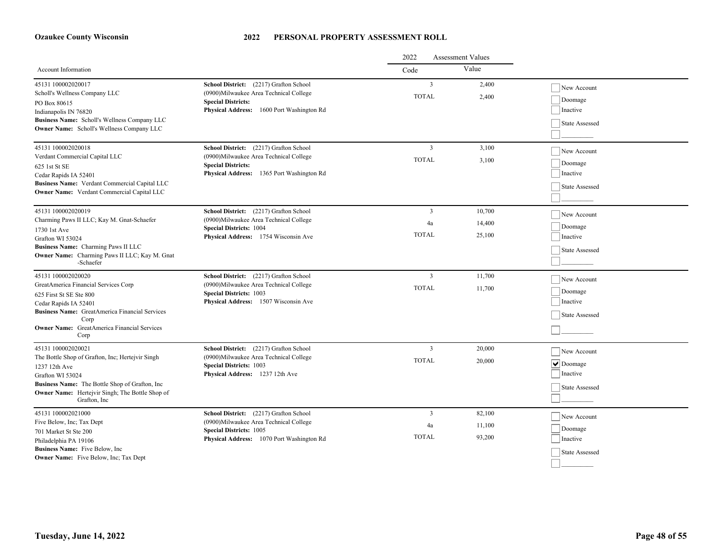|                                                                                                                                                                                                                                               |                                                                                                                                                                  | 2022<br><b>Assessment Values</b>     |                            |                                                                                          |
|-----------------------------------------------------------------------------------------------------------------------------------------------------------------------------------------------------------------------------------------------|------------------------------------------------------------------------------------------------------------------------------------------------------------------|--------------------------------------|----------------------------|------------------------------------------------------------------------------------------|
| Account Information                                                                                                                                                                                                                           |                                                                                                                                                                  | Code                                 | Value                      |                                                                                          |
| 45131 100002020017<br>Scholl's Wellness Company LLC<br>PO Box 80615<br>Indianapolis IN 76820<br>Business Name: Scholl's Wellness Company LLC<br><b>Owner Name:</b> Scholl's Wellness Company LLC                                              | School District: (2217) Grafton School<br>(0900)Milwaukee Area Technical College<br><b>Special Districts:</b><br>Physical Address: 1600 Port Washington Rd       | $\overline{3}$<br><b>TOTAL</b>       | 2.400<br>2.400             | New Account<br>$\vert$ Doomage<br>Inactive<br>State Assessed                             |
| 45131 100002020018<br>Verdant Commercial Capital LLC<br>625 1st St SE<br>Cedar Rapids IA 52401<br>Business Name: Verdant Commercial Capital LLC<br><b>Owner Name:</b> Verdant Commercial Capital LLC                                          | School District: (2217) Grafton School<br>(0900)Milwaukee Area Technical College<br><b>Special Districts:</b><br>Physical Address: 1365 Port Washington Rd       | 3<br><b>TOTAL</b>                    | 3,100<br>3,100             | New Account<br>Doomage<br>Inactive<br><b>State Assessed</b>                              |
| 45131 100002020019<br>Charming Paws II LLC; Kay M. Gnat-Schaefer<br>1730 1st Ave<br>Grafton WI 53024<br>Business Name: Charming Paws II LLC<br>Owner Name: Charming Paws II LLC; Kay M. Gnat<br>-Schaefer                                     | School District: (2217) Grafton School<br>(0900)Milwaukee Area Technical College<br><b>Special Districts: 1004</b><br>Physical Address: 1754 Wisconsin Ave       | $\overline{3}$<br>4a<br><b>TOTAL</b> | 10,700<br>14,400<br>25,100 | New Account<br>Doomage<br>Inactive<br>State Assessed                                     |
| 45131 100002020020<br>GreatAmerica Financial Services Corp<br>625 First St SE Ste 800<br>Cedar Rapids IA 52401<br><b>Business Name:</b> GreatAmerica Financial Services<br>Corp<br><b>Owner Name:</b> GreatAmerica Financial Services<br>Corp | School District: (2217) Grafton School<br>(0900) Milwaukee Area Technical College<br><b>Special Districts: 1003</b><br>Physical Address: 1507 Wisconsin Ave      | 3<br><b>TOTAL</b>                    | 11,700<br>11,700           | New Account<br>Doomage<br>Inactive<br>State Assessed                                     |
| 45131 100002020021<br>The Bottle Shop of Grafton, Inc; Hertejvir Singh<br>1237 12th Ave<br>Grafton WI 53024<br>Business Name: The Bottle Shop of Grafton, Inc.<br><b>Owner Name:</b> Hertejvir Singh; The Bottle Shop of<br>Grafton, Inc.     | School District: (2217) Grafton School<br>(0900) Milwaukee Area Technical College<br><b>Special Districts: 1003</b><br>Physical Address: 1237 12th Ave           | 3<br><b>TOTAL</b>                    | 20,000<br>20,000           | New Account<br>$\boxed{\blacktriangledown}$ Doomage<br>Inactive<br><b>State Assessed</b> |
| 45131 100002021000<br>Five Below, Inc; Tax Dept<br>701 Market St Ste 200<br>Philadelphia PA 19106<br>Business Name: Five Below, Inc.<br><b>Owner Name:</b> Five Below, Inc; Tax Dept                                                          | School District: (2217) Grafton School<br>(0900) Milwaukee Area Technical College<br><b>Special Districts: 1005</b><br>Physical Address: 1070 Port Washington Rd | 3<br>4a<br><b>TOTAL</b>              | 82,100<br>11,100<br>93,200 | New Account<br>Doomage<br>Inactive<br>State Assessed                                     |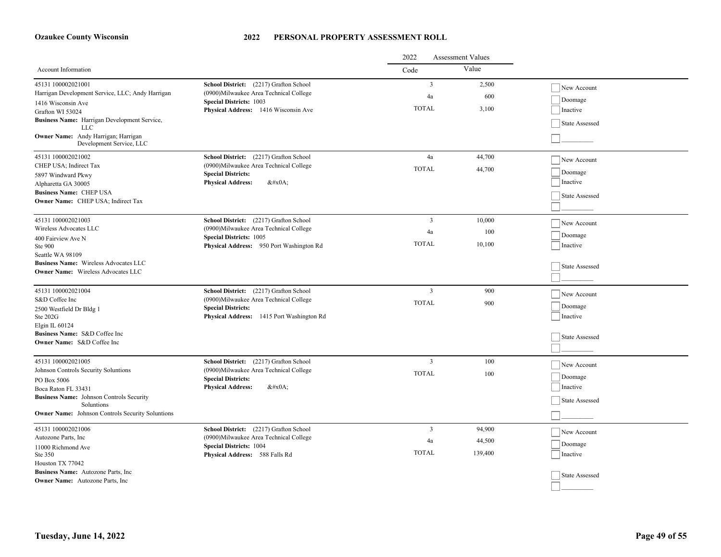|                                                                        |                                                                                   | 2022<br><b>Assessment Values</b> |         |                |
|------------------------------------------------------------------------|-----------------------------------------------------------------------------------|----------------------------------|---------|----------------|
| Account Information                                                    |                                                                                   | Code                             | Value   |                |
| 45131 100002021001                                                     | School District: (2217) Grafton School                                            | $\overline{3}$                   | 2,500   | New Account    |
| Harrigan Development Service, LLC; Andy Harrigan                       | (0900)Milwaukee Area Technical College<br><b>Special Districts: 1003</b>          | 4a                               | 600     | Doomage        |
| 1416 Wisconsin Ave<br>Grafton WI 53024                                 | Physical Address: 1416 Wisconsin Ave                                              | <b>TOTAL</b>                     | 3,100   | Inactive       |
| Business Name: Harrigan Development Service,                           |                                                                                   |                                  |         |                |
| <b>LLC</b>                                                             |                                                                                   |                                  |         | State Assessed |
| <b>Owner Name:</b> Andy Harrigan; Harrigan<br>Development Service, LLC |                                                                                   |                                  |         |                |
| 45131 100002021002                                                     | School District: (2217) Grafton School                                            | 4a                               | 44,700  | New Account    |
| CHEP USA; Indirect Tax                                                 | (0900) Milwaukee Area Technical College                                           | <b>TOTAL</b>                     | 44,700  | Doomage        |
| 5897 Windward Pkwy                                                     | <b>Special Districts:</b><br><b>Physical Address:</b>                             |                                  |         | Inactive       |
| Alpharetta GA 30005<br><b>Business Name: CHEP USA</b>                  | $&\#x0A;$                                                                         |                                  |         |                |
| Owner Name: CHEP USA; Indirect Tax                                     |                                                                                   |                                  |         | State Assessed |
|                                                                        |                                                                                   |                                  |         |                |
| 45131 100002021003                                                     | School District: (2217) Grafton School                                            | $\overline{3}$                   | 10,000  | New Account    |
| Wireless Advocates LLC                                                 | (0900) Milwaukee Area Technical College                                           | 4a                               | 100     | Doomage        |
| 400 Fairview Ave N                                                     | <b>Special Districts: 1005</b>                                                    | <b>TOTAL</b>                     | 10,100  |                |
| Ste 900<br>Seattle WA 98109                                            | Physical Address: 950 Port Washington Rd                                          |                                  |         | Inactive       |
| <b>Business Name:</b> Wireless Advocates LLC                           |                                                                                   |                                  |         |                |
| <b>Owner Name:</b> Wireless Advocates LLC                              |                                                                                   |                                  |         | State Assessed |
|                                                                        |                                                                                   |                                  |         |                |
| 45131 100002021004                                                     | School District: (2217) Grafton School                                            | 3                                | 900     | New Account    |
| S&D Coffee Inc                                                         | (0900) Milwaukee Area Technical College                                           | <b>TOTAL</b>                     | 900     | Doomage        |
| 2500 Westfield Dr Bldg 1<br>Ste 202G                                   | <b>Special Districts:</b><br>Physical Address: 1415 Port Washington Rd            |                                  |         | Inactive       |
| Elgin IL 60124                                                         |                                                                                   |                                  |         |                |
| Business Name: S&D Coffee Inc                                          |                                                                                   |                                  |         | State Assessed |
| <b>Owner Name:</b> S&D Coffee Inc                                      |                                                                                   |                                  |         |                |
|                                                                        |                                                                                   |                                  |         |                |
| 45131 100002021005<br>Johnson Controls Security Soluntions             | School District: (2217) Grafton School<br>(0900) Milwaukee Area Technical College | $\overline{3}$                   | 100     | New Account    |
| PO Box 5006                                                            | <b>Special Districts:</b>                                                         | <b>TOTAL</b>                     | 100     | Doomage        |
| Boca Raton FL 33431                                                    | <b>Physical Address:</b><br>$&\#x0A$ :                                            |                                  |         | Inactive       |
| Business Name: Johnson Controls Security                               |                                                                                   |                                  |         | State Assessed |
| Soluntions                                                             |                                                                                   |                                  |         |                |
| <b>Owner Name:</b> Johnson Controls Security Soluntions                |                                                                                   |                                  |         |                |
| 45131 100002021006                                                     | School District: (2217) Grafton School                                            | 3                                | 94,900  | New Account    |
| Autozone Parts, Inc                                                    | (0900) Milwaukee Area Technical College                                           | 4a                               | 44,500  |                |
| 11000 Richmond Ave                                                     | <b>Special Districts: 1004</b>                                                    | <b>TOTAL</b>                     | 139,400 | Doomage        |
| Ste 350<br>Houston TX 77042                                            | Physical Address: 588 Falls Rd                                                    |                                  |         | Inactive       |
| Business Name: Autozone Parts, Inc.                                    |                                                                                   |                                  |         |                |
| <b>Owner Name:</b> Autozone Parts, Inc.                                |                                                                                   |                                  |         | State Assessed |
|                                                                        |                                                                                   |                                  |         |                |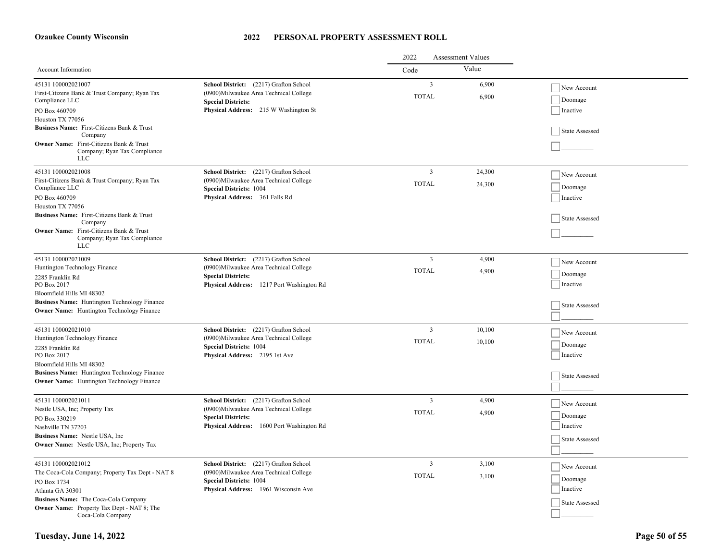|                                                                                                                                                                                                                                                                                     |                                                                                                                                                             | 2022<br><b>Assessment Values</b> |                  |                                                      |
|-------------------------------------------------------------------------------------------------------------------------------------------------------------------------------------------------------------------------------------------------------------------------------------|-------------------------------------------------------------------------------------------------------------------------------------------------------------|----------------------------------|------------------|------------------------------------------------------|
| Account Information                                                                                                                                                                                                                                                                 |                                                                                                                                                             | Code                             | Value            |                                                      |
| 45131 100002021007<br>First-Citizens Bank & Trust Company; Ryan Tax<br>Compliance LLC<br>PO Box 460709<br>Houston TX 77056<br>Business Name: First-Citizens Bank & Trust<br>Company<br>Owner Name: First-Citizens Bank & Trust<br>Company; Ryan Tax Compliance<br><b>LLC</b>        | School District: (2217) Grafton School<br>(0900)Milwaukee Area Technical College<br><b>Special Districts:</b><br>Physical Address: 215 W Washington St      | $\overline{3}$<br><b>TOTAL</b>   | 6,900<br>6,900   | New Account<br>Doomage<br>Inactive<br>State Assessed |
| 45131 100002021008<br>First-Citizens Bank & Trust Company; Ryan Tax<br>Compliance LLC<br>PO Box 460709<br>Houston TX 77056<br>Business Name: First-Citizens Bank & Trust<br>Company<br><b>Owner Name:</b> First-Citizens Bank & Trust<br>Company; Ryan Tax Compliance<br><b>LLC</b> | School District: (2217) Grafton School<br>(0900) Milwaukee Area Technical College<br><b>Special Districts: 1004</b><br>Physical Address: 361 Falls Rd       | 3<br><b>TOTAL</b>                | 24,300<br>24,300 | New Account<br>Doomage<br>Inactive<br>State Assessed |
| 45131 100002021009<br>Huntington Technology Finance<br>2285 Franklin Rd<br>PO Box 2017<br>Bloomfield Hills MI 48302<br><b>Business Name:</b> Huntington Technology Finance<br><b>Owner Name:</b> Huntington Technology Finance                                                      | School District: (2217) Grafton School<br>(0900) Milwaukee Area Technical College<br><b>Special Districts:</b><br>Physical Address: 1217 Port Washington Rd | 3<br><b>TOTAL</b>                | 4,900<br>4,900   | New Account<br>Doomage<br>Inactive<br>State Assessed |
| 45131 100002021010<br>Huntington Technology Finance<br>2285 Franklin Rd<br>PO Box 2017<br>Bloomfield Hills MI 48302<br><b>Business Name:</b> Huntington Technology Finance<br><b>Owner Name:</b> Huntington Technology Finance                                                      | School District: (2217) Grafton School<br>(0900)Milwaukee Area Technical College<br><b>Special Districts: 1004</b><br>Physical Address: 2195 1st Ave        | $\overline{3}$<br><b>TOTAL</b>   | 10,100<br>10,100 | New Account<br>Doomage<br>Inactive<br>State Assessed |
| 45131 100002021011<br>Nestle USA, Inc; Property Tax<br>PO Box 330219<br>Nashville TN 37203<br>Business Name: Nestle USA, Inc.<br>Owner Name: Nestle USA, Inc; Property Tax                                                                                                          | School District: (2217) Grafton School<br>(0900) Milwaukee Area Technical College<br><b>Special Districts:</b><br>Physical Address: 1600 Port Washington Rd | $\overline{3}$<br><b>TOTAL</b>   | 4,900<br>4,900   | New Account<br>Doomage<br>Inactive<br>State Assessed |
| 45131 100002021012<br>The Coca-Cola Company; Property Tax Dept - NAT 8<br>PO Box 1734<br>Atlanta GA 30301<br>Business Name: The Coca-Cola Company<br><b>Owner Name:</b> Property Tax Dept - NAT 8; The<br>Coca-Cola Company                                                         | School District: (2217) Grafton School<br>(0900) Milwaukee Area Technical College<br><b>Special Districts: 1004</b><br>Physical Address: 1961 Wisconsin Ave | $\overline{3}$<br><b>TOTAL</b>   | 3,100<br>3,100   | New Account<br>Doomage<br>Inactive<br>State Assessed |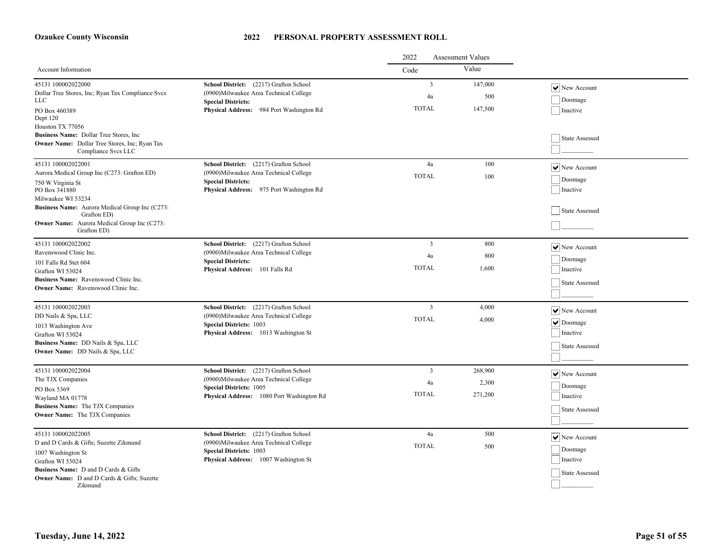|                                                                                                                        | 2022<br><b>Assessment Values</b>                                                  |                         |                |                            |
|------------------------------------------------------------------------------------------------------------------------|-----------------------------------------------------------------------------------|-------------------------|----------------|----------------------------|
| Account Information                                                                                                    |                                                                                   | Code                    | Value          |                            |
| 45131 100002022000<br>Dollar Tree Stores, Inc; Ryan Tax Compliance Svcs                                                | School District: (2217) Grafton School<br>(0900) Milwaukee Area Technical College | $\mathbf{3}$<br>4a      | 147,000<br>500 | $ \mathbf{v} $ New Account |
| LLC                                                                                                                    | <b>Special Districts:</b>                                                         |                         |                | Doomage                    |
| PO Box 460389<br>Dept 120                                                                                              | Physical Address: 984 Port Washington Rd                                          | <b>TOTAL</b>            | 147,500        | Inactive                   |
| Houston TX 77056                                                                                                       |                                                                                   |                         |                |                            |
| Business Name: Dollar Tree Stores, Inc.<br><b>Owner Name:</b> Dollar Tree Stores, Inc; Ryan Tax<br>Compliance Svcs LLC |                                                                                   |                         |                | State Assessed             |
| 45131 100002022001                                                                                                     | School District: (2217) Grafton School                                            | 4a                      | 100            | $ \mathbf{v} $ New Account |
| Aurora Medical Group Inc (C273: Grafton ED)                                                                            | (0900) Milwaukee Area Technical College                                           | <b>TOTAL</b>            | 100            |                            |
| 750 W Virginia St                                                                                                      | <b>Special Districts:</b>                                                         |                         |                | Doomage                    |
| PO Box 341880<br>Milwaukee WI 53234                                                                                    | Physical Address: 975 Port Washington Rd                                          |                         |                | Inactive                   |
| Business Name: Aurora Medical Group Inc (C273:<br>Grafton ED)                                                          |                                                                                   |                         |                | State Assessed             |
| Owner Name: Aurora Medical Group Inc (C273:<br>Grafton ED)                                                             |                                                                                   |                         |                |                            |
| 45131 100002022002                                                                                                     | School District: (2217) Grafton School                                            | $\overline{3}$          | 800            | $ \mathbf{v} $ New Account |
| Ravenswood Clinic Inc.                                                                                                 | (0900) Milwaukee Area Technical College                                           | 4a                      | 800            |                            |
| 101 Falls Rd Stet 604                                                                                                  | <b>Special Districts:</b>                                                         | <b>TOTAL</b>            | 1.600          | Doomage                    |
| Grafton WI 53024                                                                                                       | Physical Address: 101 Falls Rd                                                    |                         |                | Inactive                   |
| Business Name: Ravenswood Clinic Inc.<br>Owner Name: Ravenswood Clinic Inc.                                            |                                                                                   |                         |                | State Assessed             |
|                                                                                                                        |                                                                                   |                         |                |                            |
| 45131 100002022003                                                                                                     | School District: (2217) Grafton School                                            | $\overline{\mathbf{3}}$ | 4,000          | $ \mathbf{v} $ New Account |
| DD Nails & Spa, LLC                                                                                                    | (0900)Milwaukee Area Technical College                                            | <b>TOTAL</b>            | 4,000          | $  \vee  $ Doomage         |
| 1013 Washington Ave                                                                                                    | <b>Special Districts: 1003</b>                                                    |                         |                |                            |
| Grafton WI 53024                                                                                                       | Physical Address: 1013 Washington St                                              |                         |                | Inactive                   |
| Business Name: DD Nails & Spa, LLC<br>Owner Name: DD Nails & Spa, LLC                                                  |                                                                                   |                         |                | State Assessed             |
|                                                                                                                        |                                                                                   |                         |                |                            |
| 45131 100002022004                                                                                                     | School District: (2217) Grafton School                                            | $\overline{3}$          | 268,900        | $ \mathbf{v} $ New Account |
| The TJX Companies                                                                                                      | (0900)Milwaukee Area Technical College                                            | 4a                      | 2,300          | Doomage                    |
| PO Box 5369                                                                                                            | <b>Special Districts: 1005</b><br>Physical Address: 1080 Port Washington Rd       | <b>TOTAL</b>            | 271,200        | Inactive                   |
| Wayland MA 01778<br><b>Business Name:</b> The TJX Companies                                                            |                                                                                   |                         |                |                            |
| <b>Owner Name:</b> The TJX Companies                                                                                   |                                                                                   |                         |                | State Assessed             |
|                                                                                                                        |                                                                                   |                         |                |                            |
| 45131 100002022005                                                                                                     | School District: (2217) Grafton School                                            | 4a                      | 500            | $ \mathbf{v} $ New Account |
| D and D Cards & Gifts; Suzette Zikmund                                                                                 | (0900) Milwaukee Area Technical College                                           | <b>TOTAL</b>            | 500            | Doomage                    |
| 1007 Washington St                                                                                                     | <b>Special Districts: 1003</b><br>Physical Address: 1007 Washington St            |                         |                | Inactive                   |
| Grafton WI 53024<br><b>Business Name:</b> D and D Cards & Gifts                                                        |                                                                                   |                         |                |                            |
| Owner Name: D and D Cards & Gifts; Suzette                                                                             |                                                                                   |                         |                | State Assessed             |
| Zikmund                                                                                                                |                                                                                   |                         |                |                            |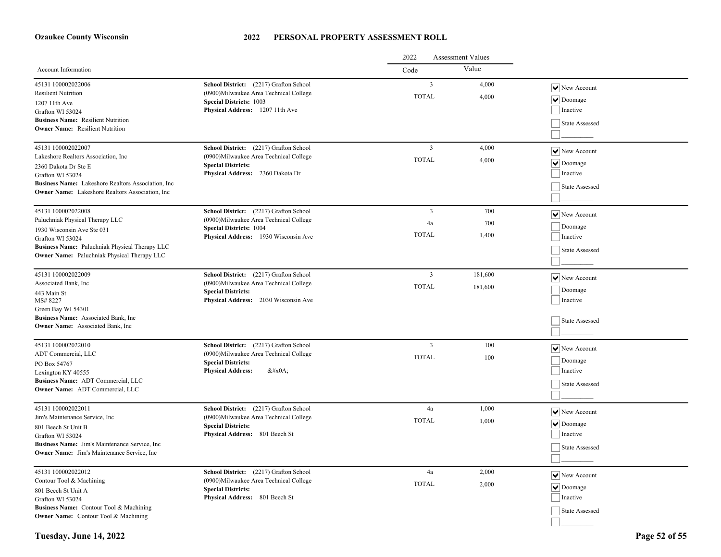|                                                                                                                                                            |                                                                                                                                                        | 2022<br><b>Assessment Values</b>        |                |                                                              |
|------------------------------------------------------------------------------------------------------------------------------------------------------------|--------------------------------------------------------------------------------------------------------------------------------------------------------|-----------------------------------------|----------------|--------------------------------------------------------------|
| Account Information                                                                                                                                        |                                                                                                                                                        | Code                                    | Value          |                                                              |
| 45131 100002022006<br><b>Resilient Nutrition</b><br>1207 11th Ave<br>Grafton WI 53024                                                                      | School District: (2217) Grafton School<br>(0900) Milwaukee Area Technical College<br><b>Special Districts: 1003</b><br>Physical Address: 1207 11th Ave | $\overline{\mathbf{3}}$<br><b>TOTAL</b> | 4,000<br>4,000 | $ \mathbf{v} $ New Account<br>$  \vee  $ Doomage<br>Inactive |
| <b>Business Name:</b> Resilient Nutrition<br><b>Owner Name:</b> Resilient Nutrition                                                                        |                                                                                                                                                        |                                         |                | State Assessed                                               |
| 45131 100002022007<br>Lakeshore Realtors Association, Inc.                                                                                                 | School District: (2217) Grafton School<br>(0900) Milwaukee Area Technical College                                                                      | $\overline{3}$                          | 4,000          | $ \mathbf{v} $ New Account                                   |
| 2360 Dakota Dr Ste E<br>Grafton WI 53024<br>Business Name: Lakeshore Realtors Association, Inc.<br><b>Owner Name:</b> Lakeshore Realtors Association, Inc. | <b>Special Districts:</b><br>Physical Address: 2360 Dakota Dr                                                                                          | <b>TOTAL</b>                            | 4,000          | $  \vee  $ Doomage<br>Inactive<br>State Assessed             |
|                                                                                                                                                            |                                                                                                                                                        |                                         |                |                                                              |
| 45131 100002022008<br>Paluchniak Physical Therapy LLC                                                                                                      | School District: (2217) Grafton School<br>(0900)Milwaukee Area Technical College                                                                       | $\overline{\mathbf{3}}$<br>4a           | 700<br>700     | $ \mathbf{v} $ New Account                                   |
| 1930 Wisconsin Ave Ste 031<br>Grafton WI 53024                                                                                                             | <b>Special Districts: 1004</b><br>Physical Address: 1930 Wisconsin Ave                                                                                 | <b>TOTAL</b>                            | 1.400          | Doomage<br>Inactive                                          |
| Business Name: Paluchniak Physical Therapy LLC<br><b>Owner Name:</b> Paluchniak Physical Therapy LLC                                                       |                                                                                                                                                        |                                         |                | State Assessed                                               |
| 45131 100002022009<br>Associated Bank, Inc.                                                                                                                | School District: (2217) Grafton School<br>(0900) Milwaukee Area Technical College<br><b>Special Districts:</b><br>Physical Address: 2030 Wisconsin Ave | $\overline{3}$                          | 181,600        | $ \mathbf{v} $ New Account                                   |
| 443 Main St<br>MS#8227                                                                                                                                     |                                                                                                                                                        | <b>TOTAL</b>                            | 181,600        | Doomage<br>Inactive                                          |
| Green Bay WI 54301<br>Business Name: Associated Bank, Inc.<br><b>Owner Name:</b> Associated Bank, Inc.                                                     |                                                                                                                                                        |                                         |                | State Assessed                                               |
| 45131 100002022010<br>ADT Commercial, LLC                                                                                                                  | School District: (2217) Grafton School<br>(0900) Milwaukee Area Technical College                                                                      | $\overline{3}$                          | 100            | $ \mathbf{v} $ New Account                                   |
| PO Box 54767<br>Lexington KY 40555<br>Business Name: ADT Commercial, LLC<br>Owner Name: ADT Commercial, LLC                                                | <b>Special Districts:</b><br><b>Physical Address:</b><br>$&\#x0A;$                                                                                     | <b>TOTAL</b>                            | 100            | Doomage<br>Inactive                                          |
|                                                                                                                                                            |                                                                                                                                                        |                                         |                | State Assessed                                               |
| 45131 100002022011                                                                                                                                         | School District: (2217) Grafton School<br>(0900)Milwaukee Area Technical College                                                                       | 4a                                      | 1,000          | $\vert\bm{\mathsf{v}}\vert$ New Account                      |
| Jim's Maintenance Service, Inc.<br>801 Beech St Unit B                                                                                                     | <b>Special Districts:</b>                                                                                                                              | <b>TOTAL</b>                            | 1,000          | $  \vee  $ Doomage<br>Inactive                               |
| Grafton WI 53024<br>Business Name: Jim's Maintenance Service, Inc.<br><b>Owner Name:</b> Jim's Maintenance Service, Inc.                                   | Physical Address: 801 Beech St                                                                                                                         |                                         |                | State Assessed                                               |
| 45131 100002022012                                                                                                                                         | School District: (2217) Grafton School                                                                                                                 | 4a                                      | 2,000          | $\vert\bm{\mathsf{v}}\vert$ New Account                      |
| Contour Tool & Machining<br>801 Beech St Unit A                                                                                                            | (0900)Milwaukee Area Technical College<br><b>Special Districts:</b><br>Physical Address: 801 Beech St                                                  | <b>TOTAL</b>                            | 2,000          | $  \vee  $ Doomage<br>Inactive                               |
| Grafton WI 53024<br>Business Name: Contour Tool & Machining                                                                                                |                                                                                                                                                        |                                         |                | State Assessed                                               |
| <b>Owner Name:</b> Contour Tool & Machining                                                                                                                |                                                                                                                                                        |                                         |                |                                                              |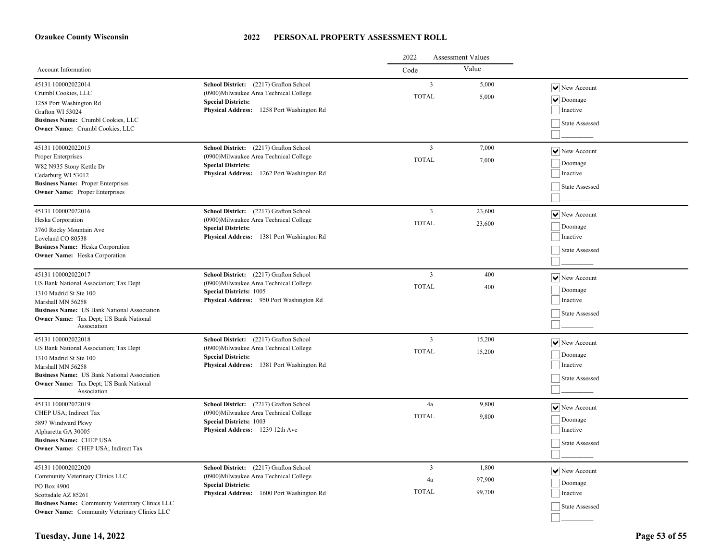|                                                                                                                                                                                                                                   |                                                                                                                                                                | 2022<br><b>Assessment Values</b>        |                           |                                                                                      |
|-----------------------------------------------------------------------------------------------------------------------------------------------------------------------------------------------------------------------------------|----------------------------------------------------------------------------------------------------------------------------------------------------------------|-----------------------------------------|---------------------------|--------------------------------------------------------------------------------------|
| Account Information                                                                                                                                                                                                               |                                                                                                                                                                | Code                                    | Value                     |                                                                                      |
| 45131 100002022014<br>Crumbl Cookies, LLC<br>1258 Port Washington Rd<br>Grafton WI 53024<br>Business Name: Crumbl Cookies, LLC<br>Owner Name: Crumbl Cookies, LLC                                                                 | School District: (2217) Grafton School<br>(0900)Milwaukee Area Technical College<br><b>Special Districts:</b><br>Physical Address: 1258 Port Washington Rd     | $\overline{3}$<br><b>TOTAL</b>          | 5,000<br>5,000            | $ \mathbf{v} $ New Account<br>$\triangledown$ Doomage<br>Inactive<br>State Assessed  |
| 45131 100002022015<br>Proper Enterprises<br>W82 N935 Stony Kettle Dr<br>Cedarburg WI 53012<br><b>Business Name: Proper Enterprises</b><br><b>Owner Name:</b> Proper Enterprises                                                   | School District: (2217) Grafton School<br>(0900)Milwaukee Area Technical College<br><b>Special Districts:</b><br>Physical Address: 1262 Port Washington Rd     | $\overline{\mathbf{3}}$<br><b>TOTAL</b> | 7,000<br>7,000            | $\triangledown$ New Account<br>Doomage<br>Inactive<br>State Assessed                 |
| 45131 100002022016<br>Heska Corporation<br>3760 Rocky Mountain Ave<br>Loveland CO 80538<br><b>Business Name:</b> Heska Corporation<br><b>Owner Name:</b> Heska Corporation                                                        | School District: (2217) Grafton School<br>(0900) Milwaukee Area Technical College<br><b>Special Districts:</b><br>Physical Address: 1381 Port Washington Rd    | $\overline{3}$<br><b>TOTAL</b>          | 23,600<br>23,600          | $\overline{\blacktriangledown}$ New Account<br>Doomage<br>Inactive<br>State Assessed |
| 45131 100002022017<br>US Bank National Association; Tax Dept<br>1310 Madrid St Ste 100<br>Marshall MN 56258<br><b>Business Name:</b> US Bank National Association<br>Owner Name: Tax Dept; US Bank National<br>Association        | School District: (2217) Grafton School<br>(0900)Milwaukee Area Technical College<br><b>Special Districts: 1005</b><br>Physical Address: 950 Port Washington Rd | $\overline{\mathbf{3}}$<br><b>TOTAL</b> | 400<br>400                | $\sqrt{\phantom{a}}$ New Account<br>Doomage<br>Inactive<br>State Assessed            |
| 45131 100002022018<br>US Bank National Association; Tax Dept<br>1310 Madrid St Ste 100<br>Marshall MN 56258<br><b>Business Name:</b> US Bank National Association<br><b>Owner Name:</b> Tax Dept; US Bank National<br>Association | School District: (2217) Grafton School<br>(0900)Milwaukee Area Technical College<br><b>Special Districts:</b><br>Physical Address: 1381 Port Washington Rd     | $\overline{\mathbf{3}}$<br><b>TOTAL</b> | 15,200<br>15,200          | $\vert\bm{\mathsf{v}}\vert$ New Account<br>Doomage<br>Inactive<br>State Assessed     |
| 45131 100002022019<br>CHEP USA; Indirect Tax<br>5897 Windward Pkwy<br>Alpharetta GA 30005<br><b>Business Name: CHEP USA</b><br>Owner Name: CHEP USA; Indirect Tax                                                                 | School District: (2217) Grafton School<br>(0900) Milwaukee Area Technical College<br><b>Special Districts: 1003</b><br>Physical Address: 1239 12th Ave         | 4a<br><b>TOTAL</b>                      | 9,800<br>9,800            | $ \mathbf{v} $ New Account<br>Doomage<br>Inactive<br>State Assessed                  |
| 45131 100002022020<br>Community Veterinary Clinics LLC<br>PO Box 4900<br>Scottsdale AZ 85261<br>Business Name: Community Veterinary Clinics LLC<br><b>Owner Name:</b> Community Veterinary Clinics LLC                            | School District: (2217) Grafton School<br>(0900) Milwaukee Area Technical College<br><b>Special Districts:</b><br>Physical Address: 1600 Port Washington Rd    | $\overline{3}$<br>4a<br><b>TOTAL</b>    | 1,800<br>97,900<br>99,700 | $ \mathbf{v} $ New Account<br>Doomage<br>Inactive<br>State Assessed                  |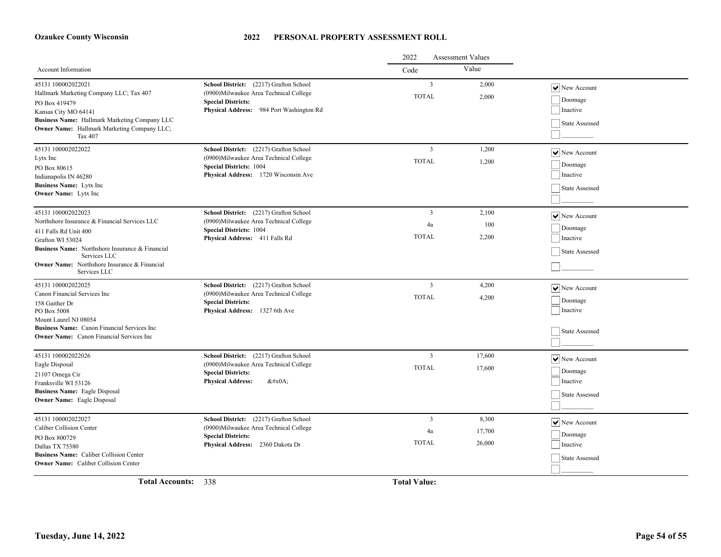|                                                                                                                                                                                                                                                            |                                                                                                                                                                    | 2022<br><b>Assessment Values</b>     |                           |                                                                                   |
|------------------------------------------------------------------------------------------------------------------------------------------------------------------------------------------------------------------------------------------------------------|--------------------------------------------------------------------------------------------------------------------------------------------------------------------|--------------------------------------|---------------------------|-----------------------------------------------------------------------------------|
| <b>Account Information</b>                                                                                                                                                                                                                                 |                                                                                                                                                                    | Code                                 | Value                     |                                                                                   |
| 45131 100002022021<br>Hallmark Marketing Company LLC; Tax 407<br>PO Box 419479<br>Kansas City MO 64141<br>Business Name: Hallmark Marketing Company LLC<br><b>Owner Name:</b> Hallmark Marketing Company LLC;<br>Tax 407                                   | School District: (2217) Grafton School<br>(0900) Milwaukee Area Technical College<br><b>Special Districts:</b><br>Physical Address: 984 Port Washington Rd         | $\overline{3}$<br><b>TOTAL</b>       | 2,000<br>2,000            | $\overline{\triangledown}$ New Account<br>Doomage<br>Inactive<br>State Assessed   |
| 45131 100002022022<br>Lytx Inc<br>PO Box 80615<br>Indianapolis IN 46280<br><b>Business Name:</b> Lytx Inc<br><b>Owner Name:</b> Lytx Inc                                                                                                                   | School District: (2217) Grafton School<br>(0900) Milwaukee Area Technical College<br><b>Special Districts: 1004</b><br><b>Physical Address:</b> 1720 Wisconsin Ave | $\overline{3}$<br><b>TOTAL</b>       | 1,200<br>1,200            | $ \mathbf{v} $ New Account<br>Doomage<br>Inactive<br>State Assessed               |
| 45131 100002022023<br>Northshore Insurance & Financial Services LLC<br>411 Falls Rd Unit 400<br>Grafton WI 53024<br>Business Name: Northshore Insurance & Financial<br>Services LLC<br><b>Owner Name:</b> Northshore Insurance & Financial<br>Services LLC | School District: (2217) Grafton School<br>(0900) Milwaukee Area Technical College<br><b>Special Districts: 1004</b><br>Physical Address: 411 Falls Rd              | $\overline{3}$<br>4a<br><b>TOTAL</b> | 2,100<br>100<br>2,200     | $\sqrt{\phantom{a}}$ New Account<br>Doomage<br>Inactive<br>State Assessed         |
| 45131 100002022025<br>Canon Financial Services Inc<br>158 Gaither Dr<br>PO Box 5008<br>Mount Laurel NJ 08054<br>Business Name: Canon Financial Services Inc.<br><b>Owner Name:</b> Canon Financial Services Inc                                            | School District: (2217) Grafton School<br>(0900)Milwaukee Area Technical College<br><b>Special Districts:</b><br>Physical Address: 1327 6th Ave                    | $\overline{3}$<br><b>TOTAL</b>       | 4,200<br>4,200            | $\boxed{\blacktriangledown}$ New Account<br>Doomage<br>Inactive<br>State Assessed |
| 45131 100002022026<br>Eagle Disposal<br>21107 Omega Cir<br>Franksville WI 53126<br><b>Business Name:</b> Eagle Disposal<br><b>Owner Name:</b> Eagle Disposal                                                                                               | School District: (2217) Grafton School<br>(0900)Milwaukee Area Technical College<br><b>Special Districts:</b><br><b>Physical Address:</b><br>$&\#x0A$ :            | $\overline{3}$<br><b>TOTAL</b>       | 17,600<br>17,600          | $\boxed{\blacktriangledown}$ New Account<br>Doomage<br>Inactive<br>State Assessed |
| 45131 100002022027<br>Caliber Collision Center<br>PO Box 800729<br>Dallas TX 75380<br><b>Business Name:</b> Caliber Collision Center<br><b>Owner Name:</b> Caliber Collision Center                                                                        | School District: (2217) Grafton School<br>(0900)Milwaukee Area Technical College<br><b>Special Districts:</b><br>Physical Address: 2360 Dakota Dr                  | $\overline{3}$<br>4a<br><b>TOTAL</b> | 8,300<br>17,700<br>26,000 | $\vert\bm{\mathsf{v}}\vert$ New Account<br>Doomage<br>Inactive<br>State Assessed  |

**Total Accounts:** 338 **Total Value:**